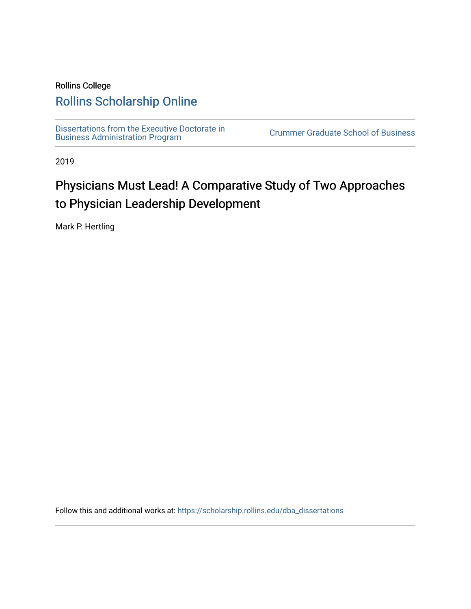## Rollins College

## [Rollins Scholarship Online](https://scholarship.rollins.edu/)

[Dissertations from the Executive Doctorate in](https://scholarship.rollins.edu/dba_dissertations)  Dissertations from the Executive Doctorate in Executive Crummer Graduate School of Business<br>Business Administration Program

2019

# Physicians Must Lead! A Comparative Study of Two Approaches to Physician Leadership Development

Mark P. Hertling

Follow this and additional works at: [https://scholarship.rollins.edu/dba\\_dissertations](https://scholarship.rollins.edu/dba_dissertations?utm_source=scholarship.rollins.edu%2Fdba_dissertations%2F35&utm_medium=PDF&utm_campaign=PDFCoverPages)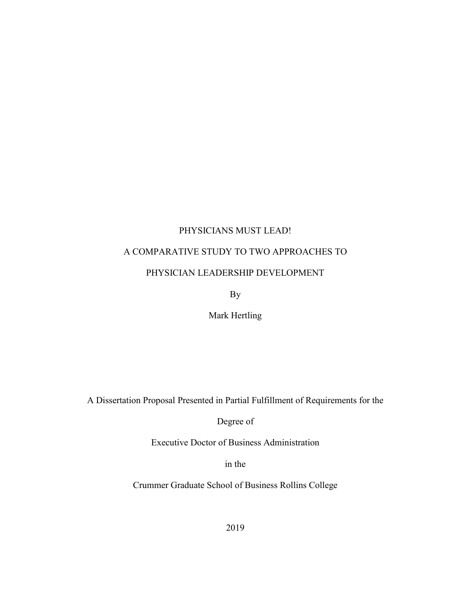#### PHYSICIANS MUST LEAD!

## A COMPARATIVE STUDY TO TWO APPROACHES TO

#### PHYSICIAN LEADERSHIP DEVELOPMENT

By

Mark Hertling

A Dissertation Proposal Presented in Partial Fulfillment of Requirements for the

Degree of

Executive Doctor of Business Administration

in the

Crummer Graduate School of Business Rollins College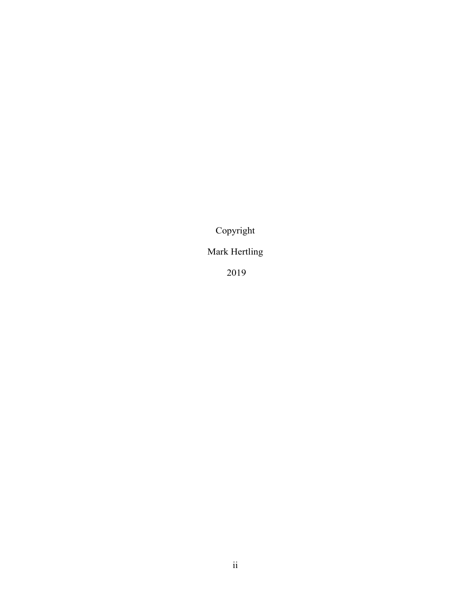Copyright

## Mark Hertling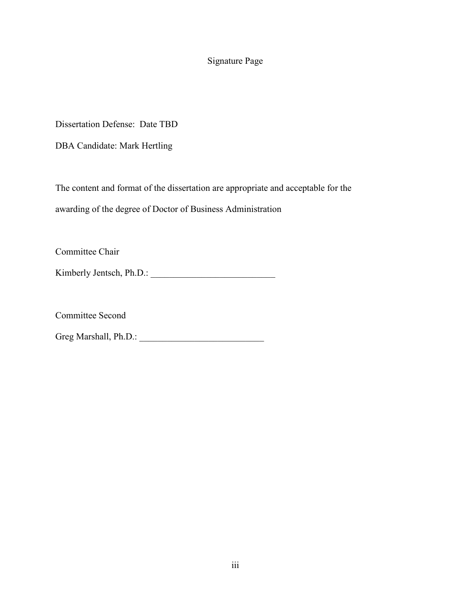## Signature Page

Dissertation Defense: Date TBD

DBA Candidate: Mark Hertling

The content and format of the dissertation are appropriate and acceptable for the awarding of the degree of Doctor of Business Administration

Committee Chair

Kimberly Jentsch, Ph.D.: \_\_\_\_\_\_\_\_\_\_\_\_\_\_\_\_\_\_\_\_\_\_\_\_\_\_\_

Committee Second

Greg Marshall, Ph.D.: \_\_\_\_\_\_\_\_\_\_\_\_\_\_\_\_\_\_\_\_\_\_\_\_\_\_\_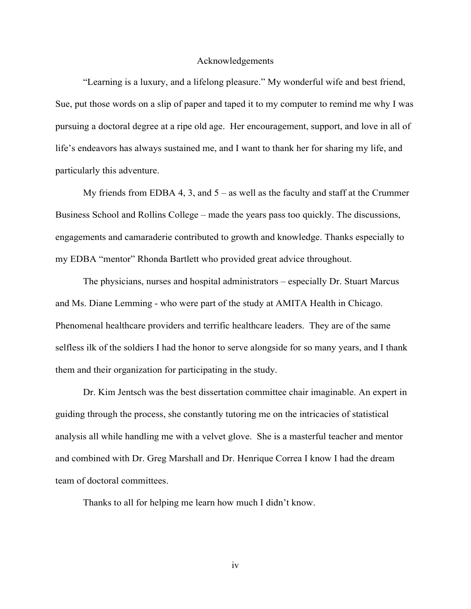#### Acknowledgements

"Learning is a luxury, and a lifelong pleasure." My wonderful wife and best friend, Sue, put those words on a slip of paper and taped it to my computer to remind me why I was pursuing a doctoral degree at a ripe old age. Her encouragement, support, and love in all of life's endeavors has always sustained me, and I want to thank her for sharing my life, and particularly this adventure.

My friends from EDBA 4, 3, and  $5 -$  as well as the faculty and staff at the Crummer Business School and Rollins College – made the years pass too quickly. The discussions, engagements and camaraderie contributed to growth and knowledge. Thanks especially to my EDBA "mentor" Rhonda Bartlett who provided great advice throughout.

The physicians, nurses and hospital administrators – especially Dr. Stuart Marcus and Ms. Diane Lemming - who were part of the study at AMITA Health in Chicago. Phenomenal healthcare providers and terrific healthcare leaders. They are of the same selfless ilk of the soldiers I had the honor to serve alongside for so many years, and I thank them and their organization for participating in the study.

Dr. Kim Jentsch was the best dissertation committee chair imaginable. An expert in guiding through the process, she constantly tutoring me on the intricacies of statistical analysis all while handling me with a velvet glove. She is a masterful teacher and mentor and combined with Dr. Greg Marshall and Dr. Henrique Correa I know I had the dream team of doctoral committees.

Thanks to all for helping me learn how much I didn't know.

iv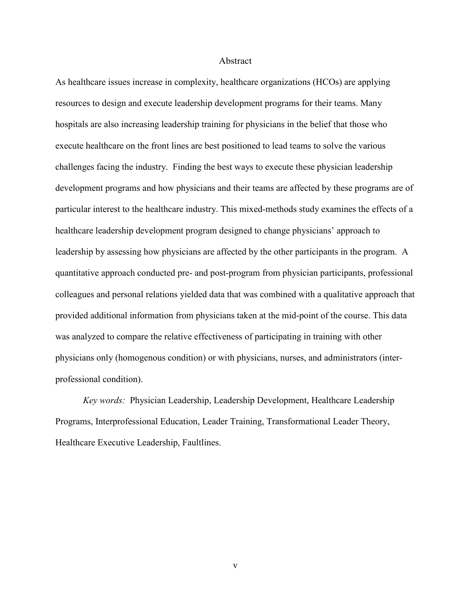#### Abstract

As healthcare issues increase in complexity, healthcare organizations (HCOs) are applying resources to design and execute leadership development programs for their teams. Many hospitals are also increasing leadership training for physicians in the belief that those who execute healthcare on the front lines are best positioned to lead teams to solve the various challenges facing the industry. Finding the best ways to execute these physician leadership development programs and how physicians and their teams are affected by these programs are of particular interest to the healthcare industry. This mixed-methods study examines the effects of a healthcare leadership development program designed to change physicians' approach to leadership by assessing how physicians are affected by the other participants in the program. A quantitative approach conducted pre- and post-program from physician participants, professional colleagues and personal relations yielded data that was combined with a qualitative approach that provided additional information from physicians taken at the mid-point of the course. This data was analyzed to compare the relative effectiveness of participating in training with other physicians only (homogenous condition) or with physicians, nurses, and administrators (interprofessional condition).

*Key words:* Physician Leadership, Leadership Development, Healthcare Leadership Programs, Interprofessional Education, Leader Training, Transformational Leader Theory, Healthcare Executive Leadership, Faultlines.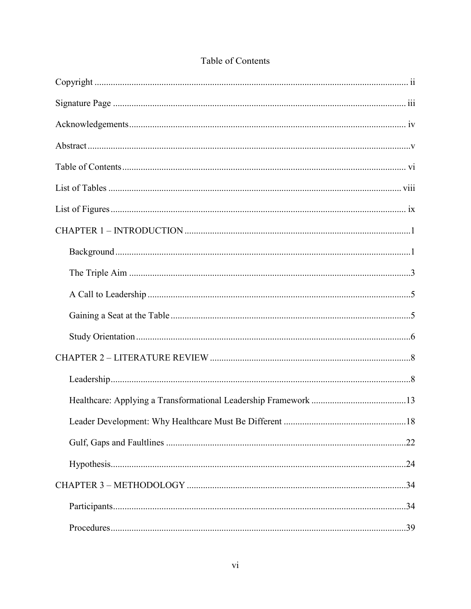## Table of Contents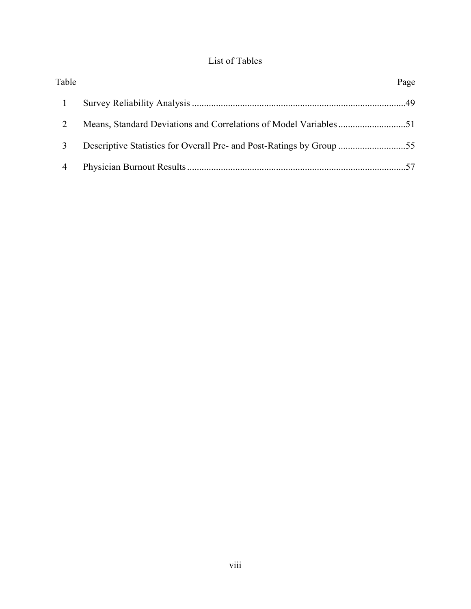## List of Tables

| Table | Page |
|-------|------|
|       |      |
|       |      |
|       |      |
| 4     |      |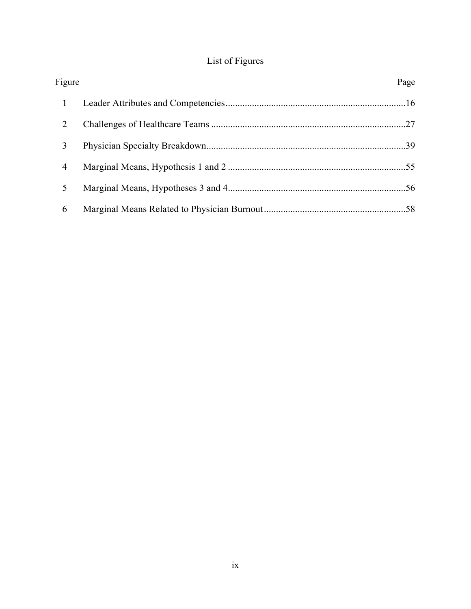## List of Figures

| Figure         | Page |
|----------------|------|
| $\mathbf{1}$   |      |
| 2              |      |
| 3              |      |
| $\overline{4}$ |      |
| 5              |      |
| 6              |      |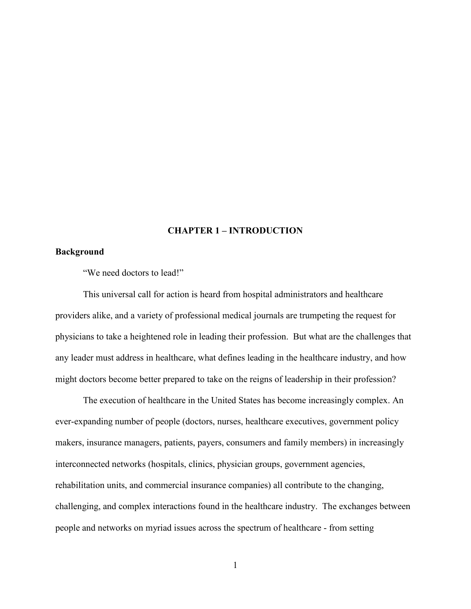#### **CHAPTER 1 – INTRODUCTION**

#### **Background**

"We need doctors to lead!"

This universal call for action is heard from hospital administrators and healthcare providers alike, and a variety of professional medical journals are trumpeting the request for physicians to take a heightened role in leading their profession. But what are the challenges that any leader must address in healthcare, what defines leading in the healthcare industry, and how might doctors become better prepared to take on the reigns of leadership in their profession?

The execution of healthcare in the United States has become increasingly complex. An ever-expanding number of people (doctors, nurses, healthcare executives, government policy makers, insurance managers, patients, payers, consumers and family members) in increasingly interconnected networks (hospitals, clinics, physician groups, government agencies, rehabilitation units, and commercial insurance companies) all contribute to the changing, challenging, and complex interactions found in the healthcare industry. The exchanges between people and networks on myriad issues across the spectrum of healthcare - from setting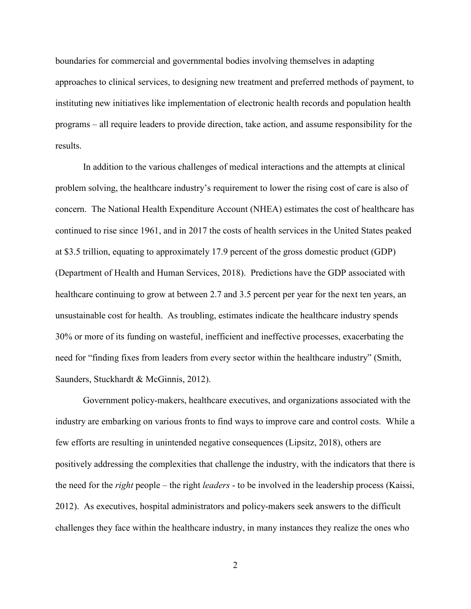boundaries for commercial and governmental bodies involving themselves in adapting approaches to clinical services, to designing new treatment and preferred methods of payment, to instituting new initiatives like implementation of electronic health records and population health programs – all require leaders to provide direction, take action, and assume responsibility for the results.

In addition to the various challenges of medical interactions and the attempts at clinical problem solving, the healthcare industry's requirement to lower the rising cost of care is also of concern. The National Health Expenditure Account (NHEA) estimates the cost of healthcare has continued to rise since 1961, and in 2017 the costs of health services in the United States peaked at \$3.5 trillion, equating to approximately 17.9 percent of the gross domestic product (GDP) (Department of Health and Human Services, 2018). Predictions have the GDP associated with healthcare continuing to grow at between 2.7 and 3.5 percent per year for the next ten years, an unsustainable cost for health. As troubling, estimates indicate the healthcare industry spends 30% or more of its funding on wasteful, inefficient and ineffective processes, exacerbating the need for "finding fixes from leaders from every sector within the healthcare industry" (Smith, Saunders, Stuckhardt & McGinnis, 2012).

Government policy-makers, healthcare executives, and organizations associated with the industry are embarking on various fronts to find ways to improve care and control costs. While a few efforts are resulting in unintended negative consequences (Lipsitz, 2018), others are positively addressing the complexities that challenge the industry, with the indicators that there is the need for the *right* people – the right *leaders* - to be involved in the leadership process (Kaissi, 2012). As executives, hospital administrators and policy-makers seek answers to the difficult challenges they face within the healthcare industry, in many instances they realize the ones who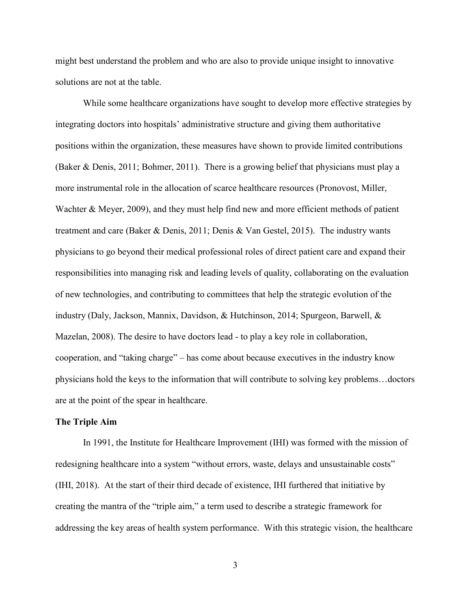might best understand the problem and who are also to provide unique insight to innovative solutions are not at the table.

While some healthcare organizations have sought to develop more effective strategies by integrating doctors into hospitals' administrative structure and giving them authoritative positions within the organization, these measures have shown to provide limited contributions (Baker & Denis, 2011; Bohmer, 2011). There is a growing belief that physicians must play a more instrumental role in the allocation of scarce healthcare resources (Pronovost, Miller, Wachter & Meyer, 2009), and they must help find new and more efficient methods of patient treatment and care (Baker & Denis, 2011; Denis & Van Gestel, 2015). The industry wants physicians to go beyond their medical professional roles of direct patient care and expand their responsibilities into managing risk and leading levels of quality, collaborating on the evaluation of new technologies, and contributing to committees that help the strategic evolution of the industry (Daly, Jackson, Mannix, Davidson, & Hutchinson, 2014; Spurgeon, Barwell, & Mazelan, 2008). The desire to have doctors lead - to play a key role in collaboration, cooperation, and "taking charge" – has come about because executives in the industry know physicians hold the keys to the information that will contribute to solving key problems…doctors are at the point of the spear in healthcare.

#### **The Triple Aim**

In 1991, the Institute for Healthcare Improvement (IHI) was formed with the mission of redesigning healthcare into a system "without errors, waste, delays and unsustainable costs" (IHI, 2018). At the start of their third decade of existence, IHI furthered that initiative by creating the mantra of the "triple aim," a term used to describe a strategic framework for addressing the key areas of health system performance. With this strategic vision, the healthcare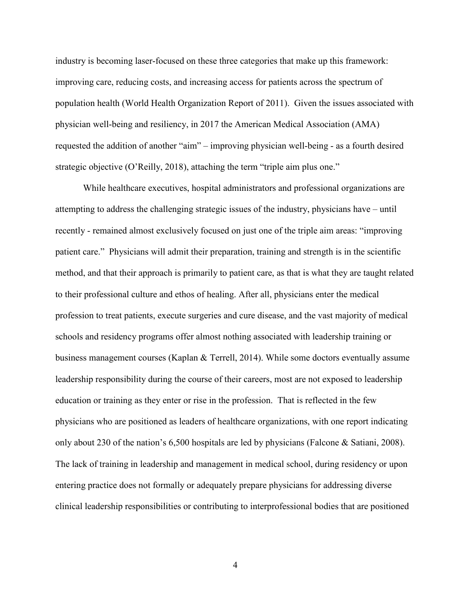industry is becoming laser-focused on these three categories that make up this framework: improving care, reducing costs, and increasing access for patients across the spectrum of population health (World Health Organization Report of 2011). Given the issues associated with physician well-being and resiliency, in 2017 the American Medical Association (AMA) requested the addition of another "aim" – improving physician well-being - as a fourth desired strategic objective (O'Reilly, 2018), attaching the term "triple aim plus one."

While healthcare executives, hospital administrators and professional organizations are attempting to address the challenging strategic issues of the industry, physicians have – until recently - remained almost exclusively focused on just one of the triple aim areas: "improving patient care." Physicians will admit their preparation, training and strength is in the scientific method, and that their approach is primarily to patient care, as that is what they are taught related to their professional culture and ethos of healing. After all, physicians enter the medical profession to treat patients, execute surgeries and cure disease, and the vast majority of medical schools and residency programs offer almost nothing associated with leadership training or business management courses (Kaplan & Terrell, 2014). While some doctors eventually assume leadership responsibility during the course of their careers, most are not exposed to leadership education or training as they enter or rise in the profession. That is reflected in the few physicians who are positioned as leaders of healthcare organizations, with one report indicating only about 230 of the nation's 6,500 hospitals are led by physicians (Falcone & Satiani, 2008). The lack of training in leadership and management in medical school, during residency or upon entering practice does not formally or adequately prepare physicians for addressing diverse clinical leadership responsibilities or contributing to interprofessional bodies that are positioned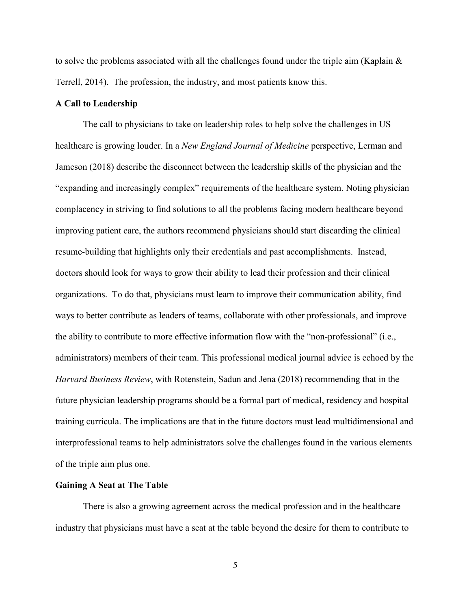to solve the problems associated with all the challenges found under the triple aim (Kaplain  $\&$ Terrell, 2014). The profession, the industry, and most patients know this.

#### **A Call to Leadership**

The call to physicians to take on leadership roles to help solve the challenges in US healthcare is growing louder. In a *New England Journal of Medicine* perspective, Lerman and Jameson (2018) describe the disconnect between the leadership skills of the physician and the "expanding and increasingly complex" requirements of the healthcare system. Noting physician complacency in striving to find solutions to all the problems facing modern healthcare beyond improving patient care, the authors recommend physicians should start discarding the clinical resume-building that highlights only their credentials and past accomplishments. Instead, doctors should look for ways to grow their ability to lead their profession and their clinical organizations. To do that, physicians must learn to improve their communication ability, find ways to better contribute as leaders of teams, collaborate with other professionals, and improve the ability to contribute to more effective information flow with the "non-professional" (i.e., administrators) members of their team. This professional medical journal advice is echoed by the *Harvard Business Review*, with Rotenstein, Sadun and Jena (2018) recommending that in the future physician leadership programs should be a formal part of medical, residency and hospital training curricula. The implications are that in the future doctors must lead multidimensional and interprofessional teams to help administrators solve the challenges found in the various elements of the triple aim plus one.

#### **Gaining A Seat at The Table**

There is also a growing agreement across the medical profession and in the healthcare industry that physicians must have a seat at the table beyond the desire for them to contribute to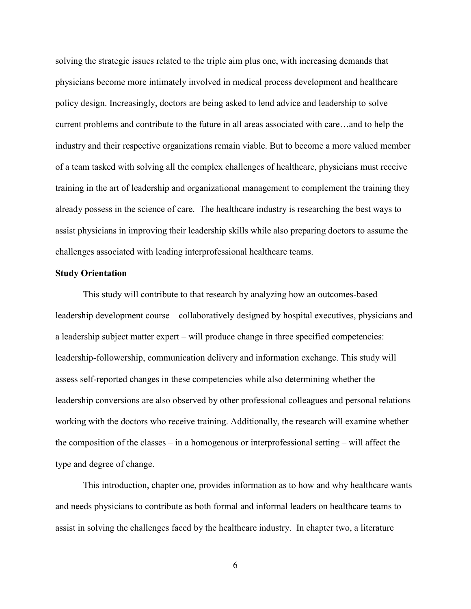solving the strategic issues related to the triple aim plus one, with increasing demands that physicians become more intimately involved in medical process development and healthcare policy design. Increasingly, doctors are being asked to lend advice and leadership to solve current problems and contribute to the future in all areas associated with care…and to help the industry and their respective organizations remain viable. But to become a more valued member of a team tasked with solving all the complex challenges of healthcare, physicians must receive training in the art of leadership and organizational management to complement the training they already possess in the science of care. The healthcare industry is researching the best ways to assist physicians in improving their leadership skills while also preparing doctors to assume the challenges associated with leading interprofessional healthcare teams.

#### **Study Orientation**

This study will contribute to that research by analyzing how an outcomes-based leadership development course – collaboratively designed by hospital executives, physicians and a leadership subject matter expert – will produce change in three specified competencies: leadership-followership, communication delivery and information exchange. This study will assess self-reported changes in these competencies while also determining whether the leadership conversions are also observed by other professional colleagues and personal relations working with the doctors who receive training. Additionally, the research will examine whether the composition of the classes – in a homogenous or interprofessional setting – will affect the type and degree of change.

This introduction, chapter one, provides information as to how and why healthcare wants and needs physicians to contribute as both formal and informal leaders on healthcare teams to assist in solving the challenges faced by the healthcare industry. In chapter two, a literature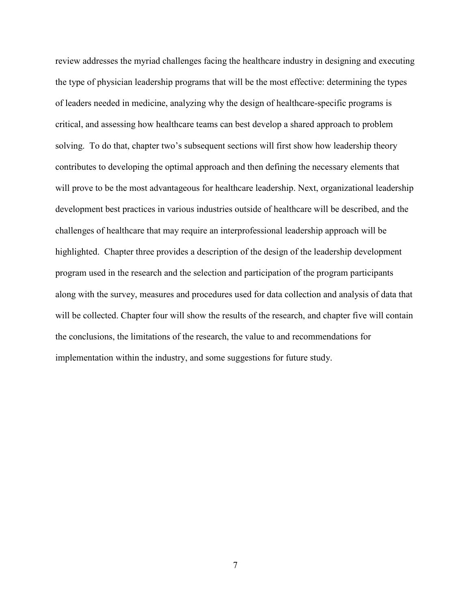review addresses the myriad challenges facing the healthcare industry in designing and executing the type of physician leadership programs that will be the most effective: determining the types of leaders needed in medicine, analyzing why the design of healthcare-specific programs is critical, and assessing how healthcare teams can best develop a shared approach to problem solving. To do that, chapter two's subsequent sections will first show how leadership theory contributes to developing the optimal approach and then defining the necessary elements that will prove to be the most advantageous for healthcare leadership. Next, organizational leadership development best practices in various industries outside of healthcare will be described, and the challenges of healthcare that may require an interprofessional leadership approach will be highlighted. Chapter three provides a description of the design of the leadership development program used in the research and the selection and participation of the program participants along with the survey, measures and procedures used for data collection and analysis of data that will be collected. Chapter four will show the results of the research, and chapter five will contain the conclusions, the limitations of the research, the value to and recommendations for implementation within the industry, and some suggestions for future study.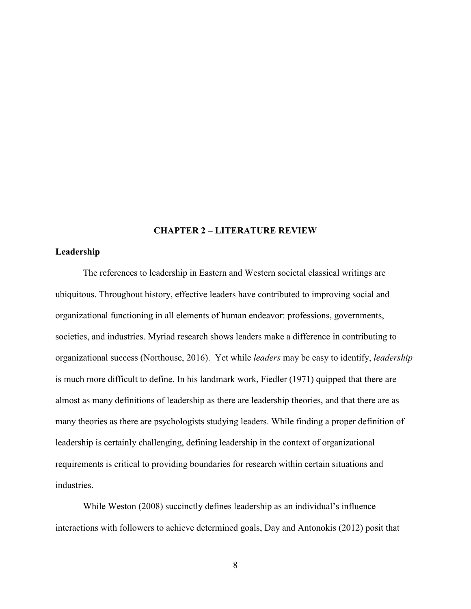#### **CHAPTER 2 – LITERATURE REVIEW**

#### **Leadership**

The references to leadership in Eastern and Western societal classical writings are ubiquitous. Throughout history, effective leaders have contributed to improving social and organizational functioning in all elements of human endeavor: professions, governments, societies, and industries. Myriad research shows leaders make a difference in contributing to organizational success (Northouse, 2016). Yet while *leaders* may be easy to identify, *leadership* is much more difficult to define. In his landmark work, Fiedler (1971) quipped that there are almost as many definitions of leadership as there are leadership theories, and that there are as many theories as there are psychologists studying leaders. While finding a proper definition of leadership is certainly challenging, defining leadership in the context of organizational requirements is critical to providing boundaries for research within certain situations and industries.

While Weston (2008) succinctly defines leadership as an individual's influence interactions with followers to achieve determined goals, Day and Antonokis (2012) posit that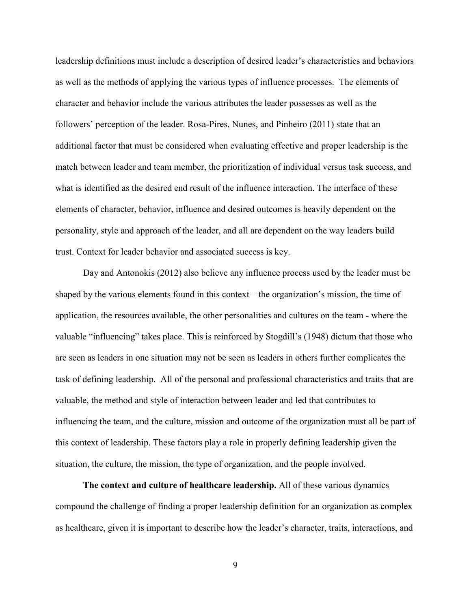leadership definitions must include a description of desired leader's characteristics and behaviors as well as the methods of applying the various types of influence processes. The elements of character and behavior include the various attributes the leader possesses as well as the followers' perception of the leader. Rosa-Pires, Nunes, and Pinheiro (2011) state that an additional factor that must be considered when evaluating effective and proper leadership is the match between leader and team member, the prioritization of individual versus task success, and what is identified as the desired end result of the influence interaction. The interface of these elements of character, behavior, influence and desired outcomes is heavily dependent on the personality, style and approach of the leader, and all are dependent on the way leaders build trust. Context for leader behavior and associated success is key.

Day and Antonokis (2012) also believe any influence process used by the leader must be shaped by the various elements found in this context – the organization's mission, the time of application, the resources available, the other personalities and cultures on the team - where the valuable "influencing" takes place. This is reinforced by Stogdill's (1948) dictum that those who are seen as leaders in one situation may not be seen as leaders in others further complicates the task of defining leadership. All of the personal and professional characteristics and traits that are valuable, the method and style of interaction between leader and led that contributes to influencing the team, and the culture, mission and outcome of the organization must all be part of this context of leadership. These factors play a role in properly defining leadership given the situation, the culture, the mission, the type of organization, and the people involved.

**The context and culture of healthcare leadership.** All of these various dynamics compound the challenge of finding a proper leadership definition for an organization as complex as healthcare, given it is important to describe how the leader's character, traits, interactions, and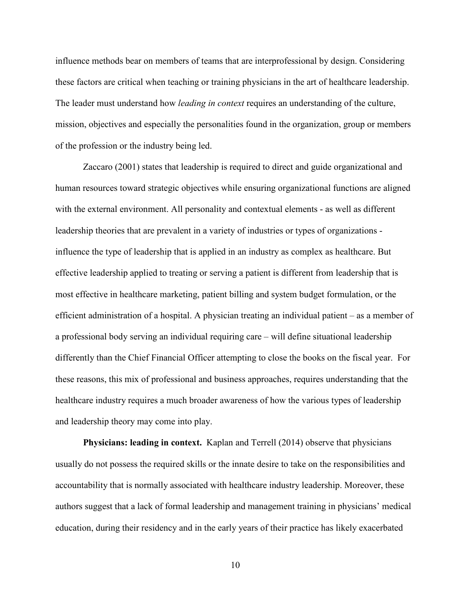influence methods bear on members of teams that are interprofessional by design. Considering these factors are critical when teaching or training physicians in the art of healthcare leadership. The leader must understand how *leading in context* requires an understanding of the culture, mission, objectives and especially the personalities found in the organization, group or members of the profession or the industry being led.

Zaccaro (2001) states that leadership is required to direct and guide organizational and human resources toward strategic objectives while ensuring organizational functions are aligned with the external environment. All personality and contextual elements - as well as different leadership theories that are prevalent in a variety of industries or types of organizations influence the type of leadership that is applied in an industry as complex as healthcare. But effective leadership applied to treating or serving a patient is different from leadership that is most effective in healthcare marketing, patient billing and system budget formulation, or the efficient administration of a hospital. A physician treating an individual patient – as a member of a professional body serving an individual requiring care – will define situational leadership differently than the Chief Financial Officer attempting to close the books on the fiscal year. For these reasons, this mix of professional and business approaches, requires understanding that the healthcare industry requires a much broader awareness of how the various types of leadership and leadership theory may come into play.

**Physicians: leading in context.** Kaplan and Terrell (2014) observe that physicians usually do not possess the required skills or the innate desire to take on the responsibilities and accountability that is normally associated with healthcare industry leadership. Moreover, these authors suggest that a lack of formal leadership and management training in physicians' medical education, during their residency and in the early years of their practice has likely exacerbated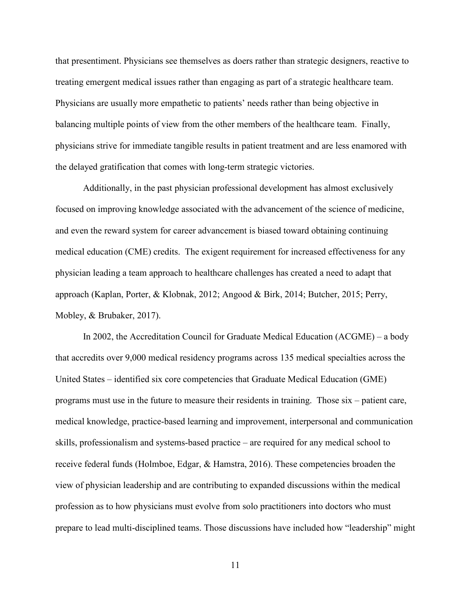that presentiment. Physicians see themselves as doers rather than strategic designers, reactive to treating emergent medical issues rather than engaging as part of a strategic healthcare team. Physicians are usually more empathetic to patients' needs rather than being objective in balancing multiple points of view from the other members of the healthcare team. Finally, physicians strive for immediate tangible results in patient treatment and are less enamored with the delayed gratification that comes with long-term strategic victories.

Additionally, in the past physician professional development has almost exclusively focused on improving knowledge associated with the advancement of the science of medicine, and even the reward system for career advancement is biased toward obtaining continuing medical education (CME) credits. The exigent requirement for increased effectiveness for any physician leading a team approach to healthcare challenges has created a need to adapt that approach (Kaplan, Porter, & Klobnak, 2012; Angood & Birk, 2014; Butcher, 2015; Perry, Mobley, & Brubaker, 2017).

In 2002, the Accreditation Council for Graduate Medical Education (ACGME) – a body that accredits over 9,000 medical residency programs across 135 medical specialties across the United States – identified six core competencies that Graduate Medical Education (GME) programs must use in the future to measure their residents in training. Those six – patient care, medical knowledge, practice-based learning and improvement, interpersonal and communication skills, professionalism and systems-based practice – are required for any medical school to receive federal funds (Holmboe, Edgar, & Hamstra, 2016). These competencies broaden the view of physician leadership and are contributing to expanded discussions within the medical profession as to how physicians must evolve from solo practitioners into doctors who must prepare to lead multi-disciplined teams. Those discussions have included how "leadership" might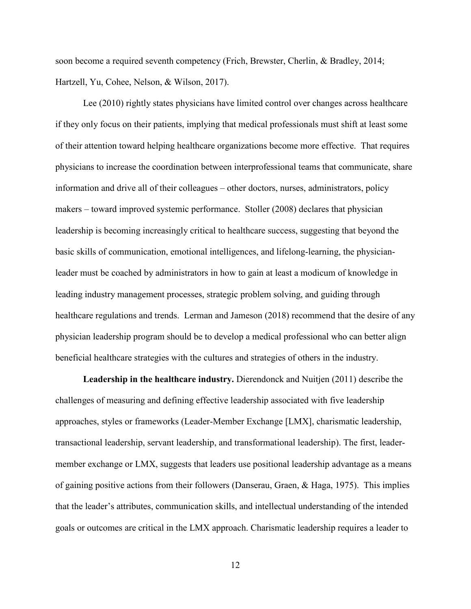soon become a required seventh competency (Frich, Brewster, Cherlin, & Bradley, 2014; Hartzell, Yu, Cohee, Nelson, & Wilson, 2017).

Lee (2010) rightly states physicians have limited control over changes across healthcare if they only focus on their patients, implying that medical professionals must shift at least some of their attention toward helping healthcare organizations become more effective. That requires physicians to increase the coordination between interprofessional teams that communicate, share information and drive all of their colleagues – other doctors, nurses, administrators, policy makers – toward improved systemic performance. Stoller (2008) declares that physician leadership is becoming increasingly critical to healthcare success, suggesting that beyond the basic skills of communication, emotional intelligences, and lifelong-learning, the physicianleader must be coached by administrators in how to gain at least a modicum of knowledge in leading industry management processes, strategic problem solving, and guiding through healthcare regulations and trends. Lerman and Jameson (2018) recommend that the desire of any physician leadership program should be to develop a medical professional who can better align beneficial healthcare strategies with the cultures and strategies of others in the industry.

**Leadership in the healthcare industry.** Dierendonck and Nuitjen (2011) describe the challenges of measuring and defining effective leadership associated with five leadership approaches, styles or frameworks (Leader-Member Exchange [LMX], charismatic leadership, transactional leadership, servant leadership, and transformational leadership). The first, leadermember exchange or LMX, suggests that leaders use positional leadership advantage as a means of gaining positive actions from their followers (Danserau, Graen, & Haga, 1975). This implies that the leader's attributes, communication skills, and intellectual understanding of the intended goals or outcomes are critical in the LMX approach. Charismatic leadership requires a leader to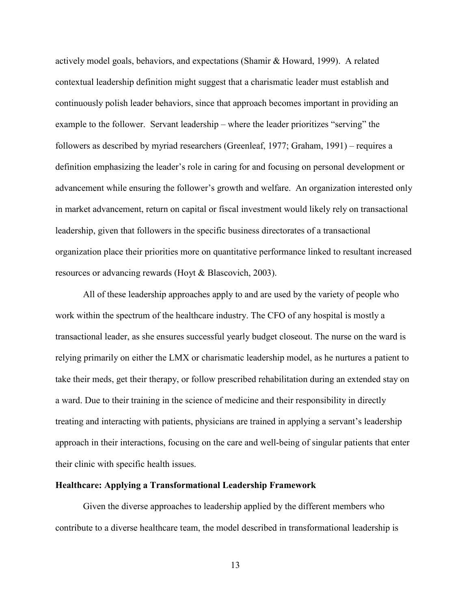actively model goals, behaviors, and expectations (Shamir & Howard, 1999). A related contextual leadership definition might suggest that a charismatic leader must establish and continuously polish leader behaviors, since that approach becomes important in providing an example to the follower. Servant leadership – where the leader prioritizes "serving" the followers as described by myriad researchers (Greenleaf, 1977; Graham, 1991) – requires a definition emphasizing the leader's role in caring for and focusing on personal development or advancement while ensuring the follower's growth and welfare. An organization interested only in market advancement, return on capital or fiscal investment would likely rely on transactional leadership, given that followers in the specific business directorates of a transactional organization place their priorities more on quantitative performance linked to resultant increased resources or advancing rewards (Hoyt & Blascovich, 2003).

All of these leadership approaches apply to and are used by the variety of people who work within the spectrum of the healthcare industry. The CFO of any hospital is mostly a transactional leader, as she ensures successful yearly budget closeout. The nurse on the ward is relying primarily on either the LMX or charismatic leadership model, as he nurtures a patient to take their meds, get their therapy, or follow prescribed rehabilitation during an extended stay on a ward. Due to their training in the science of medicine and their responsibility in directly treating and interacting with patients, physicians are trained in applying a servant's leadership approach in their interactions, focusing on the care and well-being of singular patients that enter their clinic with specific health issues.

#### **Healthcare: Applying a Transformational Leadership Framework**

Given the diverse approaches to leadership applied by the different members who contribute to a diverse healthcare team, the model described in transformational leadership is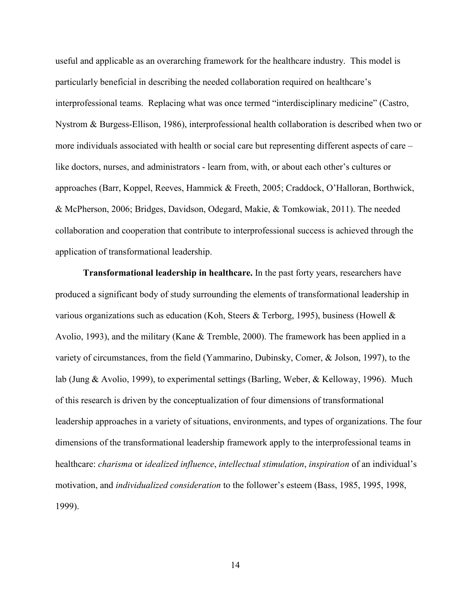useful and applicable as an overarching framework for the healthcare industry. This model is particularly beneficial in describing the needed collaboration required on healthcare's interprofessional teams. Replacing what was once termed "interdisciplinary medicine" (Castro, Nystrom & Burgess-Ellison, 1986), interprofessional health collaboration is described when two or more individuals associated with health or social care but representing different aspects of care – like doctors, nurses, and administrators - learn from, with, or about each other's cultures or approaches (Barr, Koppel, Reeves, Hammick & Freeth, 2005; Craddock, O'Halloran, Borthwick, & McPherson, 2006; Bridges, Davidson, Odegard, Makie, & Tomkowiak, 2011). The needed collaboration and cooperation that contribute to interprofessional success is achieved through the application of transformational leadership.

**Transformational leadership in healthcare.** In the past forty years, researchers have produced a significant body of study surrounding the elements of transformational leadership in various organizations such as education (Koh, Steers & Terborg, 1995), business (Howell & Avolio, 1993), and the military (Kane & Tremble, 2000). The framework has been applied in a variety of circumstances, from the field (Yammarino, Dubinsky, Comer, & Jolson, 1997), to the lab (Jung & Avolio, 1999), to experimental settings (Barling, Weber, & Kelloway, 1996). Much of this research is driven by the conceptualization of four dimensions of transformational leadership approaches in a variety of situations, environments, and types of organizations. The four dimensions of the transformational leadership framework apply to the interprofessional teams in healthcare: *charisma* or *idealized influence*, *intellectual stimulation*, *inspiration* of an individual's motivation, and *individualized consideration* to the follower's esteem (Bass, 1985, 1995, 1998, 1999).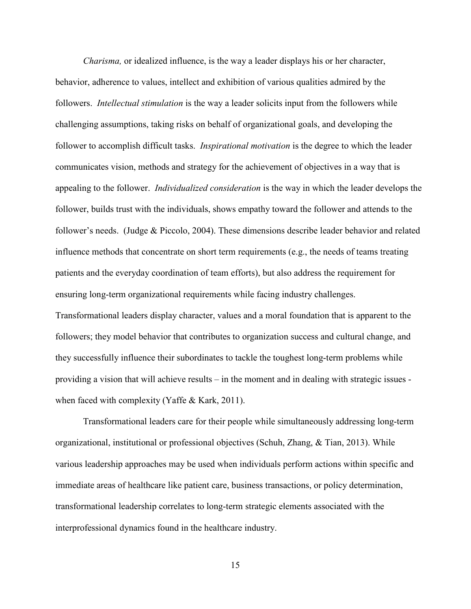*Charisma,* or idealized influence, is the way a leader displays his or her character, behavior, adherence to values, intellect and exhibition of various qualities admired by the followers. *Intellectual stimulation* is the way a leader solicits input from the followers while challenging assumptions, taking risks on behalf of organizational goals, and developing the follower to accomplish difficult tasks. *Inspirational motivation* is the degree to which the leader communicates vision, methods and strategy for the achievement of objectives in a way that is appealing to the follower. *Individualized consideration* is the way in which the leader develops the follower, builds trust with the individuals, shows empathy toward the follower and attends to the follower's needs. (Judge & Piccolo, 2004). These dimensions describe leader behavior and related influence methods that concentrate on short term requirements (e.g., the needs of teams treating patients and the everyday coordination of team efforts), but also address the requirement for ensuring long-term organizational requirements while facing industry challenges. Transformational leaders display character, values and a moral foundation that is apparent to the followers; they model behavior that contributes to organization success and cultural change, and they successfully influence their subordinates to tackle the toughest long-term problems while providing a vision that will achieve results – in the moment and in dealing with strategic issues when faced with complexity (Yaffe & Kark, 2011).

Transformational leaders care for their people while simultaneously addressing long-term organizational, institutional or professional objectives (Schuh, Zhang, & Tian, 2013). While various leadership approaches may be used when individuals perform actions within specific and immediate areas of healthcare like patient care, business transactions, or policy determination, transformational leadership correlates to long-term strategic elements associated with the interprofessional dynamics found in the healthcare industry.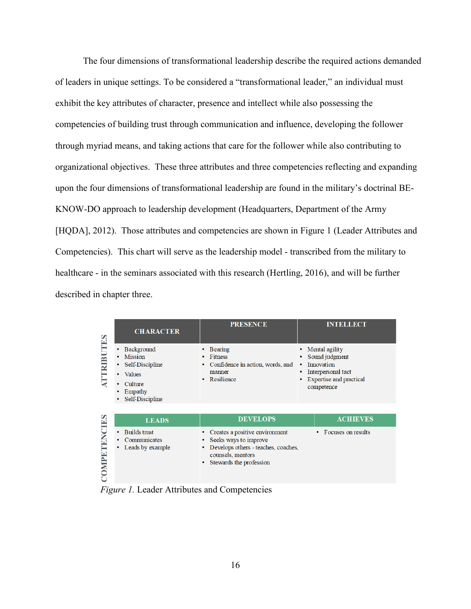The four dimensions of transformational leadership describe the required actions demanded of leaders in unique settings. To be considered a "transformational leader," an individual must exhibit the key attributes of character, presence and intellect while also possessing the competencies of building trust through communication and influence, developing the follower through myriad means, and taking actions that care for the follower while also contributing to organizational objectives. These three attributes and three competencies reflecting and expanding upon the four dimensions of transformational leadership are found in the military's doctrinal BE-KNOW-DO approach to leadership development (Headquarters, Department of the Army [HQDA], 2012). Those attributes and competencies are shown in Figure 1 (Leader Attributes and Competencies). This chart will serve as the leadership model - transcribed from the military to healthcare - in the seminars associated with this research (Hertling, 2016), and will be further described in chapter three.

| ES<br><b>OMPETENCIES</b> | <b>CHARACTER</b>                                                                                               | <b>PRESENCE</b>                                                                                                                                          |   | <b>INTELLECT</b>                                                                                                     |
|--------------------------|----------------------------------------------------------------------------------------------------------------|----------------------------------------------------------------------------------------------------------------------------------------------------------|---|----------------------------------------------------------------------------------------------------------------------|
|                          | Background<br><b>Mission</b><br>Self-Discipline<br><b>Values</b><br>٠<br>Culture<br>Empathy<br>Self-Discipline | <b>Bearing</b><br><b>Fitness</b><br>Confidence in action, words, and<br>manner<br>Resilience<br>٠                                                        | ٠ | Mental agility<br>Sound judgment<br>Innovation<br>Interpersonal tact<br><b>Expertise and practical</b><br>competence |
|                          | <b>LEADS</b>                                                                                                   | <b>DEVELOPS</b>                                                                                                                                          |   | <b>ACHIEVES</b>                                                                                                      |
|                          | <b>Builds trust</b><br>Communicates<br>Leads by example                                                        | Creates a positive environment<br>Seeks ways to improve<br>Develops others - teaches, coaches,<br>٠<br>counsels, mentors<br>Stewards the profession<br>٠ |   | Focuses on results                                                                                                   |

*Figure 1.* Leader Attributes and Competencies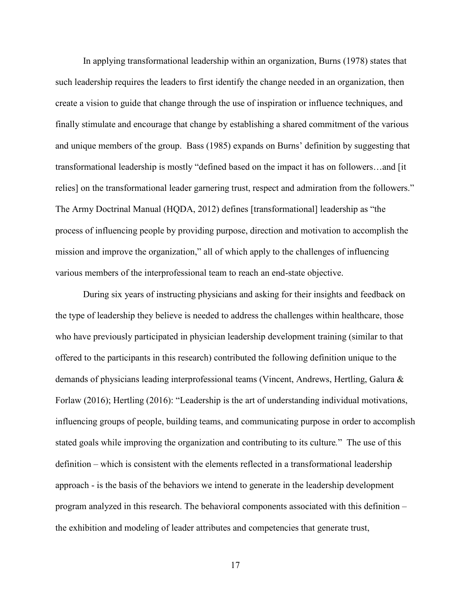In applying transformational leadership within an organization, Burns (1978) states that such leadership requires the leaders to first identify the change needed in an organization, then create a vision to guide that change through the use of inspiration or influence techniques, and finally stimulate and encourage that change by establishing a shared commitment of the various and unique members of the group. Bass (1985) expands on Burns' definition by suggesting that transformational leadership is mostly "defined based on the impact it has on followers…and [it relies] on the transformational leader garnering trust, respect and admiration from the followers." The Army Doctrinal Manual (HQDA, 2012) defines [transformational] leadership as "the process of influencing people by providing purpose, direction and motivation to accomplish the mission and improve the organization," all of which apply to the challenges of influencing various members of the interprofessional team to reach an end-state objective.

During six years of instructing physicians and asking for their insights and feedback on the type of leadership they believe is needed to address the challenges within healthcare, those who have previously participated in physician leadership development training (similar to that offered to the participants in this research) contributed the following definition unique to the demands of physicians leading interprofessional teams (Vincent, Andrews, Hertling, Galura & Forlaw (2016); Hertling (2016): "Leadership is the art of understanding individual motivations, influencing groups of people, building teams, and communicating purpose in order to accomplish stated goals while improving the organization and contributing to its culture*.*" The use of this definition – which is consistent with the elements reflected in a transformational leadership approach - is the basis of the behaviors we intend to generate in the leadership development program analyzed in this research. The behavioral components associated with this definition – the exhibition and modeling of leader attributes and competencies that generate trust,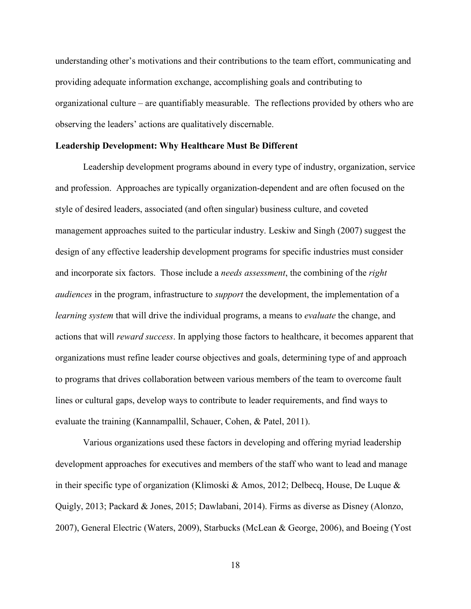understanding other's motivations and their contributions to the team effort, communicating and providing adequate information exchange, accomplishing goals and contributing to organizational culture – are quantifiably measurable. The reflections provided by others who are observing the leaders' actions are qualitatively discernable.

#### **Leadership Development: Why Healthcare Must Be Different**

Leadership development programs abound in every type of industry, organization, service and profession. Approaches are typically organization-dependent and are often focused on the style of desired leaders, associated (and often singular) business culture, and coveted management approaches suited to the particular industry. Leskiw and Singh (2007) suggest the design of any effective leadership development programs for specific industries must consider and incorporate six factors. Those include a *needs assessment*, the combining of the *right audiences* in the program, infrastructure to *support* the development, the implementation of a *learning system* that will drive the individual programs, a means to *evaluate* the change, and actions that will *reward success*. In applying those factors to healthcare, it becomes apparent that organizations must refine leader course objectives and goals, determining type of and approach to programs that drives collaboration between various members of the team to overcome fault lines or cultural gaps, develop ways to contribute to leader requirements, and find ways to evaluate the training (Kannampallil, Schauer, Cohen, & Patel, 2011).

Various organizations used these factors in developing and offering myriad leadership development approaches for executives and members of the staff who want to lead and manage in their specific type of organization (Klimoski & Amos, 2012; Delbecq, House, De Luque  $\&$ Quigly, 2013; Packard & Jones, 2015; Dawlabani, 2014). Firms as diverse as Disney (Alonzo, 2007), General Electric (Waters, 2009), Starbucks (McLean & George, 2006), and Boeing (Yost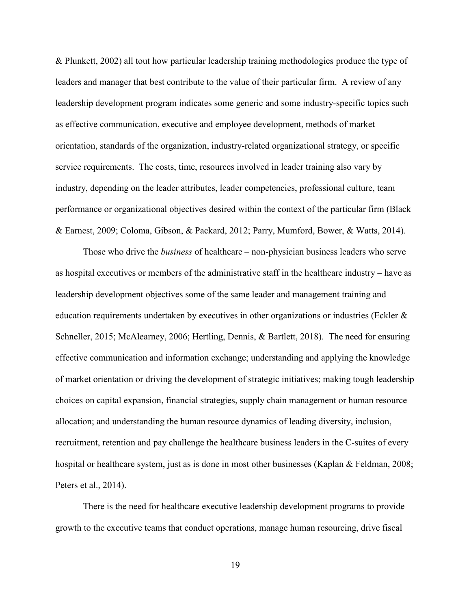& Plunkett, 2002) all tout how particular leadership training methodologies produce the type of leaders and manager that best contribute to the value of their particular firm. A review of any leadership development program indicates some generic and some industry-specific topics such as effective communication, executive and employee development, methods of market orientation, standards of the organization, industry-related organizational strategy, or specific service requirements. The costs, time, resources involved in leader training also vary by industry, depending on the leader attributes, leader competencies, professional culture, team performance or organizational objectives desired within the context of the particular firm (Black & Earnest, 2009; Coloma, Gibson, & Packard, 2012; Parry, Mumford, Bower, & Watts, 2014).

Those who drive the *business* of healthcare – non-physician business leaders who serve as hospital executives or members of the administrative staff in the healthcare industry – have as leadership development objectives some of the same leader and management training and education requirements undertaken by executives in other organizations or industries (Eckler & Schneller, 2015; McAlearney, 2006; Hertling, Dennis, & Bartlett, 2018). The need for ensuring effective communication and information exchange; understanding and applying the knowledge of market orientation or driving the development of strategic initiatives; making tough leadership choices on capital expansion, financial strategies, supply chain management or human resource allocation; and understanding the human resource dynamics of leading diversity, inclusion, recruitment, retention and pay challenge the healthcare business leaders in the C-suites of every hospital or healthcare system, just as is done in most other businesses (Kaplan & Feldman, 2008; Peters et al., 2014).

There is the need for healthcare executive leadership development programs to provide growth to the executive teams that conduct operations, manage human resourcing, drive fiscal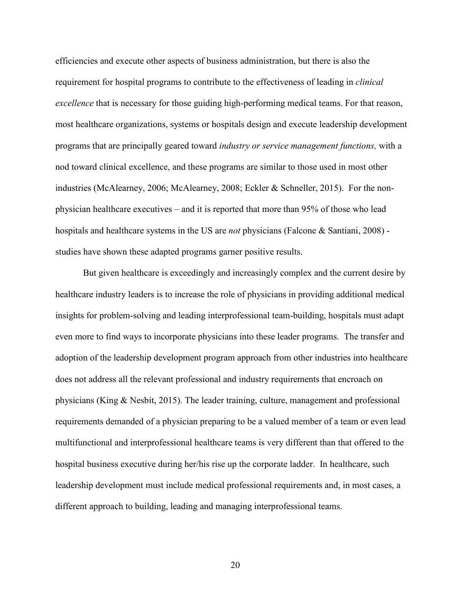efficiencies and execute other aspects of business administration, but there is also the requirement for hospital programs to contribute to the effectiveness of leading in *clinical excellence* that is necessary for those guiding high-performing medical teams. For that reason, most healthcare organizations, systems or hospitals design and execute leadership development programs that are principally geared toward *industry or service management functions,* with a nod toward clinical excellence, and these programs are similar to those used in most other industries (McAlearney, 2006; McAlearney, 2008; Eckler & Schneller, 2015). For the nonphysician healthcare executives – and it is reported that more than 95% of those who lead hospitals and healthcare systems in the US are *not* physicians (Falcone & Santiani, 2008) studies have shown these adapted programs garner positive results.

But given healthcare is exceedingly and increasingly complex and the current desire by healthcare industry leaders is to increase the role of physicians in providing additional medical insights for problem-solving and leading interprofessional team-building, hospitals must adapt even more to find ways to incorporate physicians into these leader programs. The transfer and adoption of the leadership development program approach from other industries into healthcare does not address all the relevant professional and industry requirements that encroach on physicians (King & Nesbit, 2015). The leader training, culture, management and professional requirements demanded of a physician preparing to be a valued member of a team or even lead multifunctional and interprofessional healthcare teams is very different than that offered to the hospital business executive during her/his rise up the corporate ladder. In healthcare, such leadership development must include medical professional requirements and, in most cases, a different approach to building, leading and managing interprofessional teams.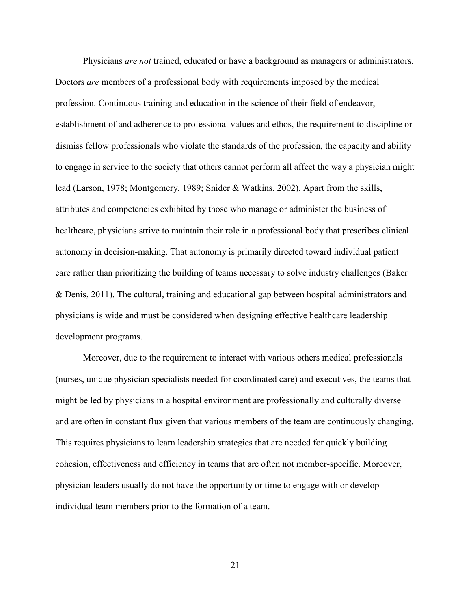Physicians *are not* trained, educated or have a background as managers or administrators. Doctors *are* members of a professional body with requirements imposed by the medical profession. Continuous training and education in the science of their field of endeavor, establishment of and adherence to professional values and ethos, the requirement to discipline or dismiss fellow professionals who violate the standards of the profession, the capacity and ability to engage in service to the society that others cannot perform all affect the way a physician might lead (Larson, 1978; Montgomery, 1989; Snider & Watkins, 2002). Apart from the skills, attributes and competencies exhibited by those who manage or administer the business of healthcare, physicians strive to maintain their role in a professional body that prescribes clinical autonomy in decision-making. That autonomy is primarily directed toward individual patient care rather than prioritizing the building of teams necessary to solve industry challenges (Baker & Denis, 2011). The cultural, training and educational gap between hospital administrators and physicians is wide and must be considered when designing effective healthcare leadership development programs.

Moreover, due to the requirement to interact with various others medical professionals (nurses, unique physician specialists needed for coordinated care) and executives, the teams that might be led by physicians in a hospital environment are professionally and culturally diverse and are often in constant flux given that various members of the team are continuously changing. This requires physicians to learn leadership strategies that are needed for quickly building cohesion, effectiveness and efficiency in teams that are often not member-specific. Moreover, physician leaders usually do not have the opportunity or time to engage with or develop individual team members prior to the formation of a team.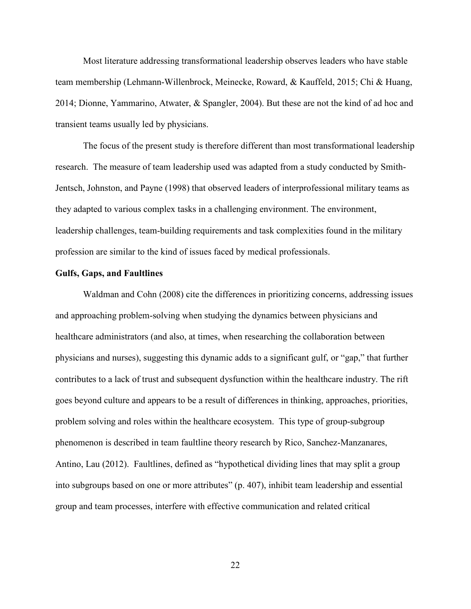Most literature addressing transformational leadership observes leaders who have stable team membership (Lehmann-Willenbrock, Meinecke, Roward, & Kauffeld, 2015; Chi & Huang, 2014; Dionne, Yammarino, Atwater, & Spangler, 2004). But these are not the kind of ad hoc and transient teams usually led by physicians.

The focus of the present study is therefore different than most transformational leadership research. The measure of team leadership used was adapted from a study conducted by Smith-Jentsch, Johnston, and Payne (1998) that observed leaders of interprofessional military teams as they adapted to various complex tasks in a challenging environment. The environment, leadership challenges, team-building requirements and task complexities found in the military profession are similar to the kind of issues faced by medical professionals.

#### **Gulfs, Gaps, and Faultlines**

Waldman and Cohn (2008) cite the differences in prioritizing concerns, addressing issues and approaching problem-solving when studying the dynamics between physicians and healthcare administrators (and also, at times, when researching the collaboration between physicians and nurses), suggesting this dynamic adds to a significant gulf, or "gap," that further contributes to a lack of trust and subsequent dysfunction within the healthcare industry. The rift goes beyond culture and appears to be a result of differences in thinking, approaches, priorities, problem solving and roles within the healthcare ecosystem. This type of group-subgroup phenomenon is described in team faultline theory research by Rico, Sanchez-Manzanares, Antino, Lau (2012). Faultlines, defined as "hypothetical dividing lines that may split a group into subgroups based on one or more attributes" (p. 407), inhibit team leadership and essential group and team processes, interfere with effective communication and related critical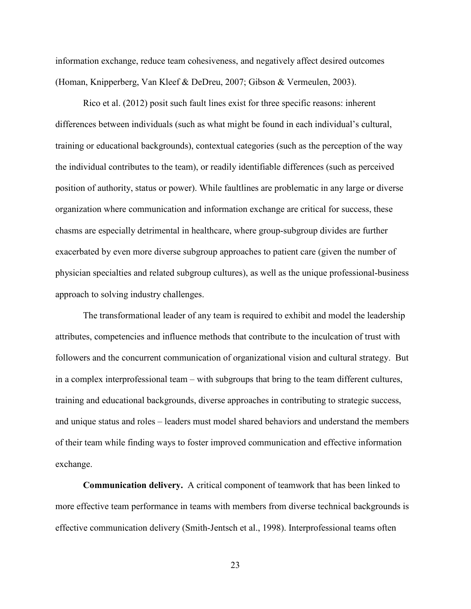information exchange, reduce team cohesiveness, and negatively affect desired outcomes (Homan, Knipperberg, Van Kleef & DeDreu, 2007; Gibson & Vermeulen, 2003).

Rico et al. (2012) posit such fault lines exist for three specific reasons: inherent differences between individuals (such as what might be found in each individual's cultural, training or educational backgrounds), contextual categories (such as the perception of the way the individual contributes to the team), or readily identifiable differences (such as perceived position of authority, status or power). While faultlines are problematic in any large or diverse organization where communication and information exchange are critical for success, these chasms are especially detrimental in healthcare, where group-subgroup divides are further exacerbated by even more diverse subgroup approaches to patient care (given the number of physician specialties and related subgroup cultures), as well as the unique professional-business approach to solving industry challenges.

The transformational leader of any team is required to exhibit and model the leadership attributes, competencies and influence methods that contribute to the inculcation of trust with followers and the concurrent communication of organizational vision and cultural strategy. But in a complex interprofessional team – with subgroups that bring to the team different cultures, training and educational backgrounds, diverse approaches in contributing to strategic success, and unique status and roles – leaders must model shared behaviors and understand the members of their team while finding ways to foster improved communication and effective information exchange.

**Communication delivery.** A critical component of teamwork that has been linked to more effective team performance in teams with members from diverse technical backgrounds is effective communication delivery (Smith-Jentsch et al., 1998). Interprofessional teams often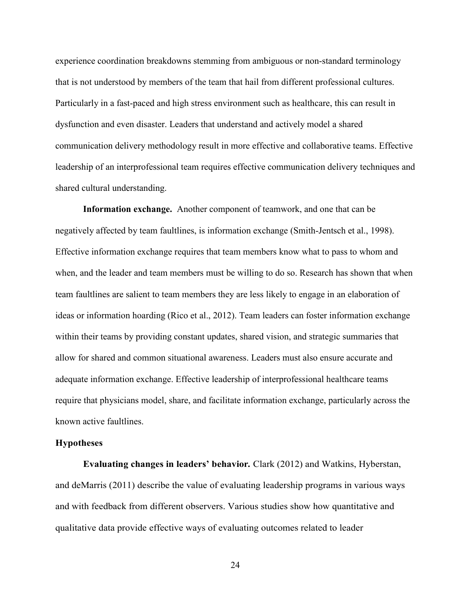experience coordination breakdowns stemming from ambiguous or non-standard terminology that is not understood by members of the team that hail from different professional cultures. Particularly in a fast-paced and high stress environment such as healthcare, this can result in dysfunction and even disaster. Leaders that understand and actively model a shared communication delivery methodology result in more effective and collaborative teams. Effective leadership of an interprofessional team requires effective communication delivery techniques and shared cultural understanding.

**Information exchange.** Another component of teamwork, and one that can be negatively affected by team faultlines, is information exchange (Smith-Jentsch et al., 1998). Effective information exchange requires that team members know what to pass to whom and when, and the leader and team members must be willing to do so. Research has shown that when team faultlines are salient to team members they are less likely to engage in an elaboration of ideas or information hoarding (Rico et al., 2012). Team leaders can foster information exchange within their teams by providing constant updates, shared vision, and strategic summaries that allow for shared and common situational awareness. Leaders must also ensure accurate and adequate information exchange. Effective leadership of interprofessional healthcare teams require that physicians model, share, and facilitate information exchange, particularly across the known active faultlines.

#### **Hypotheses**

**Evaluating changes in leaders' behavior***.* Clark (2012) and Watkins, Hyberstan, and deMarris (2011) describe the value of evaluating leadership programs in various ways and with feedback from different observers. Various studies show how quantitative and qualitative data provide effective ways of evaluating outcomes related to leader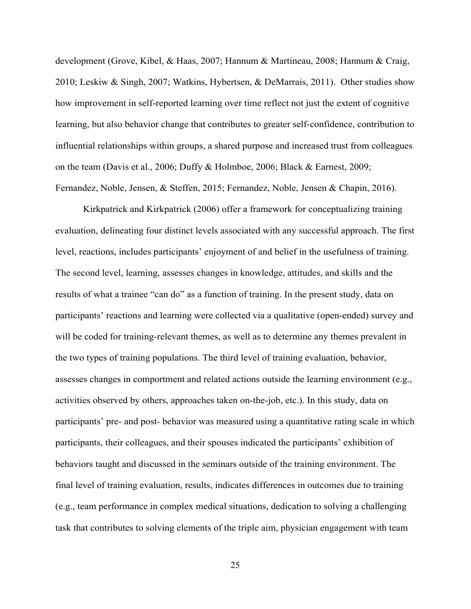development (Grove, Kibel, & Haas, 2007; Hannum & Martineau, 2008; Hannum & Craig, 2010; Leskiw & Singh, 2007; Watkins, Hybertsen, & DeMarrais, 2011). Other studies show how improvement in self-reported learning over time reflect not just the extent of cognitive learning, but also behavior change that contributes to greater self-confidence, contribution to influential relationships within groups, a shared purpose and increased trust from colleagues on the team (Davis et al., 2006; Duffy & Holmboe, 2006; Black & Earnest, 2009; Fernandez, Noble, Jensen, & Steffen, 2015; Fernandez, Noble, Jensen & Chapin, 2016).

Kirkpatrick and Kirkpatrick (2006) offer a framework for conceptualizing training evaluation, delineating four distinct levels associated with any successful approach. The first level, reactions, includes participants' enjoyment of and belief in the usefulness of training. The second level, learning, assesses changes in knowledge, attitudes, and skills and the results of what a trainee "can do" as a function of training. In the present study, data on participants' reactions and learning were collected via a qualitative (open-ended) survey and will be coded for training-relevant themes, as well as to determine any themes prevalent in the two types of training populations. The third level of training evaluation, behavior, assesses changes in comportment and related actions outside the learning environment (e.g., activities observed by others, approaches taken on-the-job, etc.). In this study, data on participants' pre- and post- behavior was measured using a quantitative rating scale in which participants, their colleagues, and their spouses indicated the participants' exhibition of behaviors taught and discussed in the seminars outside of the training environment. The final level of training evaluation, results, indicates differences in outcomes due to training (e.g., team performance in complex medical situations, dedication to solving a challenging task that contributes to solving elements of the triple aim, physician engagement with team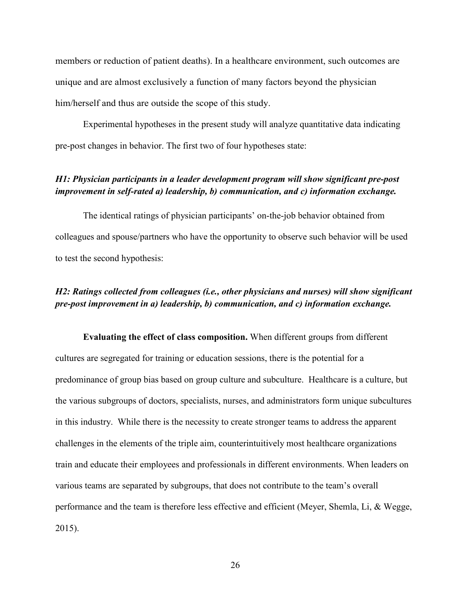members or reduction of patient deaths). In a healthcare environment, such outcomes are unique and are almost exclusively a function of many factors beyond the physician him/herself and thus are outside the scope of this study.

Experimental hypotheses in the present study will analyze quantitative data indicating pre-post changes in behavior. The first two of four hypotheses state:

### *H1: Physician participants in a leader development program will show significant pre-post improvement in self-rated a) leadership, b) communication, and c) information exchange.*

The identical ratings of physician participants' on-the-job behavior obtained from colleagues and spouse/partners who have the opportunity to observe such behavior will be used to test the second hypothesis:

### *H2: Ratings collected from colleagues (i.e., other physicians and nurses) will show significant pre-post improvement in a) leadership, b) communication, and c) information exchange.*

**Evaluating the effect of class composition.** When different groups from different cultures are segregated for training or education sessions, there is the potential for a predominance of group bias based on group culture and subculture. Healthcare is a culture, but the various subgroups of doctors, specialists, nurses, and administrators form unique subcultures in this industry. While there is the necessity to create stronger teams to address the apparent challenges in the elements of the triple aim, counterintuitively most healthcare organizations train and educate their employees and professionals in different environments. When leaders on various teams are separated by subgroups, that does not contribute to the team's overall performance and the team is therefore less effective and efficient (Meyer, Shemla, Li, & Wegge, 2015).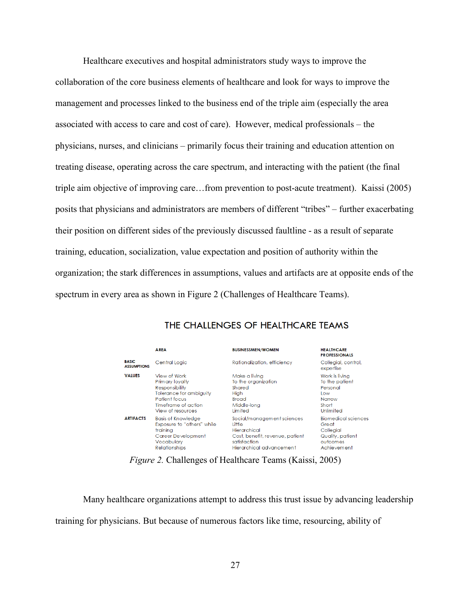Healthcare executives and hospital administrators study ways to improve the collaboration of the core business elements of healthcare and look for ways to improve the management and processes linked to the business end of the triple aim (especially the area associated with access to care and cost of care). However, medical professionals – the physicians, nurses, and clinicians – primarily focus their training and education attention on treating disease, operating across the care spectrum, and interacting with the patient (the final triple aim objective of improving care…from prevention to post-acute treatment). Kaissi (2005) posits that physicians and administrators are members of different "tribes" – further exacerbating their position on different sides of the previously discussed faultline - as a result of separate training, education, socialization, value expectation and position of authority within the organization; the stark differences in assumptions, values and artifacts are at opposite ends of the spectrum in every area as shown in Figure 2 (Challenges of Healthcare Teams).

|                                    | <b>AREA</b>                | <b>BUSINESSMEN/WOMEN</b>        | <b>HEALTHCARE</b><br><b>PROFESSIONALS</b> |
|------------------------------------|----------------------------|---------------------------------|-------------------------------------------|
| <b>BASIC</b><br><b>ASSUMPTIONS</b> | Central Logic              | Rationalization, efficiency     | Collegial, control,<br>expertise          |
| <b>VALUES</b>                      | View of Work               | Make a livina                   | Work is living                            |
|                                    | Primary loyalty            | To the organization             | To the patient                            |
|                                    | Responsibility             | Shared                          | Personal                                  |
|                                    | Tolerance for ambiguity    | High                            | <b>Low</b>                                |
|                                    | Patient focus              | <b>Broad</b>                    | Narrow                                    |
|                                    | Timeframe of action.       | Middle-long                     | Short                                     |
|                                    | View of resources          | Limited                         | Unlimited                                 |
| <b>ARTIFACTS</b>                   | <b>Basis of Knowledge</b>  | Social/management sciences      | <b>Biomedical sciences</b>                |
|                                    | Exposure to "others" while | <b>little</b>                   | Great                                     |
|                                    | trainina                   | Hierarchical                    | Collegial                                 |
|                                    | Career Development         | Cost, benefit, revenue, patient | Quality, patient                          |
|                                    | Vocabulary                 | satisfaction                    | outcomes                                  |
|                                    | <b>Relationships</b>       | Hierarchical advancement        | Achievement                               |

# THE CHALLENGES OF HEALTHCARE TEAMS

*Figure 2.* Challenges of Healthcare Teams (Kaissi, 2005)

Many healthcare organizations attempt to address this trust issue by advancing leadership training for physicians. But because of numerous factors like time, resourcing, ability of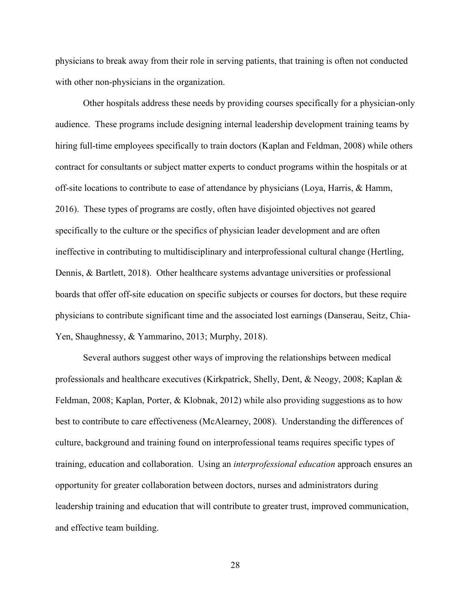physicians to break away from their role in serving patients, that training is often not conducted with other non-physicians in the organization.

Other hospitals address these needs by providing courses specifically for a physician-only audience. These programs include designing internal leadership development training teams by hiring full-time employees specifically to train doctors (Kaplan and Feldman, 2008) while others contract for consultants or subject matter experts to conduct programs within the hospitals or at off-site locations to contribute to ease of attendance by physicians (Loya, Harris, & Hamm, 2016). These types of programs are costly, often have disjointed objectives not geared specifically to the culture or the specifics of physician leader development and are often ineffective in contributing to multidisciplinary and interprofessional cultural change (Hertling, Dennis, & Bartlett, 2018). Other healthcare systems advantage universities or professional boards that offer off-site education on specific subjects or courses for doctors, but these require physicians to contribute significant time and the associated lost earnings (Danserau, Seitz, Chia-Yen, Shaughnessy, & Yammarino, 2013; Murphy, 2018).

Several authors suggest other ways of improving the relationships between medical professionals and healthcare executives (Kirkpatrick, Shelly, Dent, & Neogy, 2008; Kaplan & Feldman, 2008; Kaplan, Porter, & Klobnak, 2012) while also providing suggestions as to how best to contribute to care effectiveness (McAlearney, 2008). Understanding the differences of culture, background and training found on interprofessional teams requires specific types of training, education and collaboration. Using an *interprofessional education* approach ensures an opportunity for greater collaboration between doctors, nurses and administrators during leadership training and education that will contribute to greater trust, improved communication, and effective team building.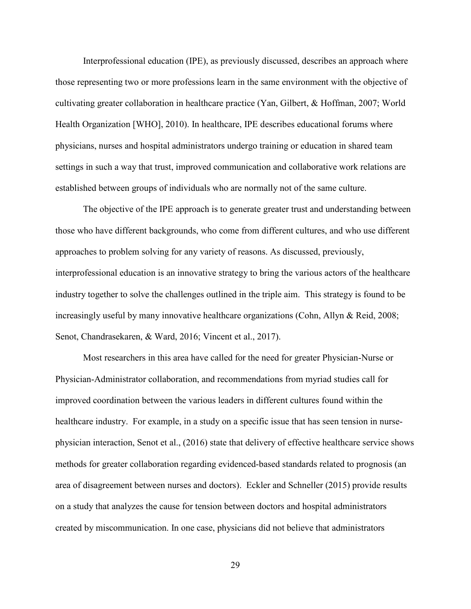Interprofessional education (IPE), as previously discussed, describes an approach where those representing two or more professions learn in the same environment with the objective of cultivating greater collaboration in healthcare practice (Yan, Gilbert, & Hoffman, 2007; World Health Organization [WHO], 2010). In healthcare, IPE describes educational forums where physicians, nurses and hospital administrators undergo training or education in shared team settings in such a way that trust, improved communication and collaborative work relations are established between groups of individuals who are normally not of the same culture.

The objective of the IPE approach is to generate greater trust and understanding between those who have different backgrounds, who come from different cultures, and who use different approaches to problem solving for any variety of reasons. As discussed, previously, interprofessional education is an innovative strategy to bring the various actors of the healthcare industry together to solve the challenges outlined in the triple aim. This strategy is found to be increasingly useful by many innovative healthcare organizations (Cohn, Allyn & Reid, 2008; Senot, Chandrasekaren, & Ward, 2016; Vincent et al., 2017).

Most researchers in this area have called for the need for greater Physician-Nurse or Physician-Administrator collaboration, and recommendations from myriad studies call for improved coordination between the various leaders in different cultures found within the healthcare industry. For example, in a study on a specific issue that has seen tension in nursephysician interaction, Senot et al., (2016) state that delivery of effective healthcare service shows methods for greater collaboration regarding evidenced-based standards related to prognosis (an area of disagreement between nurses and doctors). Eckler and Schneller (2015) provide results on a study that analyzes the cause for tension between doctors and hospital administrators created by miscommunication. In one case, physicians did not believe that administrators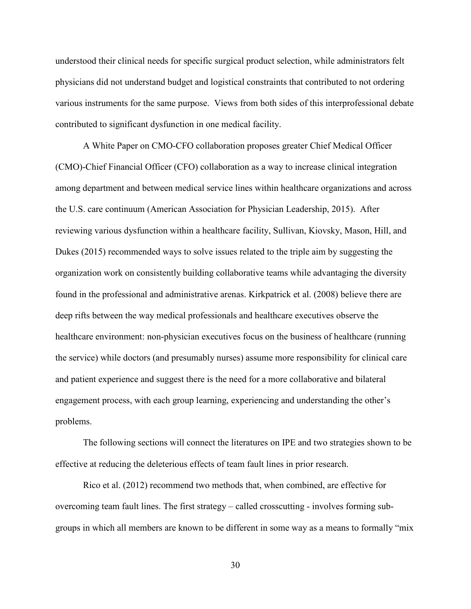understood their clinical needs for specific surgical product selection, while administrators felt physicians did not understand budget and logistical constraints that contributed to not ordering various instruments for the same purpose. Views from both sides of this interprofessional debate contributed to significant dysfunction in one medical facility.

A White Paper on CMO-CFO collaboration proposes greater Chief Medical Officer (CMO)-Chief Financial Officer (CFO) collaboration as a way to increase clinical integration among department and between medical service lines within healthcare organizations and across the U.S. care continuum (American Association for Physician Leadership, 2015). After reviewing various dysfunction within a healthcare facility, Sullivan, Kiovsky, Mason, Hill, and Dukes (2015) recommended ways to solve issues related to the triple aim by suggesting the organization work on consistently building collaborative teams while advantaging the diversity found in the professional and administrative arenas. Kirkpatrick et al. (2008) believe there are deep rifts between the way medical professionals and healthcare executives observe the healthcare environment: non-physician executives focus on the business of healthcare (running the service) while doctors (and presumably nurses) assume more responsibility for clinical care and patient experience and suggest there is the need for a more collaborative and bilateral engagement process, with each group learning, experiencing and understanding the other's problems.

The following sections will connect the literatures on IPE and two strategies shown to be effective at reducing the deleterious effects of team fault lines in prior research.

Rico et al. (2012) recommend two methods that, when combined, are effective for overcoming team fault lines. The first strategy – called crosscutting - involves forming subgroups in which all members are known to be different in some way as a means to formally "mix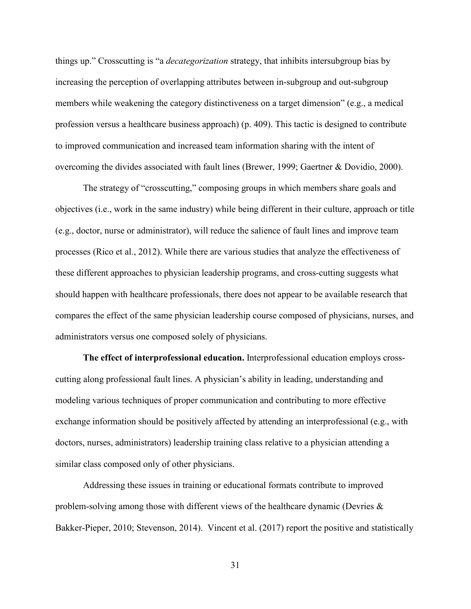things up." Crosscutting is "a *decategorization* strategy, that inhibits intersubgroup bias by increasing the perception of overlapping attributes between in-subgroup and out-subgroup members while weakening the category distinctiveness on a target dimension" (e.g., a medical profession versus a healthcare business approach) (p. 409). This tactic is designed to contribute to improved communication and increased team information sharing with the intent of overcoming the divides associated with fault lines (Brewer, 1999; Gaertner & Dovidio, 2000).

The strategy of "crosscutting," composing groups in which members share goals and objectives (i.e., work in the same industry) while being different in their culture, approach or title (e.g., doctor, nurse or administrator), will reduce the salience of fault lines and improve team processes (Rico et al., 2012). While there are various studies that analyze the effectiveness of these different approaches to physician leadership programs, and cross-cutting suggests what should happen with healthcare professionals, there does not appear to be available research that compares the effect of the same physician leadership course composed of physicians, nurses, and administrators versus one composed solely of physicians.

**The effect of interprofessional education.** Interprofessional education employs crosscutting along professional fault lines. A physician's ability in leading, understanding and modeling various techniques of proper communication and contributing to more effective exchange information should be positively affected by attending an interprofessional (e.g., with doctors, nurses, administrators) leadership training class relative to a physician attending a similar class composed only of other physicians.

Addressing these issues in training or educational formats contribute to improved problem-solving among those with different views of the healthcare dynamic (Devries & Bakker-Pieper, 2010; Stevenson, 2014). Vincent et al. (2017) report the positive and statistically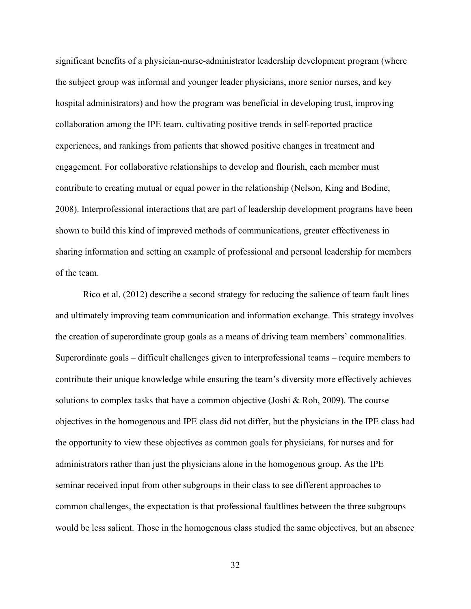significant benefits of a physician-nurse-administrator leadership development program (where the subject group was informal and younger leader physicians, more senior nurses, and key hospital administrators) and how the program was beneficial in developing trust, improving collaboration among the IPE team, cultivating positive trends in self-reported practice experiences, and rankings from patients that showed positive changes in treatment and engagement. For collaborative relationships to develop and flourish, each member must contribute to creating mutual or equal power in the relationship (Nelson, King and Bodine, 2008). Interprofessional interactions that are part of leadership development programs have been shown to build this kind of improved methods of communications, greater effectiveness in sharing information and setting an example of professional and personal leadership for members of the team.

Rico et al. (2012) describe a second strategy for reducing the salience of team fault lines and ultimately improving team communication and information exchange. This strategy involves the creation of superordinate group goals as a means of driving team members' commonalities. Superordinate goals – difficult challenges given to interprofessional teams – require members to contribute their unique knowledge while ensuring the team's diversity more effectively achieves solutions to complex tasks that have a common objective (Joshi & Roh, 2009). The course objectives in the homogenous and IPE class did not differ, but the physicians in the IPE class had the opportunity to view these objectives as common goals for physicians, for nurses and for administrators rather than just the physicians alone in the homogenous group. As the IPE seminar received input from other subgroups in their class to see different approaches to common challenges, the expectation is that professional faultlines between the three subgroups would be less salient. Those in the homogenous class studied the same objectives, but an absence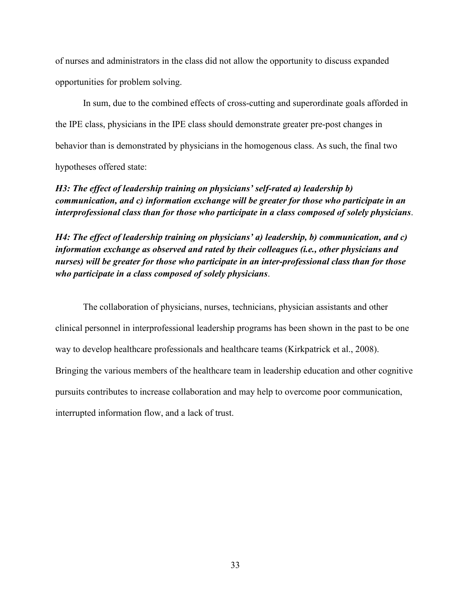of nurses and administrators in the class did not allow the opportunity to discuss expanded opportunities for problem solving.

In sum, due to the combined effects of cross-cutting and superordinate goals afforded in the IPE class, physicians in the IPE class should demonstrate greater pre-post changes in behavior than is demonstrated by physicians in the homogenous class. As such, the final two hypotheses offered state:

*H3: The effect of leadership training on physicians' self-rated a) leadership b) communication, and c) information exchange will be greater for those who participate in an interprofessional class than for those who participate in a class composed of solely physicians*.

*H4: The effect of leadership training on physicians' a) leadership, b) communication, and c) information exchange as observed and rated by their colleagues (i.e., other physicians and nurses) will be greater for those who participate in an inter-professional class than for those who participate in a class composed of solely physicians*.

 The collaboration of physicians, nurses, technicians, physician assistants and other clinical personnel in interprofessional leadership programs has been shown in the past to be one way to develop healthcare professionals and healthcare teams (Kirkpatrick et al., 2008). Bringing the various members of the healthcare team in leadership education and other cognitive pursuits contributes to increase collaboration and may help to overcome poor communication, interrupted information flow, and a lack of trust.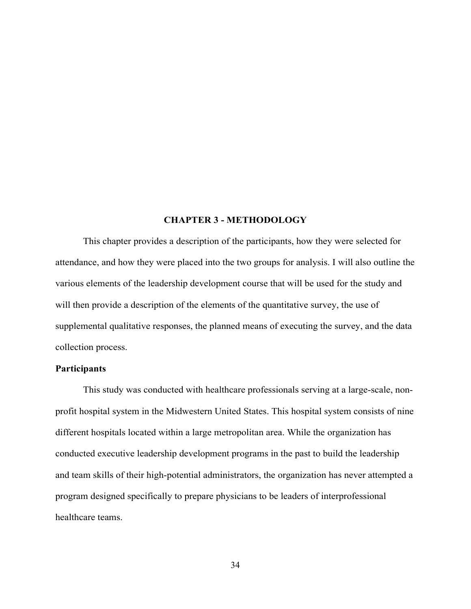# **CHAPTER 3 - METHODOLOGY**

This chapter provides a description of the participants, how they were selected for attendance, and how they were placed into the two groups for analysis. I will also outline the various elements of the leadership development course that will be used for the study and will then provide a description of the elements of the quantitative survey, the use of supplemental qualitative responses, the planned means of executing the survey, and the data collection process.

### **Participants**

This study was conducted with healthcare professionals serving at a large-scale, nonprofit hospital system in the Midwestern United States. This hospital system consists of nine different hospitals located within a large metropolitan area. While the organization has conducted executive leadership development programs in the past to build the leadership and team skills of their high-potential administrators, the organization has never attempted a program designed specifically to prepare physicians to be leaders of interprofessional healthcare teams.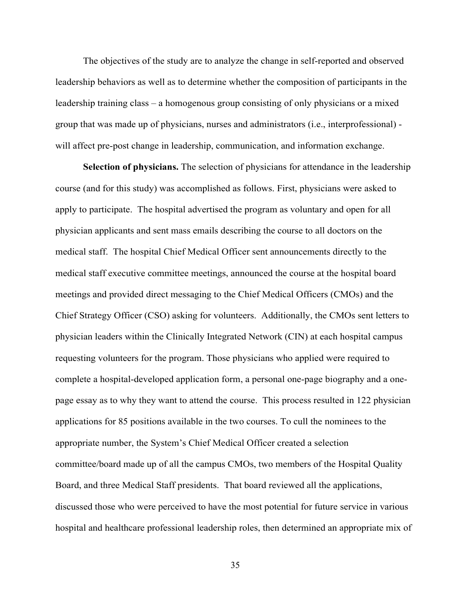The objectives of the study are to analyze the change in self-reported and observed leadership behaviors as well as to determine whether the composition of participants in the leadership training class – a homogenous group consisting of only physicians or a mixed group that was made up of physicians, nurses and administrators (i.e., interprofessional) will affect pre-post change in leadership, communication, and information exchange.

**Selection of physicians.** The selection of physicians for attendance in the leadership course (and for this study) was accomplished as follows. First, physicians were asked to apply to participate. The hospital advertised the program as voluntary and open for all physician applicants and sent mass emails describing the course to all doctors on the medical staff. The hospital Chief Medical Officer sent announcements directly to the medical staff executive committee meetings, announced the course at the hospital board meetings and provided direct messaging to the Chief Medical Officers (CMOs) and the Chief Strategy Officer (CSO) asking for volunteers. Additionally, the CMOs sent letters to physician leaders within the Clinically Integrated Network (CIN) at each hospital campus requesting volunteers for the program. Those physicians who applied were required to complete a hospital-developed application form, a personal one-page biography and a onepage essay as to why they want to attend the course. This process resulted in 122 physician applications for 85 positions available in the two courses. To cull the nominees to the appropriate number, the System's Chief Medical Officer created a selection committee/board made up of all the campus CMOs, two members of the Hospital Quality Board, and three Medical Staff presidents. That board reviewed all the applications, discussed those who were perceived to have the most potential for future service in various hospital and healthcare professional leadership roles, then determined an appropriate mix of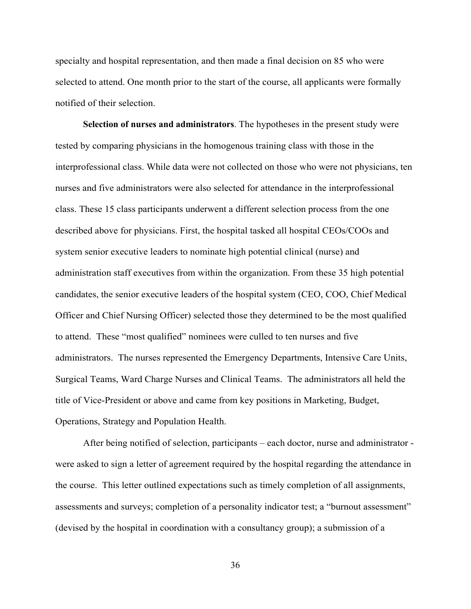specialty and hospital representation, and then made a final decision on 85 who were selected to attend. One month prior to the start of the course, all applicants were formally notified of their selection.

**Selection of nurses and administrators**. The hypotheses in the present study were tested by comparing physicians in the homogenous training class with those in the interprofessional class. While data were not collected on those who were not physicians, ten nurses and five administrators were also selected for attendance in the interprofessional class. These 15 class participants underwent a different selection process from the one described above for physicians. First, the hospital tasked all hospital CEOs/COOs and system senior executive leaders to nominate high potential clinical (nurse) and administration staff executives from within the organization. From these 35 high potential candidates, the senior executive leaders of the hospital system (CEO, COO, Chief Medical Officer and Chief Nursing Officer) selected those they determined to be the most qualified to attend. These "most qualified" nominees were culled to ten nurses and five administrators. The nurses represented the Emergency Departments, Intensive Care Units, Surgical Teams, Ward Charge Nurses and Clinical Teams. The administrators all held the title of Vice-President or above and came from key positions in Marketing, Budget, Operations, Strategy and Population Health.

After being notified of selection, participants – each doctor, nurse and administrator were asked to sign a letter of agreement required by the hospital regarding the attendance in the course. This letter outlined expectations such as timely completion of all assignments, assessments and surveys; completion of a personality indicator test; a "burnout assessment" (devised by the hospital in coordination with a consultancy group); a submission of a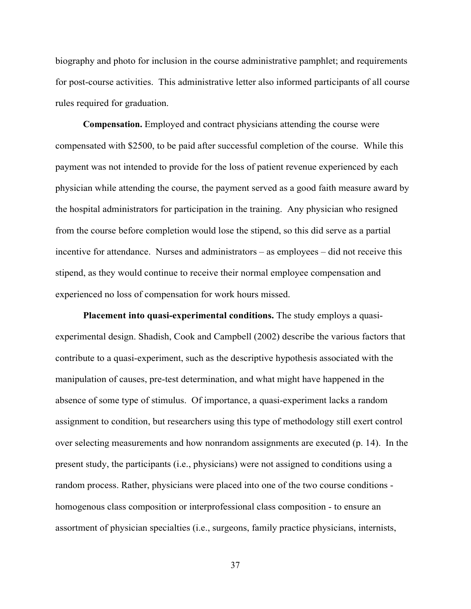biography and photo for inclusion in the course administrative pamphlet; and requirements for post-course activities. This administrative letter also informed participants of all course rules required for graduation.

**Compensation.** Employed and contract physicians attending the course were compensated with \$2500, to be paid after successful completion of the course. While this payment was not intended to provide for the loss of patient revenue experienced by each physician while attending the course, the payment served as a good faith measure award by the hospital administrators for participation in the training. Any physician who resigned from the course before completion would lose the stipend, so this did serve as a partial incentive for attendance. Nurses and administrators – as employees – did not receive this stipend, as they would continue to receive their normal employee compensation and experienced no loss of compensation for work hours missed.

**Placement into quasi-experimental conditions.** The study employs a quasiexperimental design. Shadish, Cook and Campbell (2002) describe the various factors that contribute to a quasi-experiment, such as the descriptive hypothesis associated with the manipulation of causes, pre-test determination, and what might have happened in the absence of some type of stimulus. Of importance, a quasi-experiment lacks a random assignment to condition, but researchers using this type of methodology still exert control over selecting measurements and how nonrandom assignments are executed (p. 14). In the present study, the participants (i.e., physicians) were not assigned to conditions using a random process. Rather, physicians were placed into one of the two course conditions homogenous class composition or interprofessional class composition - to ensure an assortment of physician specialties (i.e., surgeons, family practice physicians, internists,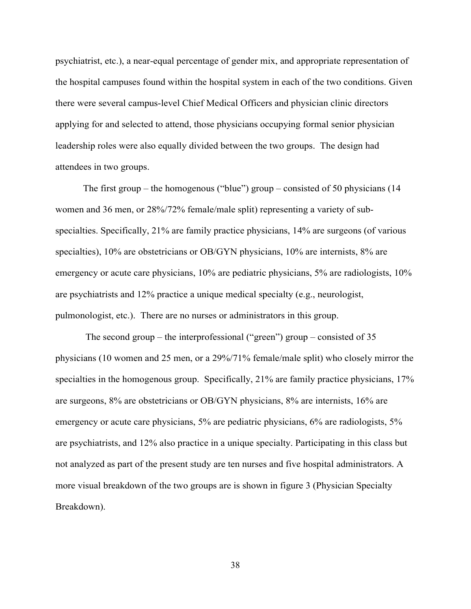psychiatrist, etc.), a near-equal percentage of gender mix, and appropriate representation of the hospital campuses found within the hospital system in each of the two conditions. Given there were several campus-level Chief Medical Officers and physician clinic directors applying for and selected to attend, those physicians occupying formal senior physician leadership roles were also equally divided between the two groups. The design had attendees in two groups.

The first group – the homogenous ("blue") group – consisted of 50 physicians  $(14)$ women and 36 men, or 28%/72% female/male split) representing a variety of subspecialties. Specifically, 21% are family practice physicians, 14% are surgeons (of various specialties), 10% are obstetricians or OB/GYN physicians, 10% are internists, 8% are emergency or acute care physicians, 10% are pediatric physicians, 5% are radiologists, 10% are psychiatrists and 12% practice a unique medical specialty (e.g., neurologist, pulmonologist, etc.). There are no nurses or administrators in this group.

The second group – the interprofessional ("green") group – consisted of  $35$ physicians (10 women and 25 men, or a 29%/71% female/male split) who closely mirror the specialties in the homogenous group. Specifically, 21% are family practice physicians, 17% are surgeons, 8% are obstetricians or OB/GYN physicians, 8% are internists, 16% are emergency or acute care physicians, 5% are pediatric physicians, 6% are radiologists, 5% are psychiatrists, and 12% also practice in a unique specialty. Participating in this class but not analyzed as part of the present study are ten nurses and five hospital administrators. A more visual breakdown of the two groups are is shown in figure 3 (Physician Specialty Breakdown).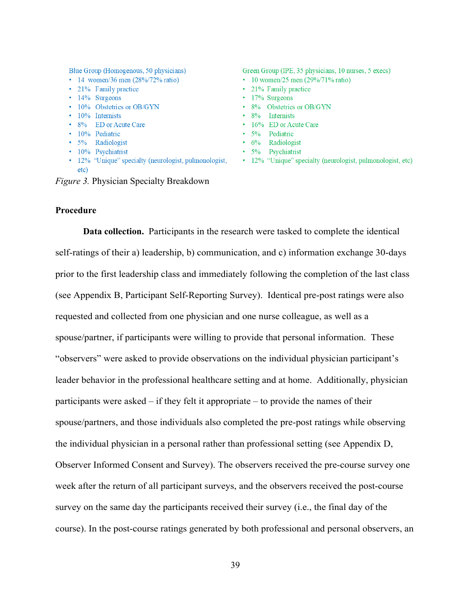Blue Group (Homogenous, 50 physicians)

- 14 women/36 men  $(28\%/72\% \text{ ratio})$
- 21% Family practice
- $\cdot$  14% Surgeons
- 10% Obstetrics or OB/GYN
- 10% Internists
- 8% ED or Acute Care
- · 10% Pediatric
- 5% Radiologist
- · 10% Psychiatrist
- 12% "Unique" specialty (neurologist, pulmonologist, etc)

Green Group (IPE, 35 physicians, 10 nurses, 5 execs)

- 10 women/25 men  $(29\%/71\% \text{ ratio})$
- 21% Family practice
- $\cdot$  17% Surgeons
- 8% Obstetrics or OB/GYN
- $\cdot$  8% Internists
- 16% ED or Acute Care
- · 5% Pediatric
- $\cdot$  6% Radiologist
- 5% Psychiatrist
- 12% "Unique" specialty (neurologist, pulmonologist, etc)

*Figure 3.* Physician Specialty Breakdown

#### **Procedure**

**Data collection.** Participants in the research were tasked to complete the identical self-ratings of their a) leadership, b) communication, and c) information exchange 30-days prior to the first leadership class and immediately following the completion of the last class (see Appendix B, Participant Self-Reporting Survey). Identical pre-post ratings were also requested and collected from one physician and one nurse colleague, as well as a spouse/partner, if participants were willing to provide that personal information. These "observers" were asked to provide observations on the individual physician participant's leader behavior in the professional healthcare setting and at home. Additionally, physician participants were asked – if they felt it appropriate – to provide the names of their spouse/partners, and those individuals also completed the pre-post ratings while observing the individual physician in a personal rather than professional setting (see Appendix D, Observer Informed Consent and Survey). The observers received the pre-course survey one week after the return of all participant surveys, and the observers received the post-course survey on the same day the participants received their survey (i.e., the final day of the course). In the post-course ratings generated by both professional and personal observers, an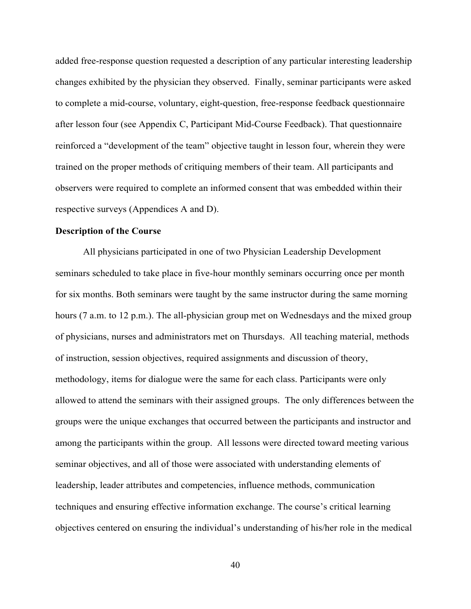added free-response question requested a description of any particular interesting leadership changes exhibited by the physician they observed. Finally, seminar participants were asked to complete a mid-course, voluntary, eight-question, free-response feedback questionnaire after lesson four (see Appendix C, Participant Mid-Course Feedback). That questionnaire reinforced a "development of the team" objective taught in lesson four, wherein they were trained on the proper methods of critiquing members of their team. All participants and observers were required to complete an informed consent that was embedded within their respective surveys (Appendices A and D).

### **Description of the Course**

All physicians participated in one of two Physician Leadership Development seminars scheduled to take place in five-hour monthly seminars occurring once per month for six months. Both seminars were taught by the same instructor during the same morning hours (7 a.m. to 12 p.m.). The all-physician group met on Wednesdays and the mixed group of physicians, nurses and administrators met on Thursdays. All teaching material, methods of instruction, session objectives, required assignments and discussion of theory, methodology, items for dialogue were the same for each class. Participants were only allowed to attend the seminars with their assigned groups. The only differences between the groups were the unique exchanges that occurred between the participants and instructor and among the participants within the group. All lessons were directed toward meeting various seminar objectives, and all of those were associated with understanding elements of leadership, leader attributes and competencies, influence methods, communication techniques and ensuring effective information exchange. The course's critical learning objectives centered on ensuring the individual's understanding of his/her role in the medical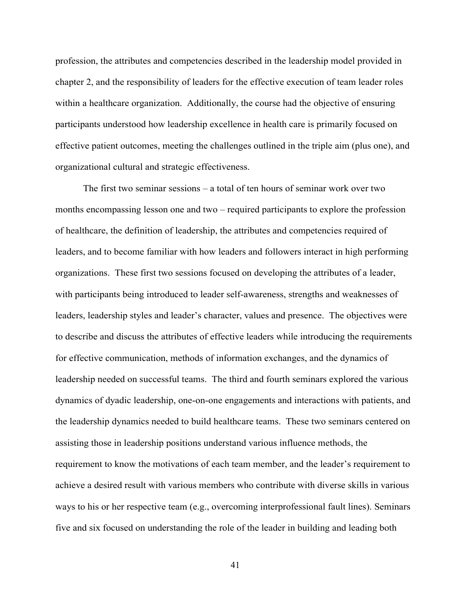profession, the attributes and competencies described in the leadership model provided in chapter 2, and the responsibility of leaders for the effective execution of team leader roles within a healthcare organization. Additionally, the course had the objective of ensuring participants understood how leadership excellence in health care is primarily focused on effective patient outcomes, meeting the challenges outlined in the triple aim (plus one), and organizational cultural and strategic effectiveness.

The first two seminar sessions – a total of ten hours of seminar work over two months encompassing lesson one and two – required participants to explore the profession of healthcare, the definition of leadership, the attributes and competencies required of leaders, and to become familiar with how leaders and followers interact in high performing organizations. These first two sessions focused on developing the attributes of a leader, with participants being introduced to leader self-awareness, strengths and weaknesses of leaders, leadership styles and leader's character, values and presence. The objectives were to describe and discuss the attributes of effective leaders while introducing the requirements for effective communication, methods of information exchanges, and the dynamics of leadership needed on successful teams. The third and fourth seminars explored the various dynamics of dyadic leadership, one-on-one engagements and interactions with patients, and the leadership dynamics needed to build healthcare teams. These two seminars centered on assisting those in leadership positions understand various influence methods, the requirement to know the motivations of each team member, and the leader's requirement to achieve a desired result with various members who contribute with diverse skills in various ways to his or her respective team (e.g., overcoming interprofessional fault lines). Seminars five and six focused on understanding the role of the leader in building and leading both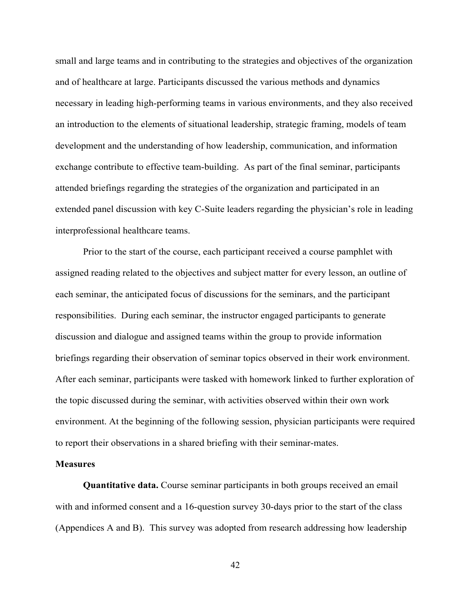small and large teams and in contributing to the strategies and objectives of the organization and of healthcare at large. Participants discussed the various methods and dynamics necessary in leading high-performing teams in various environments, and they also received an introduction to the elements of situational leadership, strategic framing, models of team development and the understanding of how leadership, communication, and information exchange contribute to effective team-building. As part of the final seminar, participants attended briefings regarding the strategies of the organization and participated in an extended panel discussion with key C-Suite leaders regarding the physician's role in leading interprofessional healthcare teams.

Prior to the start of the course, each participant received a course pamphlet with assigned reading related to the objectives and subject matter for every lesson, an outline of each seminar, the anticipated focus of discussions for the seminars, and the participant responsibilities. During each seminar, the instructor engaged participants to generate discussion and dialogue and assigned teams within the group to provide information briefings regarding their observation of seminar topics observed in their work environment. After each seminar, participants were tasked with homework linked to further exploration of the topic discussed during the seminar, with activities observed within their own work environment. At the beginning of the following session, physician participants were required to report their observations in a shared briefing with their seminar-mates.

# **Measures**

**Quantitative data.** Course seminar participants in both groups received an email with and informed consent and a 16-question survey 30-days prior to the start of the class (Appendices A and B). This survey was adopted from research addressing how leadership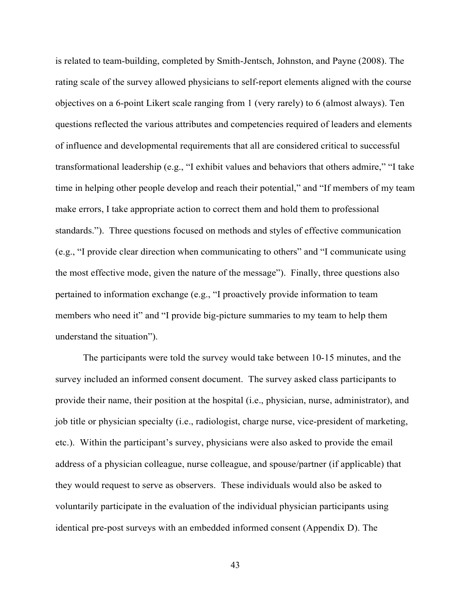is related to team-building, completed by Smith-Jentsch, Johnston, and Payne (2008). The rating scale of the survey allowed physicians to self-report elements aligned with the course objectives on a 6-point Likert scale ranging from 1 (very rarely) to 6 (almost always). Ten questions reflected the various attributes and competencies required of leaders and elements of influence and developmental requirements that all are considered critical to successful transformational leadership (e.g., "I exhibit values and behaviors that others admire," "I take time in helping other people develop and reach their potential," and "If members of my team make errors, I take appropriate action to correct them and hold them to professional standards."). Three questions focused on methods and styles of effective communication (e.g., "I provide clear direction when communicating to others" and "I communicate using the most effective mode, given the nature of the message"). Finally, three questions also pertained to information exchange (e.g., "I proactively provide information to team members who need it" and "I provide big-picture summaries to my team to help them understand the situation").

The participants were told the survey would take between 10-15 minutes, and the survey included an informed consent document. The survey asked class participants to provide their name, their position at the hospital (i.e., physician, nurse, administrator), and job title or physician specialty (i.e., radiologist, charge nurse, vice-president of marketing, etc.). Within the participant's survey, physicians were also asked to provide the email address of a physician colleague, nurse colleague, and spouse/partner (if applicable) that they would request to serve as observers. These individuals would also be asked to voluntarily participate in the evaluation of the individual physician participants using identical pre-post surveys with an embedded informed consent (Appendix D). The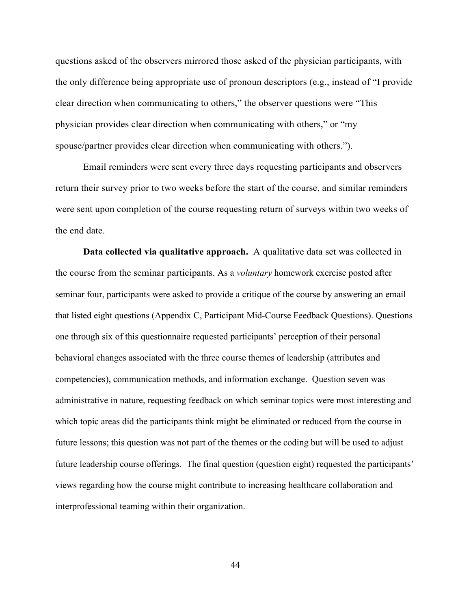questions asked of the observers mirrored those asked of the physician participants, with the only difference being appropriate use of pronoun descriptors (e.g., instead of "I provide clear direction when communicating to others," the observer questions were "This physician provides clear direction when communicating with others," or "my spouse/partner provides clear direction when communicating with others.").

Email reminders were sent every three days requesting participants and observers return their survey prior to two weeks before the start of the course, and similar reminders were sent upon completion of the course requesting return of surveys within two weeks of the end date.

**Data collected via qualitative approach.** A qualitative data set was collected in the course from the seminar participants. As a *voluntary* homework exercise posted after seminar four, participants were asked to provide a critique of the course by answering an email that listed eight questions (Appendix C, Participant Mid-Course Feedback Questions). Questions one through six of this questionnaire requested participants' perception of their personal behavioral changes associated with the three course themes of leadership (attributes and competencies), communication methods, and information exchange. Question seven was administrative in nature, requesting feedback on which seminar topics were most interesting and which topic areas did the participants think might be eliminated or reduced from the course in future lessons; this question was not part of the themes or the coding but will be used to adjust future leadership course offerings. The final question (question eight) requested the participants' views regarding how the course might contribute to increasing healthcare collaboration and interprofessional teaming within their organization.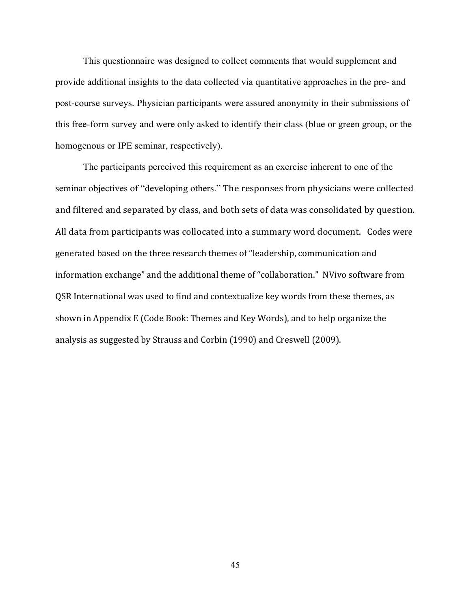This questionnaire was designed to collect comments that would supplement and provide additional insights to the data collected via quantitative approaches in the pre- and post-course surveys. Physician participants were assured anonymity in their submissions of this free-form survey and were only asked to identify their class (blue or green group, or the homogenous or IPE seminar, respectively).

The participants perceived this requirement as an exercise inherent to one of the seminar objectives of "developing others." The responses from physicians were collected and filtered and separated by class, and both sets of data was consolidated by question. All data from participants was collocated into a summary word document. Codes were generated based on the three research themes of "leadership, communication and information exchange" and the additional theme of "collaboration." NVivo software from QSR International was used to find and contextualize key words from these themes, as shown in Appendix E (Code Book: Themes and Key Words), and to help organize the analysis as suggested by Strauss and Corbin (1990) and Creswell (2009).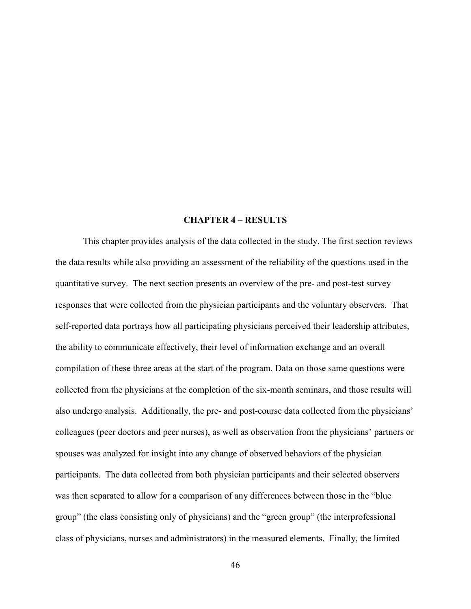# **CHAPTER 4 – RESULTS**

This chapter provides analysis of the data collected in the study. The first section reviews the data results while also providing an assessment of the reliability of the questions used in the quantitative survey. The next section presents an overview of the pre- and post-test survey responses that were collected from the physician participants and the voluntary observers. That self-reported data portrays how all participating physicians perceived their leadership attributes, the ability to communicate effectively, their level of information exchange and an overall compilation of these three areas at the start of the program. Data on those same questions were collected from the physicians at the completion of the six-month seminars, and those results will also undergo analysis. Additionally, the pre- and post-course data collected from the physicians' colleagues (peer doctors and peer nurses), as well as observation from the physicians' partners or spouses was analyzed for insight into any change of observed behaviors of the physician participants. The data collected from both physician participants and their selected observers was then separated to allow for a comparison of any differences between those in the "blue group" (the class consisting only of physicians) and the "green group" (the interprofessional class of physicians, nurses and administrators) in the measured elements. Finally, the limited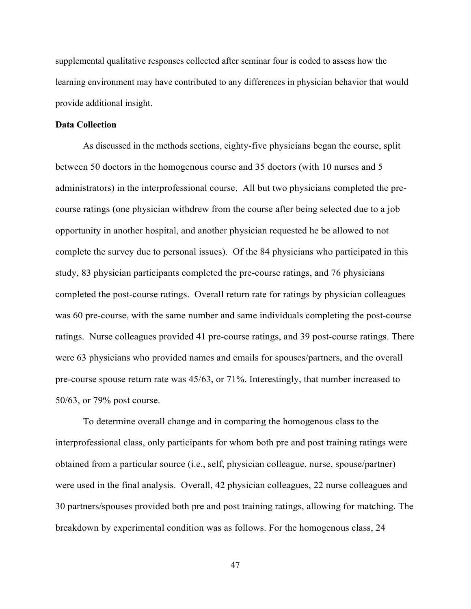supplemental qualitative responses collected after seminar four is coded to assess how the learning environment may have contributed to any differences in physician behavior that would provide additional insight.

### **Data Collection**

As discussed in the methods sections, eighty-five physicians began the course, split between 50 doctors in the homogenous course and 35 doctors (with 10 nurses and 5 administrators) in the interprofessional course. All but two physicians completed the precourse ratings (one physician withdrew from the course after being selected due to a job opportunity in another hospital, and another physician requested he be allowed to not complete the survey due to personal issues). Of the 84 physicians who participated in this study, 83 physician participants completed the pre-course ratings, and 76 physicians completed the post-course ratings. Overall return rate for ratings by physician colleagues was 60 pre-course, with the same number and same individuals completing the post-course ratings. Nurse colleagues provided 41 pre-course ratings, and 39 post-course ratings. There were 63 physicians who provided names and emails for spouses/partners, and the overall pre-course spouse return rate was 45/63, or 71%. Interestingly, that number increased to 50/63, or 79% post course.

To determine overall change and in comparing the homogenous class to the interprofessional class, only participants for whom both pre and post training ratings were obtained from a particular source (i.e., self, physician colleague, nurse, spouse/partner) were used in the final analysis. Overall, 42 physician colleagues, 22 nurse colleagues and 30 partners/spouses provided both pre and post training ratings, allowing for matching. The breakdown by experimental condition was as follows. For the homogenous class, 24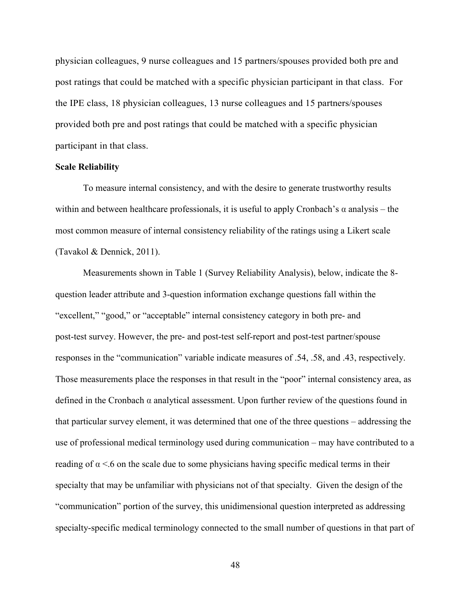physician colleagues, 9 nurse colleagues and 15 partners/spouses provided both pre and post ratings that could be matched with a specific physician participant in that class. For the IPE class, 18 physician colleagues, 13 nurse colleagues and 15 partners/spouses provided both pre and post ratings that could be matched with a specific physician participant in that class.

## **Scale Reliability**

To measure internal consistency, and with the desire to generate trustworthy results within and between healthcare professionals, it is useful to apply Cronbach's  $\alpha$  analysis – the most common measure of internal consistency reliability of the ratings using a Likert scale (Tavakol & Dennick, 2011).

Measurements shown in Table 1 (Survey Reliability Analysis), below, indicate the 8 question leader attribute and 3-question information exchange questions fall within the "excellent," "good," or "acceptable" internal consistency category in both pre- and post-test survey. However, the pre- and post-test self-report and post-test partner/spouse responses in the "communication" variable indicate measures of .54, .58, and .43, respectively. Those measurements place the responses in that result in the "poor" internal consistency area, as defined in the Cronbach  $\alpha$  analytical assessment. Upon further review of the questions found in that particular survey element, it was determined that one of the three questions – addressing the use of professional medical terminology used during communication – may have contributed to a reading of  $\alpha$  <.6 on the scale due to some physicians having specific medical terms in their specialty that may be unfamiliar with physicians not of that specialty. Given the design of the "communication" portion of the survey, this unidimensional question interpreted as addressing specialty-specific medical terminology connected to the small number of questions in that part of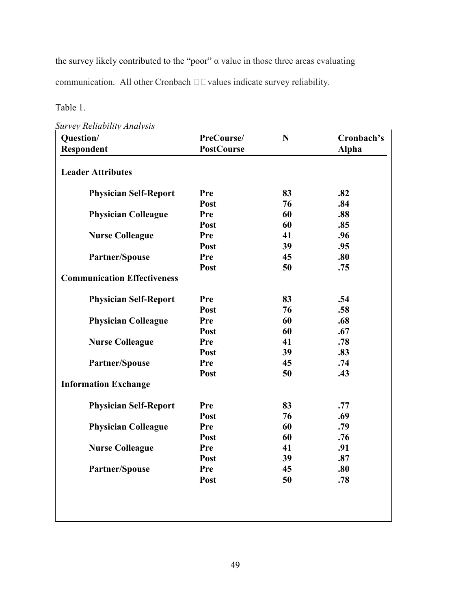the survey likely contributed to the "poor"  $\alpha$  value in those three areas evaluating

communication. All other Cronbach  $\square \square$  values indicate survey reliability.

# Table 1.

*Survey Reliability Analysis*

| Question/<br>Respondent            | PreCourse/<br><b>PostCourse</b> | N  | Cronbach's<br><b>Alpha</b> |
|------------------------------------|---------------------------------|----|----------------------------|
| <b>Leader Attributes</b>           |                                 |    |                            |
| <b>Physician Self-Report</b>       | Pre                             | 83 | .82                        |
|                                    | Post                            | 76 | .84                        |
| <b>Physician Colleague</b>         | Pre                             | 60 | .88                        |
|                                    | Post                            | 60 | .85                        |
| <b>Nurse Colleague</b>             | Pre                             | 41 | .96                        |
|                                    | Post                            | 39 | .95                        |
| Partner/Spouse                     | Pre                             | 45 | .80                        |
|                                    | Post                            | 50 | .75                        |
| <b>Communication Effectiveness</b> |                                 |    |                            |
| <b>Physician Self-Report</b>       | Pre                             | 83 | .54                        |
|                                    | Post                            | 76 | .58                        |
| <b>Physician Colleague</b>         | Pre                             | 60 | .68                        |
|                                    | Post                            | 60 | .67                        |
| <b>Nurse Colleague</b>             | Pre                             | 41 | .78                        |
|                                    | Post                            | 39 | .83                        |
| Partner/Spouse                     | Pre                             | 45 | .74                        |
|                                    | Post                            | 50 | .43                        |
| <b>Information Exchange</b>        |                                 |    |                            |
| <b>Physician Self-Report</b>       | Pre                             | 83 | .77                        |
|                                    | Post                            | 76 | .69                        |
| <b>Physician Colleague</b>         | Pre                             | 60 | .79                        |
|                                    | Post                            | 60 | .76                        |
| <b>Nurse Colleague</b>             | Pre                             | 41 | .91                        |
|                                    | Post                            | 39 | .87                        |
| <b>Partner/Spouse</b>              | Pre                             | 45 | .80                        |
|                                    | Post                            | 50 | .78                        |
|                                    |                                 |    |                            |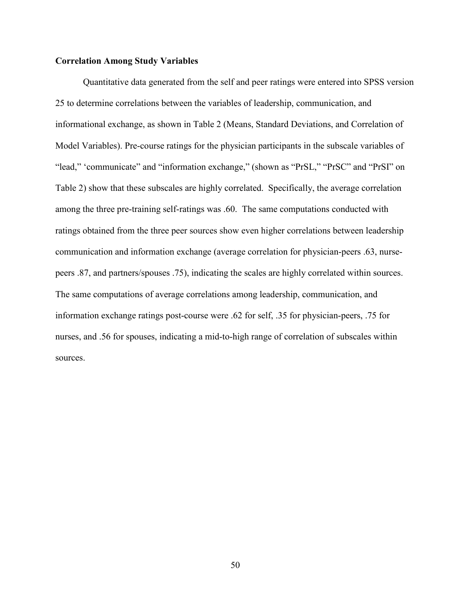### **Correlation Among Study Variables**

Quantitative data generated from the self and peer ratings were entered into SPSS version 25 to determine correlations between the variables of leadership, communication, and informational exchange, as shown in Table 2 (Means, Standard Deviations, and Correlation of Model Variables). Pre-course ratings for the physician participants in the subscale variables of "lead," 'communicate" and "information exchange," (shown as "PrSL," "PrSC" and "PrSI" on Table 2) show that these subscales are highly correlated. Specifically, the average correlation among the three pre-training self-ratings was .60. The same computations conducted with ratings obtained from the three peer sources show even higher correlations between leadership communication and information exchange (average correlation for physician-peers .63, nursepeers .87, and partners/spouses .75), indicating the scales are highly correlated within sources. The same computations of average correlations among leadership, communication, and information exchange ratings post-course were .62 for self, .35 for physician-peers, .75 for nurses, and .56 for spouses, indicating a mid-to-high range of correlation of subscales within sources.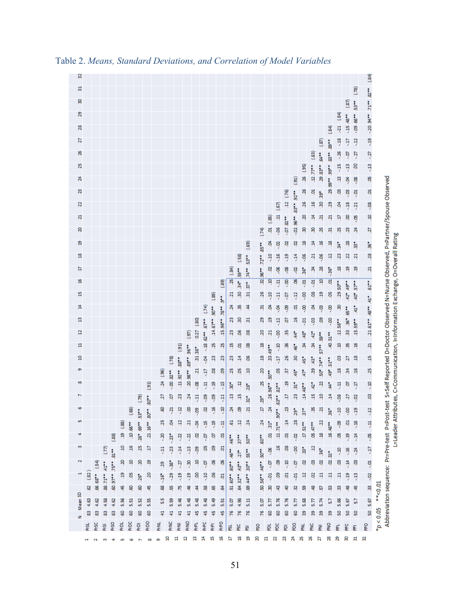| ź,<br>g<br>22<br>N        |             |                 |               |                           |                    |             |                     |                                               |                         |                               |                     |                      |                |                                   |                  |              |                       |                          |                          |                              |                      | $\left(5\right)$<br>ą       | .12(76)    | $\overline{\mathbf{5}}$<br>.8392 | 26(95)<br>28<br>.26<br>8  | $12.77$<br>ą<br>46<br>ă.             | $29.83**$<br>$39^{\circ}$<br>Ŗ<br>$\overline{z}$ | <b>99**</b> 99**<br>Ŗ<br>29<br>ম্   | ą<br>g<br>Ş<br>ą | ş<br>ë<br>۹,<br>8   | e.<br>ă<br>$-21$<br>ģ     | S.<br>ą<br>$-08$<br>ą     |           | Abbreviation sequence: Pr=Pre-test P=Post-test S=Self Reported D=Doctor Observed N=Nurse Observed, P=Partner/Spouse Observed |
|---------------------------|-------------|-----------------|---------------|---------------------------|--------------------|-------------|---------------------|-----------------------------------------------|-------------------------|-------------------------------|---------------------|----------------------|----------------|-----------------------------------|------------------|--------------|-----------------------|--------------------------|--------------------------|------------------------------|----------------------|-----------------------------|------------|----------------------------------|---------------------------|--------------------------------------|--------------------------------------------------|-------------------------------------|------------------|---------------------|---------------------------|---------------------------|-----------|------------------------------------------------------------------------------------------------------------------------------|
| S<br>g                    |             |                 |               |                           |                    |             |                     |                                               |                         |                               |                     |                      |                |                                   |                  |              |                       |                          |                          | (74)                         | $(35)$ pp.           | -96                         | $-07.82**$ | $-02.96$                         | Ŗ.<br>۹                   | 8                                    | X)                                               | 류                                   | 25               | g                   | 24                        | $\overline{z}$            |           |                                                                                                                              |
| $\frac{8}{16}$<br>Ħ       |             |                 |               |                           |                    |             |                     |                                               |                         |                               |                     |                      |                |                                   |                  |              |                       | (.58)                    | $\left( 69\right)$<br>i, | $35**$<br>$72$ <sup>**</sup> | \$<br>Ŗ<br>g         | ë<br>$-16$                  | g<br>9     | g<br>ă                           | 90-                       | $\frac{4}{3}$<br>$\overline{a}$<br>¥ | ٩<br>90.-<br>28                                  | ۴ļ<br>$\frac{12}{2}$                | å.<br>23<br>۹    | 28<br>22<br>٩       | ħ<br>$\overline{21}$<br>ą | Å<br>28<br>$\overline{z}$ |           |                                                                                                                              |
| ۴                         |             |                 |               |                           |                    |             |                     |                                               |                         |                               |                     |                      |                |                                   |                  | (89)         | (34)<br>X)            | t.<br>Å                  | $74**$<br>$\ddot{z}$     | 196<br><u>y</u>              | ą                    | 8<br>Ę                      | e.<br>ġ.   | ģ<br>8                           | $\frac{1}{20}$<br>ទុ      | ទុ                                   | ą                                                | $\frac{1}{26}$<br>ਬ੍                | $.29.50**$       | 49**                | $57**$                    | .41° .61°°                |           |                                                                                                                              |
| 45<br>莒                   |             |                 |               |                           |                    |             |                     |                                               |                         |                               |                     |                      |                | (74)                              | $\overline{189}$ | ţ,<br>$78**$ | $\overline{21}$<br>z, | R<br>ĸ                   | 쪄<br>4                   | .26<br>찍                     | ុ<br>ş               | Ę<br>ş                      | ė<br>Ş     | ą<br>g                           | S.<br>ġ.                  | g<br>Ś,                              | ą<br>ë                                           | ë<br>ș                              | Ŗ                | $42^{\circ}$<br>.65 | $40^{\circ}$<br>ŧ         | $-89$                     |           |                                                                                                                              |
| g<br>$\overline{a}$       |             |                 |               |                           |                    |             |                     |                                               |                         |                               |                     | 5                    | 0.27 (.80)     | $52** .57**$                      | $.14.67**$ .90** | $.15.96**$   | 23<br>23              | ž<br>9                   | 짜<br>8                   | 29<br>20                     | ą<br>$\overline{21}$ | ą<br>នុ                     | g<br>ö     | 46<br>$44^{\circ}$               | Ę.<br>$48^{\circ}$        | e.<br>$42^{\circ}$                   | දි<br>i.<br>91                                   | -.00                                | $.12.56**$       | 38° 36°             | $.15.59**$                | $21.61**$                 |           |                                                                                                                              |
| 븝<br>g                    |             |                 |               |                           |                    |             |                     |                                               |                         |                               | (91)                | "96 96"              | $31.38^*$      | $\frac{18}{1}$<br>$\ddot{\theta}$ | 25<br>23         | X)<br>g      | ų<br>g                | ą<br>$\frac{14}{3}$      | 8<br>9                   | ۹<br>ą                       | 33,49**              | P.<br>Ş                     | X,<br>26   | $-46$<br>R                       | ¥<br>$45^{\circ}$         | ¥<br>$43*$                           | $57**$                                           | 40.51**                             | ą<br>g           | Ķ<br>27             | ٩<br>ą                    | 21<br>H                   |           |                                                                                                                              |
| Ō,<br>œ                   |             |                 |               |                           |                    |             |                     |                                               | $\frac{96}{2}$          | $\overline{13}$<br>$-30.82**$ | $.11.92**.88**$     | $20.98**$            | $\overline{z}$ | Ę                                 | 8                | පි           | 25                    | 9                        | ą                        | 20                           | $50**$               | ë                           | μj         | $45^{\circ}$                     | $47^{\circ}$              | R                                    | $-14.79$                                         | $51^{\circ\bullet}$<br>$49^{\circ}$ | ą                | yi                  | ٩                         | 25                        |           |                                                                                                                              |
| Z                         |             |                 |               |                           |                    |             | ි                   | $\left( \frac{91}{2} \right)$<br>$30^{\circ}$ | $\mathbb{R}$<br>27      | ģ                             | ą                   | $^{24}$              | e.<br>Ę        | Ę<br>ę,                           | ុ<br>Ş           | ņ<br>Ę       | ្តិ<br>ą              | ą<br>H                   | $28^*$<br>$\ddot{a}$     | 25<br>å                      | $.26.96**$           | $.63** 82**$                | ą<br>H     | 'n<br>23                         | $14.46**$                 | $\ddot{v}$<br>Ą                      | $\overline{a}$<br>ą                              | $\ddot{\ast}$<br>4                  | ą<br>e.          | è<br>27             | Ŗ<br>-.02                 | $-10$<br>ë                |           |                                                                                                                              |
| Ф<br>m                    |             |                 |               |                           |                    | (88)        | $\mathbf{\ddot{s}}$ | $30^{\circ}$                                  | g<br>25                 | Ņ<br>Ş                        | ą<br>$\frac{12}{2}$ | 8<br>$\overline{21}$ | g<br>ş         | s                                 | ٩                | ុ            | ×,<br>5               | 8<br>$\overline{12}$     | ন্<br>$^{24}$            | Ĥ<br>$^{24}$                 | $\mathbb{R}$         | $.90^{\circ}$               | Ŗ<br>Ē,    | $29^{\circ}$<br>28               | $37^{\circ}$              | Ķ                                    | 21<br>$\overline{22}$                            | $\frac{1}{26}$                      | ٩ļ.              | 8<br>5ġ             | Ŗ                         | $\frac{12}{2}$            |           |                                                                                                                              |
| 4                         |             |                 |               | $\frac{88}{2}$            | <b>19 (.88)</b>    | $.10.66**$  | .28° .69**          | $\ddot{16}$<br>ΣÎ,                            | s.                      | $\ddot{p}$                    | $\ddot{5}$          | Ŗ                    | g              | Ŗ<br>ig.                          | Ŗ<br>ē           | ą<br>ਬ       | $46**$                | $\ddot{\bar{z}}$         | $50**$                   | $.60**$                      | $11^4$               | $11.71$ $^{\circ\bullet}$ . | g          | -.02                             | $17.51$ $^{\circ\bullet}$ | $.05, 47$ **                         | ą                                                | $16.48**$                           | 8<br>g.          | Ŗ                   | ۹,<br>$\frac{4}{3}$       | Ę<br>ă.                   |           |                                                                                                                              |
| m                         |             |                 | (77)          | 32                        | ą                  | 46          | 25                  | Ę                                             | ą                       | -23                           | ă                   | ą                    | ຮຸ             | g                                 | පි               | ã            | 46**                  | $27^*$                   | $55$ **                  |                              | -.06                 | ٩                           | g          | ຮຸ                               | 'n                        | $rac{1}{2}$                          | $\frac{1}{26}$                                   | $02.32*$                            | Ŗ                | ۹ŗ                  | $\frac{54}{3}$            | -17                       |           |                                                                                                                              |
| $\mathbf{\tilde{c}}$<br>Η | (32)        | $\overline{54}$ | 88.71** .41** | $-55^\circ$ . $-15^\circ$ | g<br>$\frac{1}{2}$ | ą<br>ă      | 8<br>$26^{\circ}$   | ą<br>20                                       | 29                      | ំនុ<br>$-29$                  | Ľē-<br>ំ            | Ŗ<br>ភូ              | ą<br>S         | jo.<br>å                          | ष्ठ<br>క్త       | ह<br>ã       | $50^{\circ}$          | 43**                     | $30^{\circ}$             | 50.56* 46* 50**              | ğ<br>$-01$           | 8<br>පි                     | ٩.<br>5    | Ģ<br>ដុ                          | g<br>ą                    | 8<br>ខ                               | g<br>Ħ                                           | ą                                   | g<br>ą           | Ř.<br>Ŗ             | g<br>Ŗ                    | ă                         |           |                                                                                                                              |
|                           | G.          | $.66.68**$      |               |                           | 45                 | S.          | g                   | 45                                            | $-16$ <sup>*</sup><br>8 | щ                             | ю                   | ¥                    | \$             | 器                                 | 59               | 2            | $60^{\circ}$<br>머     | $32$ <sup>**</sup><br>Ż. | 444<br>œ.                |                              | Ŗ                    | ą                           | ş          | 昂                                | 岛                         | 等                                    | G                                                | œ                                   | 网                | ą                   | 45                        | $33 - 02$                 | $***0.01$ |                                                                                                                              |
| N Mean SD                 | 4.63        | 4.62            | 4.58          | 4.62                      | 5.56               | 5.51        | 5.52                | 5.55                                          | 5S                      | 5.59                          | 5.46                | 5.48                 | 5.48           | 5.48                              | 5.49             | 5.51         | 5.07                  | 4.98                     | 5.11                     | 5.07                         | 5.77                 | 5.76                        | 5.76       | 5.77                             | 5.68                      | 5.77                                 | 5.74                                             | 57                                  | 5.66             | 5.67                | 57                        | 50 5.67                   |           |                                                                                                                              |
|                           | 8           | 8               | 8             | 8                         | 8                  | 8           | 8                   | 8                                             | 4                       | $\overline{4}$                | $\overline{41}$     | 41                   | 45             | 45                                | 45               | 45           | 76                    | 76                       | 76                       | 76                           | 8                    | 8                           | 8          | 8                                | 39                        | æ                                    | æ                                                | æ                                   | S                | S                   | S                         |                           | 4p < 0.05 |                                                                                                                              |
|                           | <b>PrSL</b> | <b>PrSC</b>     | <b>PrSI</b>   | <b>PrSO</b>               | 힡                  | <b>PrDC</b> | <b>PrDI</b>         | PrDO                                          | 롣                       | PrNC                          | 론                   | PrNO                 | 뢷              | 웉                                 | 론                | 웉            | ø                     | <b>SC</b>                | 函                        | ့                            | 힡                    | ខ្ព                         | ē          | <b>DG</b>                        | 룵                         | 웉                                    | 롣                                                | 읉                                   | 론                | ۴C                  | 론                         | 웉                         |           |                                                                                                                              |

Table 2. *Means, Standard Deviations, and Correlation of Model Variables*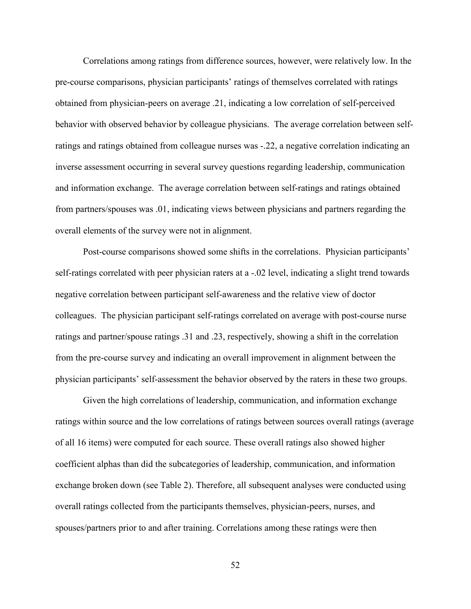Correlations among ratings from difference sources, however, were relatively low. In the pre-course comparisons, physician participants' ratings of themselves correlated with ratings obtained from physician-peers on average .21, indicating a low correlation of self-perceived behavior with observed behavior by colleague physicians. The average correlation between selfratings and ratings obtained from colleague nurses was -.22, a negative correlation indicating an inverse assessment occurring in several survey questions regarding leadership, communication and information exchange. The average correlation between self-ratings and ratings obtained from partners/spouses was .01, indicating views between physicians and partners regarding the overall elements of the survey were not in alignment.

Post-course comparisons showed some shifts in the correlations. Physician participants' self-ratings correlated with peer physician raters at a -.02 level, indicating a slight trend towards negative correlation between participant self-awareness and the relative view of doctor colleagues. The physician participant self-ratings correlated on average with post-course nurse ratings and partner/spouse ratings .31 and .23, respectively, showing a shift in the correlation from the pre-course survey and indicating an overall improvement in alignment between the physician participants' self-assessment the behavior observed by the raters in these two groups.

Given the high correlations of leadership, communication, and information exchange ratings within source and the low correlations of ratings between sources overall ratings (average of all 16 items) were computed for each source. These overall ratings also showed higher coefficient alphas than did the subcategories of leadership, communication, and information exchange broken down (see Table 2). Therefore, all subsequent analyses were conducted using overall ratings collected from the participants themselves, physician-peers, nurses, and spouses/partners prior to and after training. Correlations among these ratings were then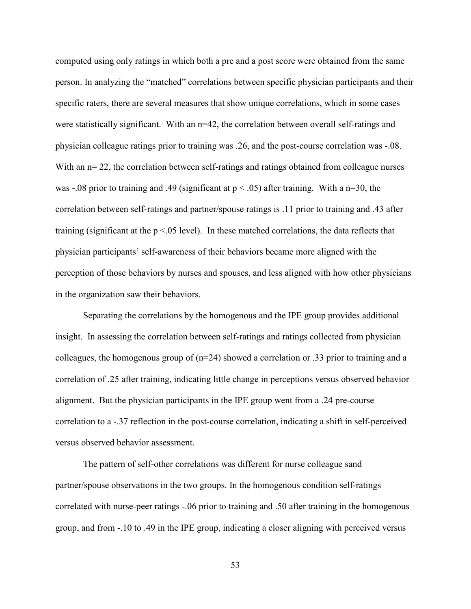computed using only ratings in which both a pre and a post score were obtained from the same person. In analyzing the "matched" correlations between specific physician participants and their specific raters, there are several measures that show unique correlations, which in some cases were statistically significant. With an n=42, the correlation between overall self-ratings and physician colleague ratings prior to training was .26, and the post-course correlation was -.08. With an  $n=22$ , the correlation between self-ratings and ratings obtained from colleague nurses was -.08 prior to training and .49 (significant at  $p < .05$ ) after training. With a n=30, the correlation between self-ratings and partner/spouse ratings is .11 prior to training and .43 after training (significant at the  $p < 0.05$  level). In these matched correlations, the data reflects that physician participants' self-awareness of their behaviors became more aligned with the perception of those behaviors by nurses and spouses, and less aligned with how other physicians in the organization saw their behaviors.

Separating the correlations by the homogenous and the IPE group provides additional insight. In assessing the correlation between self-ratings and ratings collected from physician colleagues, the homogenous group of (n=24) showed a correlation or .33 prior to training and a correlation of .25 after training, indicating little change in perceptions versus observed behavior alignment. But the physician participants in the IPE group went from a .24 pre-course correlation to a -.37 reflection in the post-course correlation, indicating a shift in self-perceived versus observed behavior assessment.

The pattern of self-other correlations was different for nurse colleague sand partner/spouse observations in the two groups. In the homogenous condition self-ratings correlated with nurse-peer ratings -.06 prior to training and .50 after training in the homogenous group, and from -.10 to .49 in the IPE group, indicating a closer aligning with perceived versus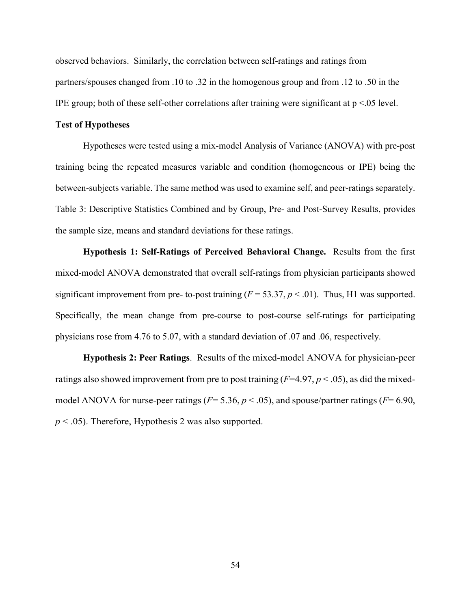observed behaviors. Similarly, the correlation between self-ratings and ratings from partners/spouses changed from .10 to .32 in the homogenous group and from .12 to .50 in the IPE group; both of these self-other correlations after training were significant at  $p < 0.05$  level.

# **Test of Hypotheses**

Hypotheses were tested using a mix-model Analysis of Variance (ANOVA) with pre-post training being the repeated measures variable and condition (homogeneous or IPE) being the between-subjects variable. The same method was used to examine self, and peer-ratings separately. Table 3: Descriptive Statistics Combined and by Group, Pre- and Post-Survey Results, provides the sample size, means and standard deviations for these ratings.

**Hypothesis 1: Self-Ratings of Perceived Behavioral Change.** Results from the first mixed-model ANOVA demonstrated that overall self-ratings from physician participants showed significant improvement from pre- to-post training  $(F = 53.37, p < .01)$ . Thus, H1 was supported. Specifically, the mean change from pre-course to post-course self-ratings for participating physicians rose from 4.76 to 5.07, with a standard deviation of .07 and .06, respectively.

**Hypothesis 2: Peer Ratings**. Results of the mixed-model ANOVA for physician-peer ratings also showed improvement from pre to post training  $(F=4.97, p<.05)$ , as did the mixedmodel ANOVA for nurse-peer ratings (*F*= 5.36, *p* < .05), and spouse/partner ratings (*F*= 6.90, *p* < .05). Therefore, Hypothesis 2 was also supported.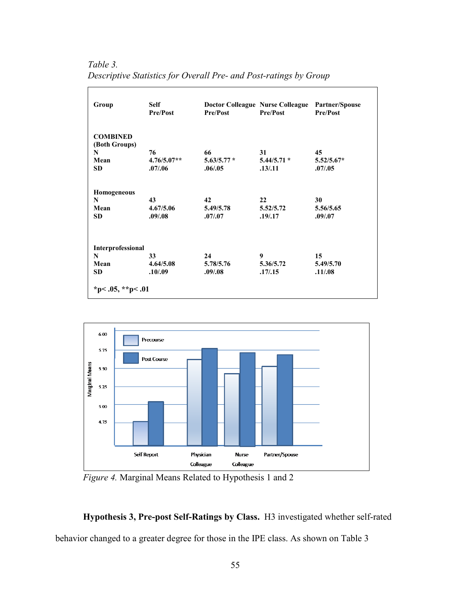*Table 3. Descriptive Statistics for Overall Pre- and Post-ratings by Group*

| Group                 | <b>Self</b><br><b>Pre/Post</b> | <b>Pre/Post</b> | Doctor Colleague Nurse Colleague Partner/Spouse<br><b>Pre/Post</b> | Pre/Post     |
|-----------------------|--------------------------------|-----------------|--------------------------------------------------------------------|--------------|
| <b>COMBINED</b>       |                                |                 |                                                                    |              |
| (Both Groups)<br>N    | 76                             | 66              | 31                                                                 | 45           |
| Mean                  | $4.76/5.07**$                  | $5.63/5.77*$    | $5.44/5.71*$                                                       | $5.52/5.67*$ |
| <b>SD</b>             | .07/06                         | .06/0.05        | .13/.11                                                            | .07/0.05     |
| Homogeneous           |                                |                 |                                                                    |              |
| N                     | 43                             | 42              | 22                                                                 | 30           |
| Mean                  | 4.67/5.06                      | 5.49/5.78       | 5.52/5.72                                                          | 5.56/5.65    |
| <b>SD</b>             | .09/0.08                       | .07/0.07        | .19/0.17                                                           | .09/0.07     |
| Interprofessional     |                                |                 |                                                                    |              |
| N                     | 33                             | 24              | 9                                                                  | 15           |
| Mean                  | 4.64/5.08                      | 5.78/5.76       | 5.36/5.72                                                          | 5.49/5.70    |
| <b>SD</b>             | .10/0.09                       | .09/0.08        | .17/0.15                                                           | .11/08       |
| *p< $.05,$ **p< $.01$ |                                |                 |                                                                    |              |



*Figure 4.* Marginal Means Related to Hypothesis 1 and 2

**Hypothesis 3, Pre-post Self-Ratings by Class.** H3 investigated whether self-rated behavior changed to a greater degree for those in the IPE class. As shown on Table 3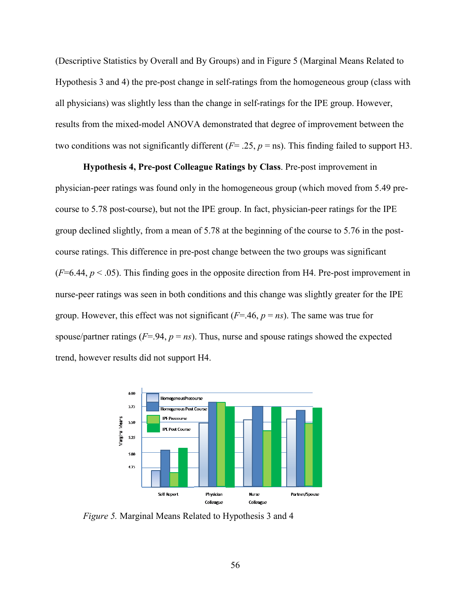(Descriptive Statistics by Overall and By Groups) and in Figure 5 (Marginal Means Related to Hypothesis 3 and 4) the pre-post change in self-ratings from the homogeneous group (class with all physicians) was slightly less than the change in self-ratings for the IPE group. However, results from the mixed-model ANOVA demonstrated that degree of improvement between the two conditions was not significantly different  $(F = .25, p = \text{ns})$ . This finding failed to support H3.

**Hypothesis 4, Pre-post Colleague Ratings by Class**. Pre-post improvement in physician-peer ratings was found only in the homogeneous group (which moved from 5.49 precourse to 5.78 post-course), but not the IPE group. In fact, physician-peer ratings for the IPE group declined slightly, from a mean of 5.78 at the beginning of the course to 5.76 in the postcourse ratings. This difference in pre-post change between the two groups was significant  $(F=6.44, p<.05)$ . This finding goes in the opposite direction from H4. Pre-post improvement in nurse-peer ratings was seen in both conditions and this change was slightly greater for the IPE group. However, this effect was not significant (*F*=.46, *p* = *ns*). The same was true for spouse/partner ratings ( $F = .94$ ,  $p = ns$ ). Thus, nurse and spouse ratings showed the expected trend, however results did not support H4.



*Figure 5.* Marginal Means Related to Hypothesis 3 and 4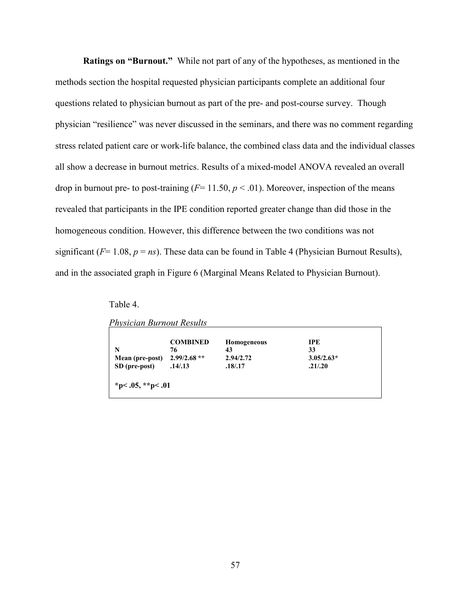**Ratings on "Burnout."** While not part of any of the hypotheses, as mentioned in the methods section the hospital requested physician participants complete an additional four questions related to physician burnout as part of the pre- and post-course survey. Though physician "resilience" was never discussed in the seminars, and there was no comment regarding stress related patient care or work-life balance, the combined class data and the individual classes all show a decrease in burnout metrics. Results of a mixed-model ANOVA revealed an overall drop in burnout pre- to post-training  $(F = 11.50, p < .01)$ . Moreover, inspection of the means revealed that participants in the IPE condition reported greater change than did those in the homogeneous condition. However, this difference between the two conditions was not significant ( $F= 1.08$ ,  $p = ns$ ). These data can be found in Table 4 (Physician Burnout Results), and in the associated graph in Figure 6 (Marginal Means Related to Physician Burnout).

Table 4.

|  | Physician Burnout Results |  |  |
|--|---------------------------|--|--|

| N               | <b>COMBINED</b><br>76 | Homogeneous<br>43 | <b>IPE</b><br>33 |
|-----------------|-----------------------|-------------------|------------------|
| Mean (pre-post) | $2.99/2.68**$         | 2.94/2.72         | $3.05/2.63*$     |
| SD (pre-post)   | .14/0.13              | .18/.17           | .21/.20          |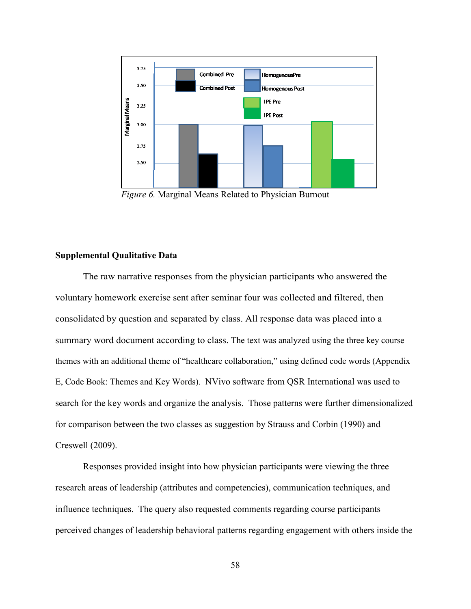

*Figure 6.* Marginal Means Related to Physician Burnout

## **Supplemental Qualitative Data**

The raw narrative responses from the physician participants who answered the voluntary homework exercise sent after seminar four was collected and filtered, then consolidated by question and separated by class. All response data was placed into a summary word document according to class. The text was analyzed using the three key course themes with an additional theme of "healthcare collaboration," using defined code words (Appendix E, Code Book: Themes and Key Words). NVivo software from QSR International was used to search for the key words and organize the analysis. Those patterns were further dimensionalized for comparison between the two classes as suggestion by Strauss and Corbin (1990) and Creswell (2009).

Responses provided insight into how physician participants were viewing the three research areas of leadership (attributes and competencies), communication techniques, and influence techniques. The query also requested comments regarding course participants perceived changes of leadership behavioral patterns regarding engagement with others inside the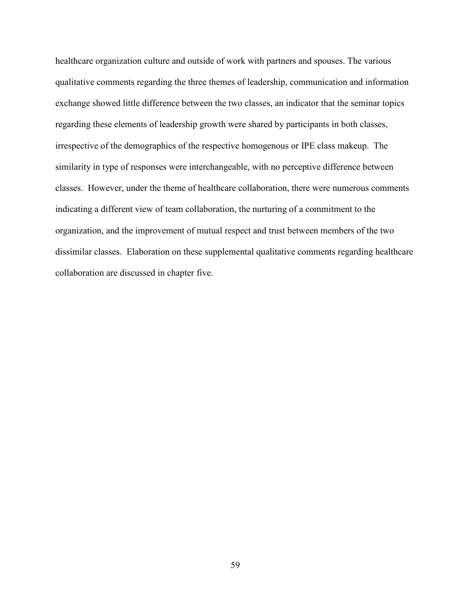healthcare organization culture and outside of work with partners and spouses. The various qualitative comments regarding the three themes of leadership, communication and information exchange showed little difference between the two classes, an indicator that the seminar topics regarding these elements of leadership growth were shared by participants in both classes, irrespective of the demographics of the respective homogenous or IPE class makeup. The similarity in type of responses were interchangeable, with no perceptive difference between classes. However, under the theme of healthcare collaboration, there were numerous comments indicating a different view of team collaboration, the nurturing of a commitment to the organization, and the improvement of mutual respect and trust between members of the two dissimilar classes. Elaboration on these supplemental qualitative comments regarding healthcare collaboration are discussed in chapter five.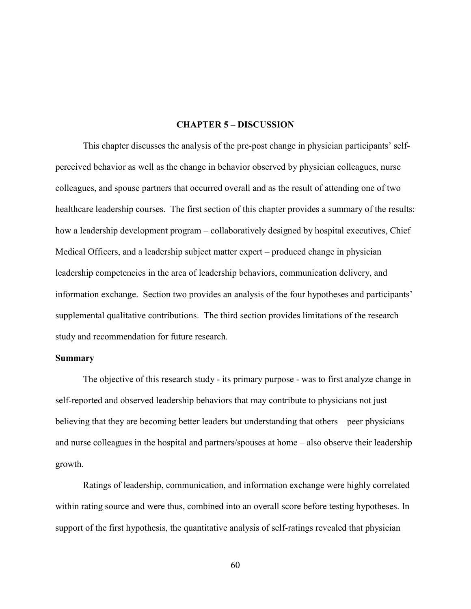#### **CHAPTER 5 – DISCUSSION**

This chapter discusses the analysis of the pre-post change in physician participants' selfperceived behavior as well as the change in behavior observed by physician colleagues, nurse colleagues, and spouse partners that occurred overall and as the result of attending one of two healthcare leadership courses. The first section of this chapter provides a summary of the results: how a leadership development program – collaboratively designed by hospital executives, Chief Medical Officers, and a leadership subject matter expert – produced change in physician leadership competencies in the area of leadership behaviors, communication delivery, and information exchange. Section two provides an analysis of the four hypotheses and participants' supplemental qualitative contributions. The third section provides limitations of the research study and recommendation for future research.

#### **Summary**

The objective of this research study - its primary purpose - was to first analyze change in self-reported and observed leadership behaviors that may contribute to physicians not just believing that they are becoming better leaders but understanding that others – peer physicians and nurse colleagues in the hospital and partners/spouses at home – also observe their leadership growth.

Ratings of leadership, communication, and information exchange were highly correlated within rating source and were thus, combined into an overall score before testing hypotheses. In support of the first hypothesis, the quantitative analysis of self-ratings revealed that physician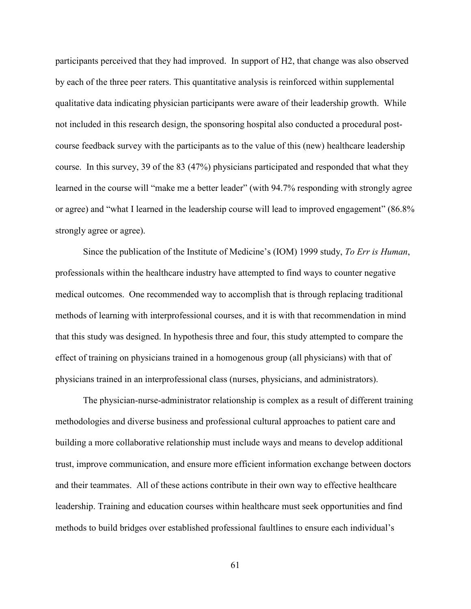participants perceived that they had improved. In support of H2, that change was also observed by each of the three peer raters. This quantitative analysis is reinforced within supplemental qualitative data indicating physician participants were aware of their leadership growth. While not included in this research design, the sponsoring hospital also conducted a procedural postcourse feedback survey with the participants as to the value of this (new) healthcare leadership course. In this survey, 39 of the 83 (47%) physicians participated and responded that what they learned in the course will "make me a better leader" (with 94.7% responding with strongly agree or agree) and "what I learned in the leadership course will lead to improved engagement" (86.8% strongly agree or agree).

Since the publication of the Institute of Medicine's (IOM) 1999 study, *To Err is Human*, professionals within the healthcare industry have attempted to find ways to counter negative medical outcomes. One recommended way to accomplish that is through replacing traditional methods of learning with interprofessional courses, and it is with that recommendation in mind that this study was designed. In hypothesis three and four, this study attempted to compare the effect of training on physicians trained in a homogenous group (all physicians) with that of physicians trained in an interprofessional class (nurses, physicians, and administrators).

The physician-nurse-administrator relationship is complex as a result of different training methodologies and diverse business and professional cultural approaches to patient care and building a more collaborative relationship must include ways and means to develop additional trust, improve communication, and ensure more efficient information exchange between doctors and their teammates. All of these actions contribute in their own way to effective healthcare leadership. Training and education courses within healthcare must seek opportunities and find methods to build bridges over established professional faultlines to ensure each individual's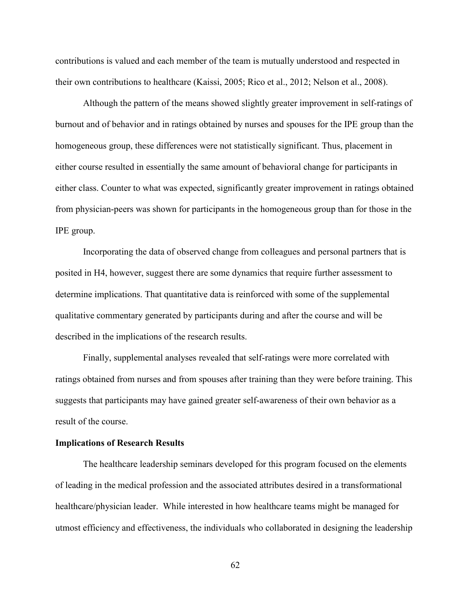contributions is valued and each member of the team is mutually understood and respected in their own contributions to healthcare (Kaissi, 2005; Rico et al., 2012; Nelson et al., 2008).

Although the pattern of the means showed slightly greater improvement in self-ratings of burnout and of behavior and in ratings obtained by nurses and spouses for the IPE group than the homogeneous group, these differences were not statistically significant. Thus, placement in either course resulted in essentially the same amount of behavioral change for participants in either class. Counter to what was expected, significantly greater improvement in ratings obtained from physician-peers was shown for participants in the homogeneous group than for those in the IPE group.

Incorporating the data of observed change from colleagues and personal partners that is posited in H4, however, suggest there are some dynamics that require further assessment to determine implications. That quantitative data is reinforced with some of the supplemental qualitative commentary generated by participants during and after the course and will be described in the implications of the research results.

Finally, supplemental analyses revealed that self-ratings were more correlated with ratings obtained from nurses and from spouses after training than they were before training. This suggests that participants may have gained greater self-awareness of their own behavior as a result of the course.

#### **Implications of Research Results**

The healthcare leadership seminars developed for this program focused on the elements of leading in the medical profession and the associated attributes desired in a transformational healthcare/physician leader. While interested in how healthcare teams might be managed for utmost efficiency and effectiveness, the individuals who collaborated in designing the leadership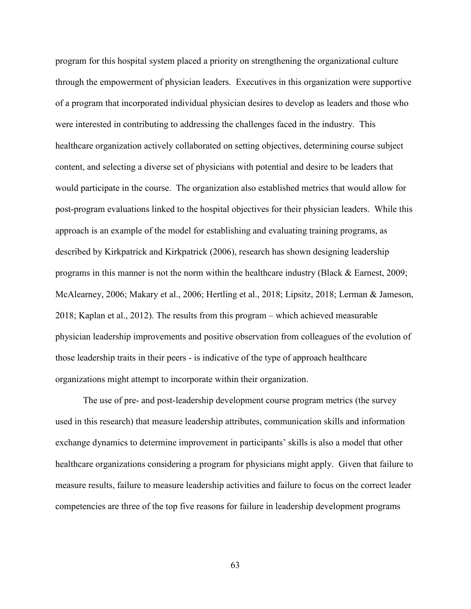program for this hospital system placed a priority on strengthening the organizational culture through the empowerment of physician leaders. Executives in this organization were supportive of a program that incorporated individual physician desires to develop as leaders and those who were interested in contributing to addressing the challenges faced in the industry. This healthcare organization actively collaborated on setting objectives, determining course subject content, and selecting a diverse set of physicians with potential and desire to be leaders that would participate in the course. The organization also established metrics that would allow for post-program evaluations linked to the hospital objectives for their physician leaders. While this approach is an example of the model for establishing and evaluating training programs, as described by Kirkpatrick and Kirkpatrick (2006), research has shown designing leadership programs in this manner is not the norm within the healthcare industry (Black & Earnest, 2009; McAlearney, 2006; Makary et al., 2006; Hertling et al., 2018; Lipsitz, 2018; Lerman & Jameson, 2018; Kaplan et al., 2012). The results from this program – which achieved measurable physician leadership improvements and positive observation from colleagues of the evolution of those leadership traits in their peers - is indicative of the type of approach healthcare organizations might attempt to incorporate within their organization.

The use of pre- and post-leadership development course program metrics (the survey used in this research) that measure leadership attributes, communication skills and information exchange dynamics to determine improvement in participants' skills is also a model that other healthcare organizations considering a program for physicians might apply. Given that failure to measure results, failure to measure leadership activities and failure to focus on the correct leader competencies are three of the top five reasons for failure in leadership development programs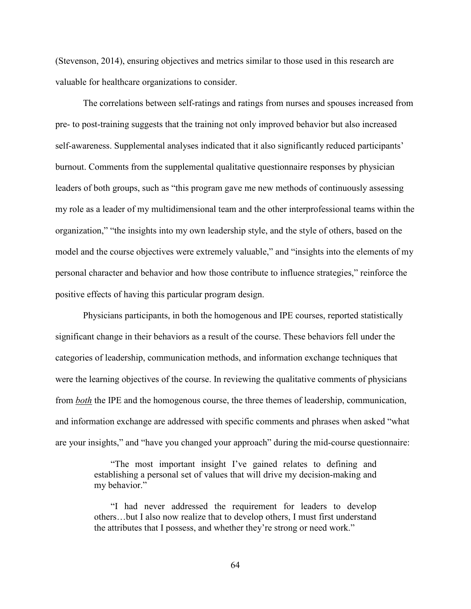(Stevenson, 2014), ensuring objectives and metrics similar to those used in this research are valuable for healthcare organizations to consider.

The correlations between self-ratings and ratings from nurses and spouses increased from pre- to post-training suggests that the training not only improved behavior but also increased self-awareness. Supplemental analyses indicated that it also significantly reduced participants' burnout. Comments from the supplemental qualitative questionnaire responses by physician leaders of both groups, such as "this program gave me new methods of continuously assessing my role as a leader of my multidimensional team and the other interprofessional teams within the organization," "the insights into my own leadership style, and the style of others, based on the model and the course objectives were extremely valuable," and "insights into the elements of my personal character and behavior and how those contribute to influence strategies," reinforce the positive effects of having this particular program design.

Physicians participants, in both the homogenous and IPE courses, reported statistically significant change in their behaviors as a result of the course. These behaviors fell under the categories of leadership, communication methods, and information exchange techniques that were the learning objectives of the course. In reviewing the qualitative comments of physicians from *both* the IPE and the homogenous course, the three themes of leadership, communication, and information exchange are addressed with specific comments and phrases when asked "what are your insights," and "have you changed your approach" during the mid-course questionnaire:

> "The most important insight I've gained relates to defining and establishing a personal set of values that will drive my decision-making and my behavior."

> "I had never addressed the requirement for leaders to develop others…but I also now realize that to develop others, I must first understand the attributes that I possess, and whether they're strong or need work."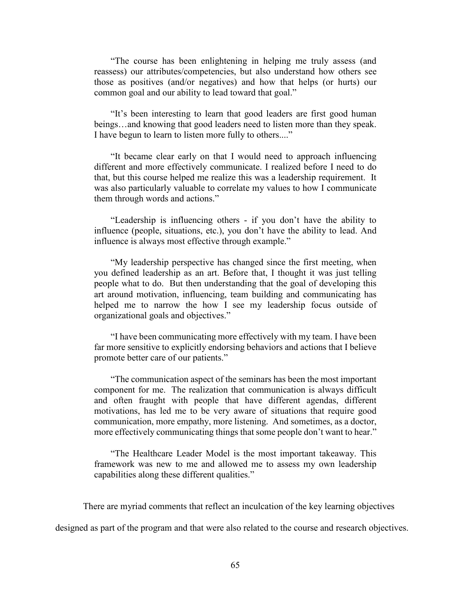"The course has been enlightening in helping me truly assess (and reassess) our attributes/competencies, but also understand how others see those as positives (and/or negatives) and how that helps (or hurts) our common goal and our ability to lead toward that goal."

"It's been interesting to learn that good leaders are first good human beings…and knowing that good leaders need to listen more than they speak. I have begun to learn to listen more fully to others...."

"It became clear early on that I would need to approach influencing different and more effectively communicate. I realized before I need to do that, but this course helped me realize this was a leadership requirement. It was also particularly valuable to correlate my values to how I communicate them through words and actions."

"Leadership is influencing others - if you don't have the ability to influence (people, situations, etc.), you don't have the ability to lead. And influence is always most effective through example."

"My leadership perspective has changed since the first meeting, when you defined leadership as an art. Before that, I thought it was just telling people what to do. But then understanding that the goal of developing this art around motivation, influencing, team building and communicating has helped me to narrow the how I see my leadership focus outside of organizational goals and objectives."

"I have been communicating more effectively with my team. I have been far more sensitive to explicitly endorsing behaviors and actions that I believe promote better care of our patients."

"The communication aspect of the seminars has been the most important component for me. The realization that communication is always difficult and often fraught with people that have different agendas, different motivations, has led me to be very aware of situations that require good communication, more empathy, more listening. And sometimes, as a doctor, more effectively communicating things that some people don't want to hear."

"The Healthcare Leader Model is the most important takeaway. This framework was new to me and allowed me to assess my own leadership capabilities along these different qualities."

There are myriad comments that reflect an inculcation of the key learning objectives

designed as part of the program and that were also related to the course and research objectives.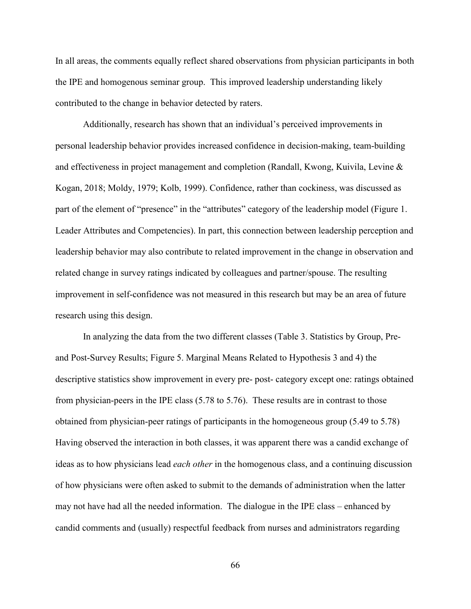In all areas, the comments equally reflect shared observations from physician participants in both the IPE and homogenous seminar group. This improved leadership understanding likely contributed to the change in behavior detected by raters.

Additionally, research has shown that an individual's perceived improvements in personal leadership behavior provides increased confidence in decision-making, team-building and effectiveness in project management and completion (Randall, Kwong, Kuivila, Levine & Kogan, 2018; Moldy, 1979; Kolb, 1999). Confidence, rather than cockiness, was discussed as part of the element of "presence" in the "attributes" category of the leadership model (Figure 1. Leader Attributes and Competencies). In part, this connection between leadership perception and leadership behavior may also contribute to related improvement in the change in observation and related change in survey ratings indicated by colleagues and partner/spouse. The resulting improvement in self-confidence was not measured in this research but may be an area of future research using this design.

In analyzing the data from the two different classes (Table 3. Statistics by Group, Preand Post-Survey Results; Figure 5. Marginal Means Related to Hypothesis 3 and 4) the descriptive statistics show improvement in every pre- post- category except one: ratings obtained from physician-peers in the IPE class (5.78 to 5.76). These results are in contrast to those obtained from physician-peer ratings of participants in the homogeneous group (5.49 to 5.78) Having observed the interaction in both classes, it was apparent there was a candid exchange of ideas as to how physicians lead *each other* in the homogenous class, and a continuing discussion of how physicians were often asked to submit to the demands of administration when the latter may not have had all the needed information. The dialogue in the IPE class – enhanced by candid comments and (usually) respectful feedback from nurses and administrators regarding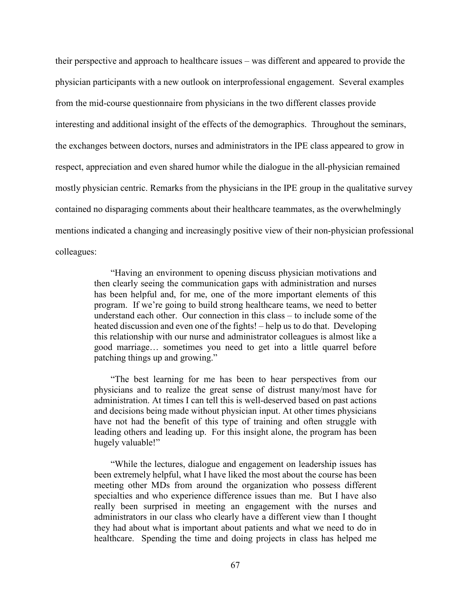their perspective and approach to healthcare issues – was different and appeared to provide the physician participants with a new outlook on interprofessional engagement. Several examples from the mid-course questionnaire from physicians in the two different classes provide interesting and additional insight of the effects of the demographics. Throughout the seminars, the exchanges between doctors, nurses and administrators in the IPE class appeared to grow in respect, appreciation and even shared humor while the dialogue in the all-physician remained mostly physician centric. Remarks from the physicians in the IPE group in the qualitative survey contained no disparaging comments about their healthcare teammates, as the overwhelmingly mentions indicated a changing and increasingly positive view of their non-physician professional colleagues:

> "Having an environment to opening discuss physician motivations and then clearly seeing the communication gaps with administration and nurses has been helpful and, for me, one of the more important elements of this program. If we're going to build strong healthcare teams, we need to better understand each other. Our connection in this class – to include some of the heated discussion and even one of the fights! – help us to do that. Developing this relationship with our nurse and administrator colleagues is almost like a good marriage… sometimes you need to get into a little quarrel before patching things up and growing."

> "The best learning for me has been to hear perspectives from our physicians and to realize the great sense of distrust many/most have for administration. At times I can tell this is well-deserved based on past actions and decisions being made without physician input. At other times physicians have not had the benefit of this type of training and often struggle with leading others and leading up. For this insight alone, the program has been hugely valuable!"

> "While the lectures, dialogue and engagement on leadership issues has been extremely helpful, what I have liked the most about the course has been meeting other MDs from around the organization who possess different specialties and who experience difference issues than me. But I have also really been surprised in meeting an engagement with the nurses and administrators in our class who clearly have a different view than I thought they had about what is important about patients and what we need to do in healthcare. Spending the time and doing projects in class has helped me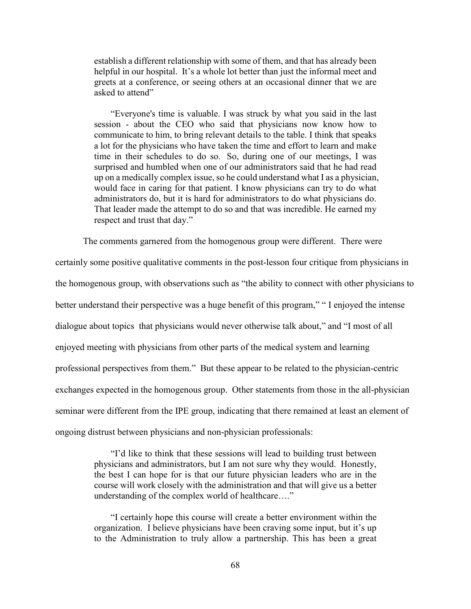establish a different relationship with some of them, and that has already been helpful in our hospital. It's a whole lot better than just the informal meet and greets at a conference, or seeing others at an occasional dinner that we are asked to attend"

"Everyone's time is valuable. I was struck by what you said in the last session - about the CEO who said that physicians now know how to communicate to him, to bring relevant details to the table. I think that speaks a lot for the physicians who have taken the time and effort to learn and make time in their schedules to do so. So, during one of our meetings, I was surprised and humbled when one of our administrators said that he had read up on a medically complex issue, so he could understand what I as a physician, would face in caring for that patient. I know physicians can try to do what administrators do, but it is hard for administrators to do what physicians do. That leader made the attempt to do so and that was incredible. He earned my respect and trust that day."

The comments garnered from the homogenous group were different. There were certainly some positive qualitative comments in the post-lesson four critique from physicians in the homogenous group, with observations such as "the ability to connect with other physicians to better understand their perspective was a huge benefit of this program," " I enjoyed the intense dialogue about topics that physicians would never otherwise talk about," and "I most of all enjoyed meeting with physicians from other parts of the medical system and learning professional perspectives from them." But these appear to be related to the physician-centric exchanges expected in the homogenous group. Other statements from those in the all-physician seminar were different from the IPE group, indicating that there remained at least an element of ongoing distrust between physicians and non-physician professionals:

> "I'd like to think that these sessions will lead to building trust between physicians and administrators, but I am not sure why they would. Honestly, the best I can hope for is that our future physician leaders who are in the course will work closely with the administration and that will give us a better understanding of the complex world of healthcare...."

> "I certainly hope this course will create a better environment within the organization. I believe physicians have been craving some input, but it's up to the Administration to truly allow a partnership. This has been a great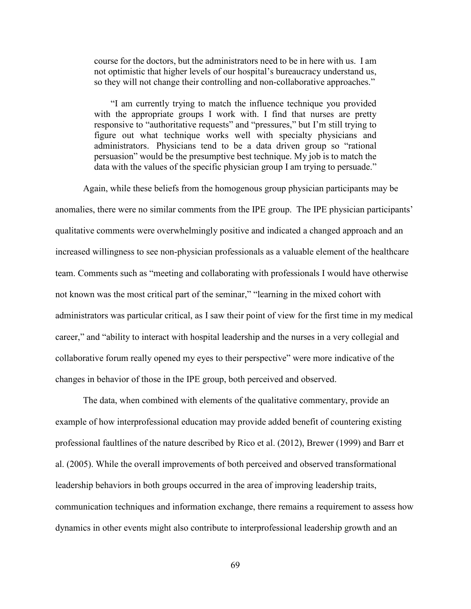course for the doctors, but the administrators need to be in here with us. I am not optimistic that higher levels of our hospital's bureaucracy understand us, so they will not change their controlling and non-collaborative approaches."

"I am currently trying to match the influence technique you provided with the appropriate groups I work with. I find that nurses are pretty responsive to "authoritative requests" and "pressures," but I'm still trying to figure out what technique works well with specialty physicians and administrators. Physicians tend to be a data driven group so "rational persuasion" would be the presumptive best technique. My job is to match the data with the values of the specific physician group I am trying to persuade."

Again, while these beliefs from the homogenous group physician participants may be anomalies, there were no similar comments from the IPE group. The IPE physician participants' qualitative comments were overwhelmingly positive and indicated a changed approach and an increased willingness to see non-physician professionals as a valuable element of the healthcare team. Comments such as "meeting and collaborating with professionals I would have otherwise not known was the most critical part of the seminar," "learning in the mixed cohort with administrators was particular critical, as I saw their point of view for the first time in my medical career," and "ability to interact with hospital leadership and the nurses in a very collegial and collaborative forum really opened my eyes to their perspective" were more indicative of the changes in behavior of those in the IPE group, both perceived and observed.

The data, when combined with elements of the qualitative commentary, provide an example of how interprofessional education may provide added benefit of countering existing professional faultlines of the nature described by Rico et al. (2012), Brewer (1999) and Barr et al. (2005). While the overall improvements of both perceived and observed transformational leadership behaviors in both groups occurred in the area of improving leadership traits, communication techniques and information exchange, there remains a requirement to assess how dynamics in other events might also contribute to interprofessional leadership growth and an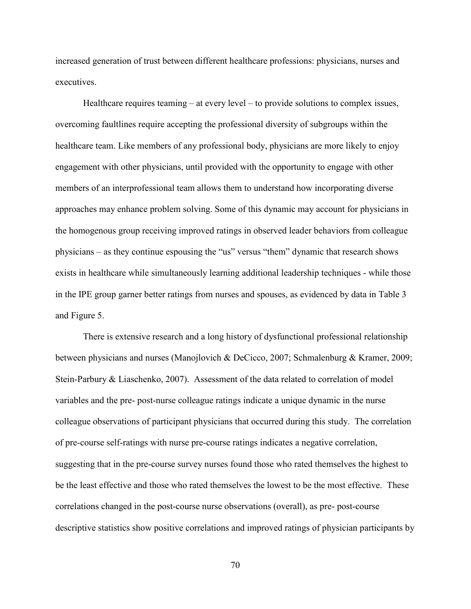increased generation of trust between different healthcare professions: physicians, nurses and executives.

Healthcare requires teaming – at every level – to provide solutions to complex issues, overcoming faultlines require accepting the professional diversity of subgroups within the healthcare team. Like members of any professional body, physicians are more likely to enjoy engagement with other physicians, until provided with the opportunity to engage with other members of an interprofessional team allows them to understand how incorporating diverse approaches may enhance problem solving. Some of this dynamic may account for physicians in the homogenous group receiving improved ratings in observed leader behaviors from colleague physicians – as they continue espousing the "us" versus "them" dynamic that research shows exists in healthcare while simultaneously learning additional leadership techniques - while those in the IPE group garner better ratings from nurses and spouses, as evidenced by data in Table 3 and Figure 5.

There is extensive research and a long history of dysfunctional professional relationship between physicians and nurses (Manojlovich & DeCicco, 2007; Schmalenburg & Kramer, 2009; Stein-Parbury & Liaschenko, 2007). Assessment of the data related to correlation of model variables and the pre- post-nurse colleague ratings indicate a unique dynamic in the nurse colleague observations of participant physicians that occurred during this study. The correlation of pre-course self-ratings with nurse pre-course ratings indicates a negative correlation, suggesting that in the pre-course survey nurses found those who rated themselves the highest to be the least effective and those who rated themselves the lowest to be the most effective. These correlations changed in the post-course nurse observations (overall), as pre- post-course descriptive statistics show positive correlations and improved ratings of physician participants by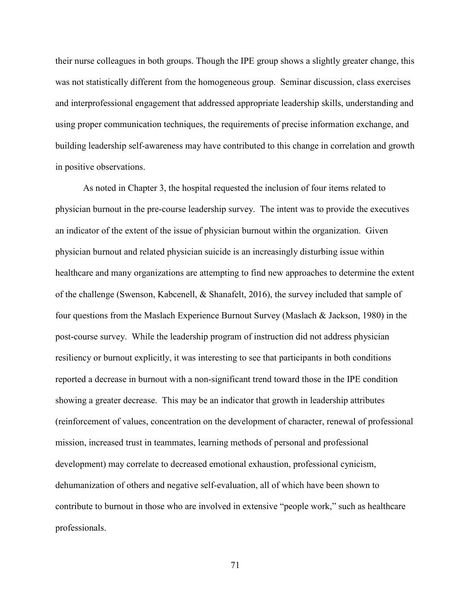their nurse colleagues in both groups. Though the IPE group shows a slightly greater change, this was not statistically different from the homogeneous group. Seminar discussion, class exercises and interprofessional engagement that addressed appropriate leadership skills, understanding and using proper communication techniques, the requirements of precise information exchange, and building leadership self-awareness may have contributed to this change in correlation and growth in positive observations.

As noted in Chapter 3, the hospital requested the inclusion of four items related to physician burnout in the pre-course leadership survey. The intent was to provide the executives an indicator of the extent of the issue of physician burnout within the organization. Given physician burnout and related physician suicide is an increasingly disturbing issue within healthcare and many organizations are attempting to find new approaches to determine the extent of the challenge (Swenson, Kabcenell, & Shanafelt, 2016), the survey included that sample of four questions from the Maslach Experience Burnout Survey (Maslach & Jackson, 1980) in the post-course survey. While the leadership program of instruction did not address physician resiliency or burnout explicitly, it was interesting to see that participants in both conditions reported a decrease in burnout with a non-significant trend toward those in the IPE condition showing a greater decrease. This may be an indicator that growth in leadership attributes (reinforcement of values, concentration on the development of character, renewal of professional mission, increased trust in teammates, learning methods of personal and professional development) may correlate to decreased emotional exhaustion, professional cynicism, dehumanization of others and negative self-evaluation, all of which have been shown to contribute to burnout in those who are involved in extensive "people work," such as healthcare professionals.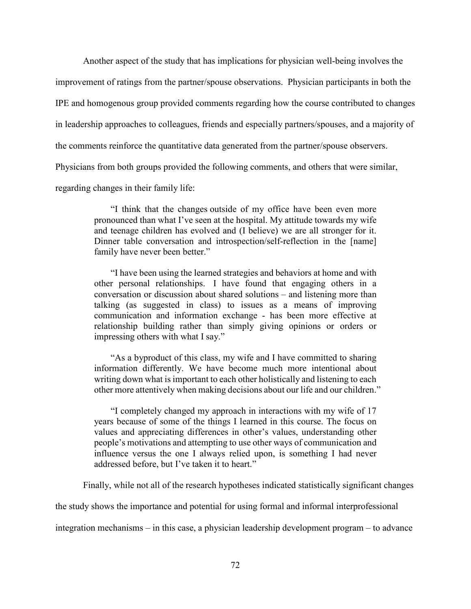Another aspect of the study that has implications for physician well-being involves the

improvement of ratings from the partner/spouse observations. Physician participants in both the

IPE and homogenous group provided comments regarding how the course contributed to changes

in leadership approaches to colleagues, friends and especially partners/spouses, and a majority of

the comments reinforce the quantitative data generated from the partner/spouse observers.

Physicians from both groups provided the following comments, and others that were similar,

regarding changes in their family life:

"I think that the changes outside of my office have been even more pronounced than what I've seen at the hospital. My attitude towards my wife and teenage children has evolved and (I believe) we are all stronger for it. Dinner table conversation and introspection/self-reflection in the [name] family have never been better."

"I have been using the learned strategies and behaviors at home and with other personal relationships. I have found that engaging others in a conversation or discussion about shared solutions – and listening more than talking (as suggested in class) to issues as a means of improving communication and information exchange - has been more effective at relationship building rather than simply giving opinions or orders or impressing others with what I say."

"As a byproduct of this class, my wife and I have committed to sharing information differently. We have become much more intentional about writing down what is important to each other holistically and listening to each other more attentively when making decisions about our life and our children."

"I completely changed my approach in interactions with my wife of 17 years because of some of the things I learned in this course. The focus on values and appreciating differences in other's values, understanding other people's motivations and attempting to use other ways of communication and influence versus the one I always relied upon, is something I had never addressed before, but I've taken it to heart."

Finally, while not all of the research hypotheses indicated statistically significant changes

the study shows the importance and potential for using formal and informal interprofessional

integration mechanisms – in this case, a physician leadership development program – to advance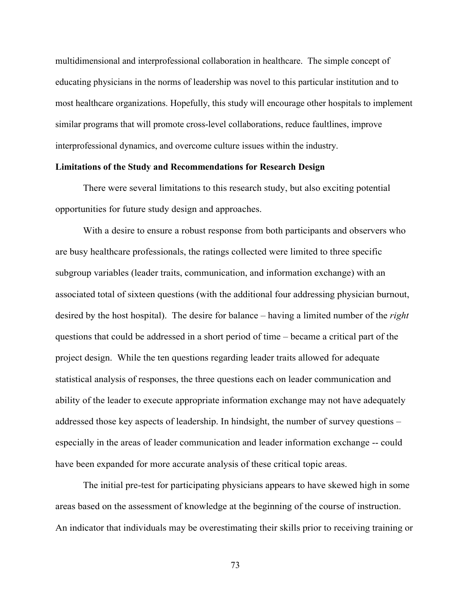multidimensional and interprofessional collaboration in healthcare. The simple concept of educating physicians in the norms of leadership was novel to this particular institution and to most healthcare organizations. Hopefully, this study will encourage other hospitals to implement similar programs that will promote cross-level collaborations, reduce faultlines, improve interprofessional dynamics, and overcome culture issues within the industry.

### **Limitations of the Study and Recommendations for Research Design**

There were several limitations to this research study, but also exciting potential opportunities for future study design and approaches.

With a desire to ensure a robust response from both participants and observers who are busy healthcare professionals, the ratings collected were limited to three specific subgroup variables (leader traits, communication, and information exchange) with an associated total of sixteen questions (with the additional four addressing physician burnout, desired by the host hospital). The desire for balance – having a limited number of the *right* questions that could be addressed in a short period of time – became a critical part of the project design. While the ten questions regarding leader traits allowed for adequate statistical analysis of responses, the three questions each on leader communication and ability of the leader to execute appropriate information exchange may not have adequately addressed those key aspects of leadership. In hindsight, the number of survey questions – especially in the areas of leader communication and leader information exchange -- could have been expanded for more accurate analysis of these critical topic areas.

The initial pre-test for participating physicians appears to have skewed high in some areas based on the assessment of knowledge at the beginning of the course of instruction. An indicator that individuals may be overestimating their skills prior to receiving training or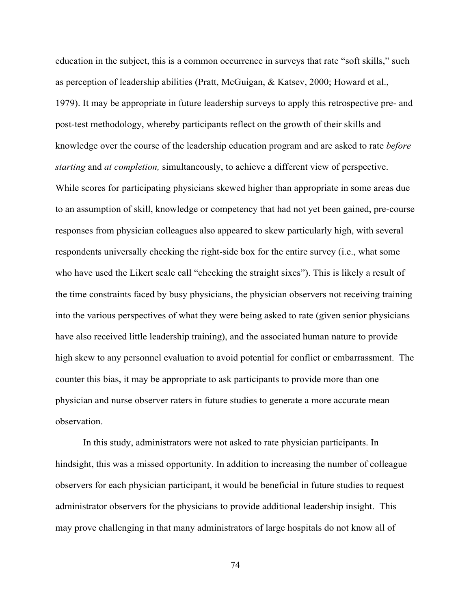education in the subject, this is a common occurrence in surveys that rate "soft skills," such as perception of leadership abilities (Pratt, McGuigan, & Katsev, 2000; Howard et al., 1979). It may be appropriate in future leadership surveys to apply this retrospective pre- and post-test methodology, whereby participants reflect on the growth of their skills and knowledge over the course of the leadership education program and are asked to rate *before starting* and *at completion,* simultaneously, to achieve a different view of perspective. While scores for participating physicians skewed higher than appropriate in some areas due to an assumption of skill, knowledge or competency that had not yet been gained, pre-course responses from physician colleagues also appeared to skew particularly high, with several respondents universally checking the right-side box for the entire survey (i.e., what some who have used the Likert scale call "checking the straight sixes"). This is likely a result of the time constraints faced by busy physicians, the physician observers not receiving training into the various perspectives of what they were being asked to rate (given senior physicians have also received little leadership training), and the associated human nature to provide high skew to any personnel evaluation to avoid potential for conflict or embarrassment. The counter this bias, it may be appropriate to ask participants to provide more than one physician and nurse observer raters in future studies to generate a more accurate mean observation.

In this study, administrators were not asked to rate physician participants. In hindsight, this was a missed opportunity. In addition to increasing the number of colleague observers for each physician participant, it would be beneficial in future studies to request administrator observers for the physicians to provide additional leadership insight. This may prove challenging in that many administrators of large hospitals do not know all of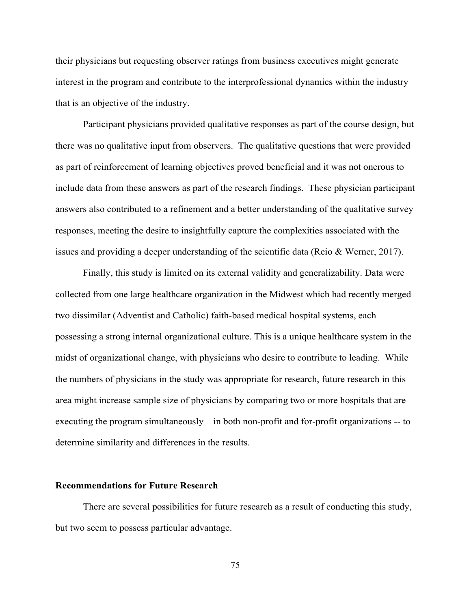their physicians but requesting observer ratings from business executives might generate interest in the program and contribute to the interprofessional dynamics within the industry that is an objective of the industry.

Participant physicians provided qualitative responses as part of the course design, but there was no qualitative input from observers. The qualitative questions that were provided as part of reinforcement of learning objectives proved beneficial and it was not onerous to include data from these answers as part of the research findings. These physician participant answers also contributed to a refinement and a better understanding of the qualitative survey responses, meeting the desire to insightfully capture the complexities associated with the issues and providing a deeper understanding of the scientific data (Reio & Werner, 2017).

Finally, this study is limited on its external validity and generalizability. Data were collected from one large healthcare organization in the Midwest which had recently merged two dissimilar (Adventist and Catholic) faith-based medical hospital systems, each possessing a strong internal organizational culture. This is a unique healthcare system in the midst of organizational change, with physicians who desire to contribute to leading. While the numbers of physicians in the study was appropriate for research, future research in this area might increase sample size of physicians by comparing two or more hospitals that are executing the program simultaneously – in both non-profit and for-profit organizations -- to determine similarity and differences in the results.

#### **Recommendations for Future Research**

There are several possibilities for future research as a result of conducting this study, but two seem to possess particular advantage.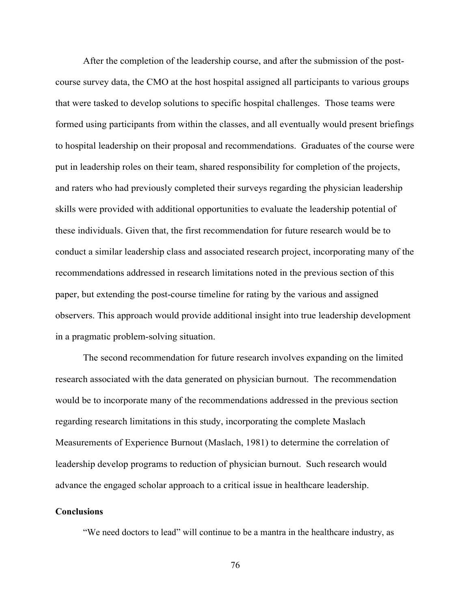After the completion of the leadership course, and after the submission of the postcourse survey data, the CMO at the host hospital assigned all participants to various groups that were tasked to develop solutions to specific hospital challenges. Those teams were formed using participants from within the classes, and all eventually would present briefings to hospital leadership on their proposal and recommendations. Graduates of the course were put in leadership roles on their team, shared responsibility for completion of the projects, and raters who had previously completed their surveys regarding the physician leadership skills were provided with additional opportunities to evaluate the leadership potential of these individuals. Given that, the first recommendation for future research would be to conduct a similar leadership class and associated research project, incorporating many of the recommendations addressed in research limitations noted in the previous section of this paper, but extending the post-course timeline for rating by the various and assigned observers. This approach would provide additional insight into true leadership development in a pragmatic problem-solving situation.

The second recommendation for future research involves expanding on the limited research associated with the data generated on physician burnout. The recommendation would be to incorporate many of the recommendations addressed in the previous section regarding research limitations in this study, incorporating the complete Maslach Measurements of Experience Burnout (Maslach, 1981) to determine the correlation of leadership develop programs to reduction of physician burnout. Such research would advance the engaged scholar approach to a critical issue in healthcare leadership.

#### **Conclusions**

"We need doctors to lead" will continue to be a mantra in the healthcare industry, as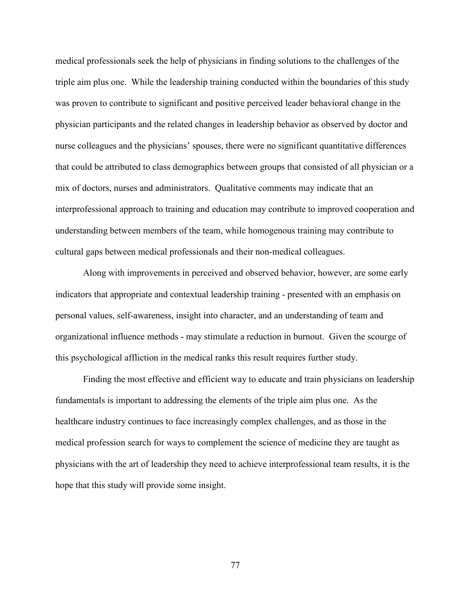medical professionals seek the help of physicians in finding solutions to the challenges of the triple aim plus one. While the leadership training conducted within the boundaries of this study was proven to contribute to significant and positive perceived leader behavioral change in the physician participants and the related changes in leadership behavior as observed by doctor and nurse colleagues and the physicians' spouses, there were no significant quantitative differences that could be attributed to class demographics between groups that consisted of all physician or a mix of doctors, nurses and administrators. Qualitative comments may indicate that an interprofessional approach to training and education may contribute to improved cooperation and understanding between members of the team, while homogenous training may contribute to cultural gaps between medical professionals and their non-medical colleagues.

Along with improvements in perceived and observed behavior, however, are some early indicators that appropriate and contextual leadership training - presented with an emphasis on personal values, self-awareness, insight into character, and an understanding of team and organizational influence methods - may stimulate a reduction in burnout. Given the scourge of this psychological affliction in the medical ranks this result requires further study.

Finding the most effective and efficient way to educate and train physicians on leadership fundamentals is important to addressing the elements of the triple aim plus one. As the healthcare industry continues to face increasingly complex challenges, and as those in the medical profession search for ways to complement the science of medicine they are taught as physicians with the art of leadership they need to achieve interprofessional team results, it is the hope that this study will provide some insight.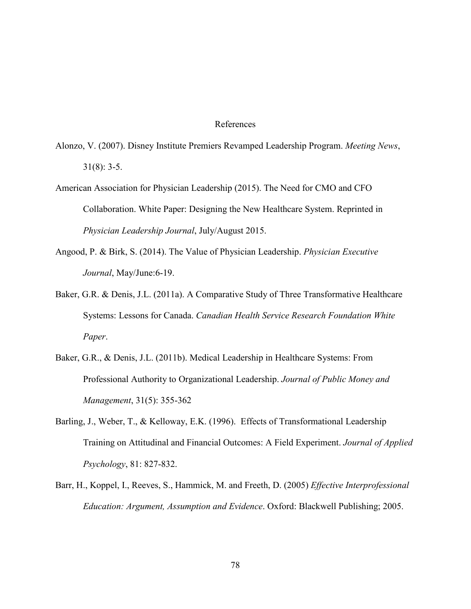#### References

- Alonzo, V. (2007). Disney Institute Premiers Revamped Leadership Program. *Meeting News*, 31(8): 3-5.
- American Association for Physician Leadership (2015). The Need for CMO and CFO Collaboration. White Paper: Designing the New Healthcare System. Reprinted in *Physician Leadership Journal*, July/August 2015.
- Angood, P. & Birk, S. (2014). The Value of Physician Leadership. *Physician Executive Journal*, May/June:6-19.
- Baker, G.R. & Denis, J.L. (2011a). A Comparative Study of Three Transformative Healthcare Systems: Lessons for Canada. *Canadian Health Service Research Foundation White Paper*.
- Baker, G.R., & Denis, J.L. (2011b). Medical Leadership in Healthcare Systems: From Professional Authority to Organizational Leadership. *Journal of Public Money and Management*, 31(5): 355-362
- Barling, J., Weber, T., & Kelloway, E.K. (1996). Effects of Transformational Leadership Training on Attitudinal and Financial Outcomes: A Field Experiment. *Journal of Applied Psychology*, 81: 827-832.
- Barr, H., Koppel, I., Reeves, S., Hammick, M. and Freeth, D. (2005) *Effective Interprofessional Education: Argument, Assumption and Evidence*. Oxford: Blackwell Publishing; 2005.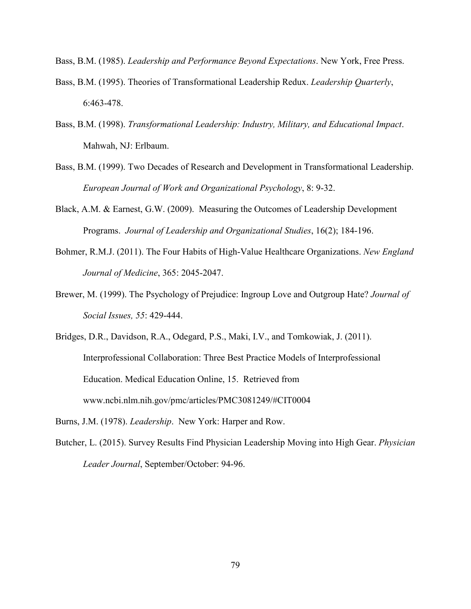Bass, B.M. (1985). *Leadership and Performance Beyond Expectations*. New York, Free Press.

- Bass, B.M. (1995). Theories of Transformational Leadership Redux. *Leadership Quarterly*, 6:463-478.
- Bass, B.M. (1998). *Transformational Leadership: Industry, Military, and Educational Impact*. Mahwah, NJ: Erlbaum.
- Bass, B.M. (1999). Two Decades of Research and Development in Transformational Leadership. *European Journal of Work and Organizational Psychology*, 8: 9-32.
- Black, A.M. & Earnest, G.W. (2009). Measuring the Outcomes of Leadership Development Programs. *Journal of Leadership and Organizational Studies*, 16(2); 184-196.
- Bohmer, R.M.J. (2011). The Four Habits of High-Value Healthcare Organizations. *New England Journal of Medicine*, 365: 2045-2047.
- Brewer, M. (1999). The Psychology of Prejudice: Ingroup Love and Outgroup Hate? *Journal of Social Issues, 55*: 429-444.
- Bridges, D.R., Davidson, R.A., Odegard, P.S., Maki, I.V., and Tomkowiak, J. (2011). Interprofessional Collaboration: Three Best Practice Models of Interprofessional Education. Medical Education Online, 15. Retrieved from www.ncbi.nlm.nih.gov/pmc/articles/PMC3081249/#CIT0004
- Burns, J.M. (1978). *Leadership*. New York: Harper and Row.
- Butcher, L. (2015). Survey Results Find Physician Leadership Moving into High Gear. *Physician Leader Journal*, September/October: 94-96.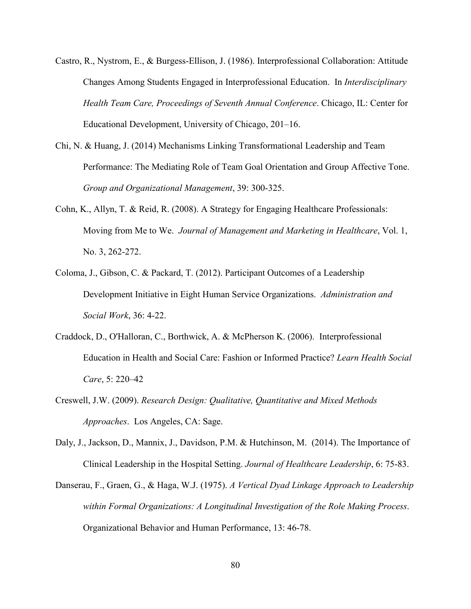- Castro, R., Nystrom, E., & Burgess-Ellison, J. (1986). Interprofessional Collaboration: Attitude Changes Among Students Engaged in Interprofessional Education. In *Interdisciplinary Health Team Care, Proceedings of Seventh Annual Conference*. Chicago, IL: Center for Educational Development, University of Chicago, 201–16.
- Chi, N. & Huang, J. (2014) Mechanisms Linking Transformational Leadership and Team Performance: The Mediating Role of Team Goal Orientation and Group Affective Tone. *Group and Organizational Management*, 39: 300-325.
- Cohn, K., Allyn, T. & Reid, R. (2008). A Strategy for Engaging Healthcare Professionals: Moving from Me to We. *Journal of Management and Marketing in Healthcare*, Vol. 1, No. 3, 262-272.
- Coloma, J., Gibson, C. & Packard, T. (2012). Participant Outcomes of a Leadership Development Initiative in Eight Human Service Organizations. *Administration and Social Work*, 36: 4-22.
- Craddock, D., O'Halloran, C., Borthwick, A. & McPherson K. (2006). Interprofessional Education in Health and Social Care: Fashion or Informed Practice? *Learn Health Social Care*, 5: 220–42
- Creswell, J.W. (2009). *Research Design: Qualitative, Quantitative and Mixed Methods Approaches*. Los Angeles, CA: Sage.
- Daly, J., Jackson, D., Mannix, J., Davidson, P.M. & Hutchinson, M. (2014). The Importance of Clinical Leadership in the Hospital Setting. *Journal of Healthcare Leadership*, 6: 75-83.
- Danserau, F., Graen, G., & Haga, W.J. (1975). *A Vertical Dyad Linkage Approach to Leadership within Formal Organizations: A Longitudinal Investigation of the Role Making Process*. Organizational Behavior and Human Performance, 13: 46-78.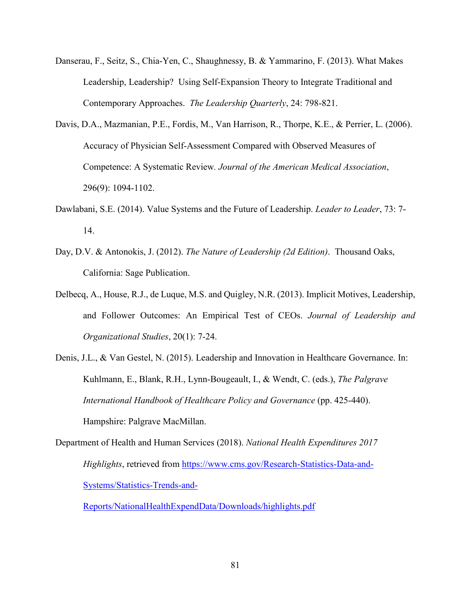- Danserau, F., Seitz, S., Chia-Yen, C., Shaughnessy, B. & Yammarino, F. (2013). What Makes Leadership, Leadership? Using Self-Expansion Theory to Integrate Traditional and Contemporary Approaches. *The Leadership Quarterly*, 24: 798-821.
- Davis, D.A., Mazmanian, P.E., Fordis, M., Van Harrison, R., Thorpe, K.E., & Perrier, L. (2006). Accuracy of Physician Self-Assessment Compared with Observed Measures of Competence: A Systematic Review*. Journal of the American Medical Association*, 296(9): 1094-1102.
- Dawlabani, S.E. (2014). Value Systems and the Future of Leadership. *Leader to Leader*, 73: 7- 14.
- Day, D.V. & Antonokis, J. (2012). *The Nature of Leadership (2d Edition)*. Thousand Oaks, California: Sage Publication.
- Delbecq, A., House, R.J., de Luque, M.S. and Quigley, N.R. (2013). Implicit Motives, Leadership, and Follower Outcomes: An Empirical Test of CEOs. *Journal of Leadership and Organizational Studies*, 20(1): 7-24.
- Denis, J.L., & Van Gestel, N. (2015). Leadership and Innovation in Healthcare Governance. In: Kuhlmann, E., Blank, R.H., Lynn-Bougeault, I., & Wendt, C. (eds.), *The Palgrave International Handbook of Healthcare Policy and Governance* (pp. 425-440). Hampshire: Palgrave MacMillan.
- Department of Health and Human Services (2018). *National Health Expenditures 2017 Highlights*, retrieved from [https://www.cms.gov/Research-Statistics-Data-and-](https://www.cms.gov/Research-Statistics-Data-and-Systems/Statistics-Trends-and-Reports/NationalHealthExpendData/Downloads/highlights.pdf)[Systems/Statistics-Trends-and-](https://www.cms.gov/Research-Statistics-Data-and-Systems/Statistics-Trends-and-Reports/NationalHealthExpendData/Downloads/highlights.pdf)

[Reports/NationalHealthExpendData/Downloads/highlights.pdf](https://www.cms.gov/Research-Statistics-Data-and-Systems/Statistics-Trends-and-Reports/NationalHealthExpendData/Downloads/highlights.pdf)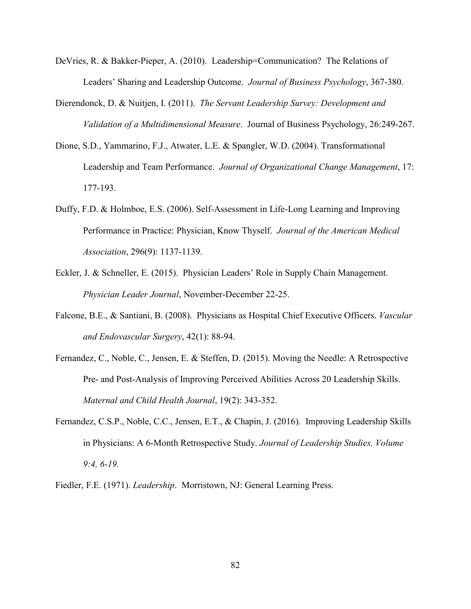- DeVries, R. & Bakker-Pieper, A. (2010). Leadership=Communication? The Relations of Leaders' Sharing and Leadership Outcome. *Journal of Business Psychology*, 367-380.
- Dierendonck, D. & Nuitjen, I. (2011). *The Servant Leadership Survey: Development and Validation of a Multidimensional Measure*. Journal of Business Psychology, 26:249-267.
- Dione, S.D., Yammarino, F.J., Atwater, L.E. & Spangler, W.D. (2004). Transformational Leadership and Team Performance. *Journal of Organizational Change Management*, 17: 177-193.
- Duffy, F.D. & Holmboe, E.S. (2006). Self-Assessment in Life-Long Learning and Improving Performance in Practice: Physician, Know Thyself. *Journal of the American Medical Association*, 296(9): 1137-1139.
- Eckler, J. & Schneller, E. (2015). Physician Leaders' Role in Supply Chain Management. *Physician Leader Journal*, November-December 22-25.
- Falcone, B.E., & Santiani, B. (2008). Physicians as Hospital Chief Executive Officers. *Vascular and Endovascular Surgery*, 42(1): 88-94.
- Fernandez, C., Noble, C., Jensen, E. & Steffen, D. (2015). Moving the Needle: A Retrospective Pre- and Post-Analysis of Improving Perceived Abilities Across 20 Leadership Skills. *Maternal and Child Health Journal*, 19(2): 343-352.
- Fernandez, C.S.P., Noble, C.C., Jensen, E.T., & Chapin, J. (2016). Improving Leadership Skills in Physicians: A 6-Month Retrospective Study. *Journal of Leadership Studies, Volume 9:4, 6-19.*
- Fiedler, F.E. (1971). *Leadership*. Morristown, NJ: General Learning Press.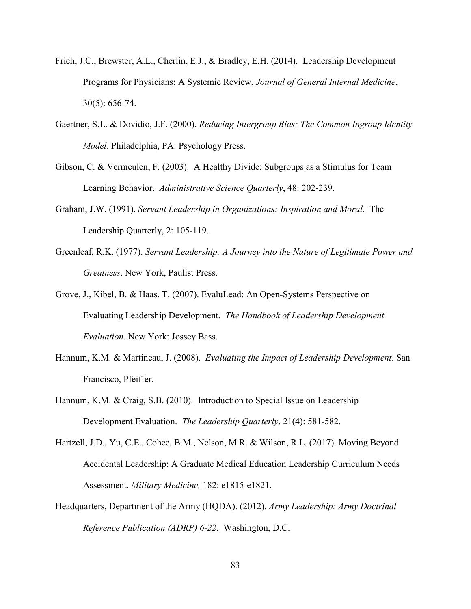- Frich, J.C., Brewster, A.L., Cherlin, E.J., & Bradley, E.H. (2014). Leadership Development Programs for Physicians: A Systemic Review*. Journal of General Internal Medicine*, 30(5): 656-74.
- Gaertner, S.L. & Dovidio, J.F. (2000). *Reducing Intergroup Bias: The Common Ingroup Identity Model*. Philadelphia, PA: Psychology Press.
- Gibson, C. & Vermeulen, F. (2003). A Healthy Divide: Subgroups as a Stimulus for Team Learning Behavior. *Administrative Science Quarterly*, 48: 202-239.
- Graham, J.W. (1991). *Servant Leadership in Organizations: Inspiration and Moral*. The Leadership Quarterly, 2: 105-119.
- Greenleaf, R.K. (1977). *Servant Leadership: A Journey into the Nature of Legitimate Power and Greatness*. New York, Paulist Press.
- Grove, J., Kibel, B. & Haas, T. (2007). EvaluLead: An Open-Systems Perspective on Evaluating Leadership Development. *The Handbook of Leadership Development Evaluation*. New York: Jossey Bass.
- Hannum, K.M. & Martineau, J. (2008). *Evaluating the Impact of Leadership Development*. San Francisco, Pfeiffer.
- Hannum, K.M. & Craig, S.B. (2010). Introduction to Special Issue on Leadership Development Evaluation. *The Leadership Quarterly*, 21(4): 581-582.
- Hartzell, J.D., Yu, C.E., Cohee, B.M., Nelson, M.R. & Wilson, R.L. (2017). Moving Beyond Accidental Leadership: A Graduate Medical Education Leadership Curriculum Needs Assessment. *Military Medicine,* 182: e1815-e1821.
- Headquarters, Department of the Army (HQDA). (2012). *Army Leadership: Army Doctrinal Reference Publication (ADRP) 6-22*. Washington, D.C.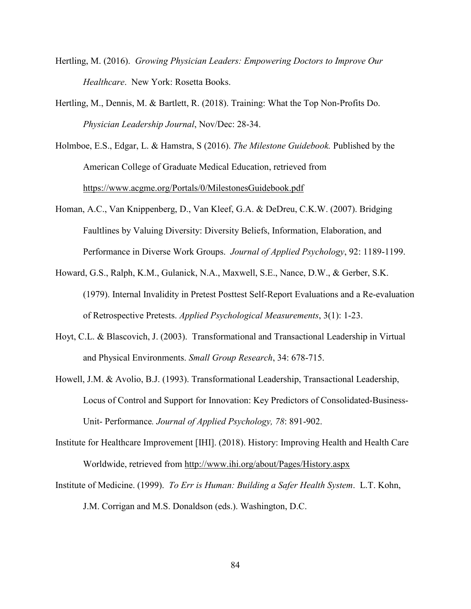- Hertling, M. (2016). *Growing Physician Leaders: Empowering Doctors to Improve Our Healthcare*. New York: Rosetta Books.
- Hertling, M., Dennis, M. & Bartlett, R. (2018). Training: What the Top Non-Profits Do. *Physician Leadership Journal*, Nov/Dec: 28-34.

Holmboe, E.S., Edgar, L. & Hamstra, S (2016). *The Milestone Guidebook.* Published by the American College of Graduate Medical Education, retrieved from <https://www.acgme.org/Portals/0/MilestonesGuidebook.pdf>

- Homan, A.C., Van Knippenberg, D., Van Kleef, G.A. & DeDreu, C.K.W. (2007). Bridging Faultlines by Valuing Diversity: Diversity Beliefs, Information, Elaboration, and Performance in Diverse Work Groups. *Journal of Applied Psychology*, 92: 1189-1199.
- Howard, G.S., Ralph, K.M., Gulanick, N.A., Maxwell, S.E., Nance, D.W., & Gerber, S.K. (1979). Internal Invalidity in Pretest Posttest Self-Report Evaluations and a Re-evaluation of Retrospective Pretests. *Applied Psychological Measurements*, 3(1): 1-23.
- Hoyt, C.L. & Blascovich, J. (2003). Transformational and Transactional Leadership in Virtual and Physical Environments. *Small Group Research*, 34: 678-715.
- Howell, J.M. & Avolio, B.J. (1993). Transformational Leadership, Transactional Leadership, Locus of Control and Support for Innovation: Key Predictors of Consolidated-Business-Unit- Performance*. Journal of Applied Psychology, 78*: 891-902.
- Institute for Healthcare Improvement [IHI]. (2018). History: Improving Health and Health Care Worldwide, retrieved from<http://www.ihi.org/about/Pages/History.aspx>
- Institute of Medicine. (1999). *To Err is Human: Building a Safer Health System*. L.T. Kohn, J.M. Corrigan and M.S. Donaldson (eds.). Washington, D.C.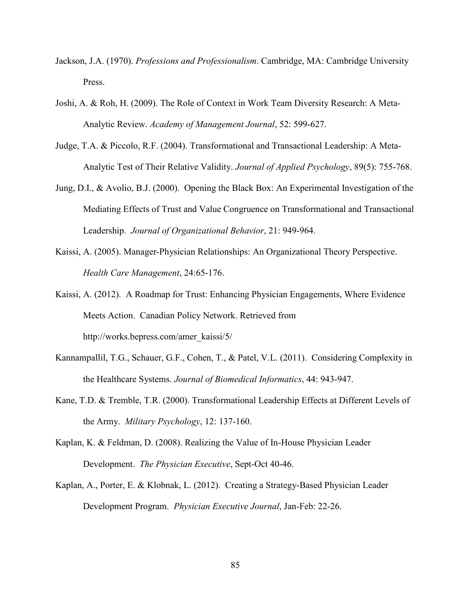- Jackson, J.A. (1970). *Professions and Professionalism*. Cambridge, MA: Cambridge University Press.
- Joshi, A. & Roh, H. (2009). The Role of Context in Work Team Diversity Research: A Meta-Analytic Review. *Academy of Management Journal*, 52: 599-627.
- Judge, T.A. & Piccolo, R.F. (2004). Transformational and Transactional Leadership: A Meta-Analytic Test of Their Relative Validity. *Journal of Applied Psychology*, 89(5): 755-768.
- Jung, D.I., & Avolio, B.J. (2000). Opening the Black Box: An Experimental Investigation of the Mediating Effects of Trust and Value Congruence on Transformational and Transactional Leadership. *Journal of Organizational Behavior*, 21: 949-964.
- Kaissi, A. (2005). Manager-Physician Relationships: An Organizational Theory Perspective. *Health Care Management*, 24:65-176.
- Kaissi, A. (2012). A Roadmap for Trust: Enhancing Physician Engagements, Where Evidence Meets Action. Canadian Policy Network. Retrieved from http://works.bepress.com/amer\_kaissi/5/
- Kannampallil, T.G., Schauer, G.F., Cohen, T., & Patel, V.L. (2011). Considering Complexity in the Healthcare Systems. *Journal of Biomedical Informatics*, 44: 943-947.
- Kane, T.D. & Tremble, T.R. (2000). Transformational Leadership Effects at Different Levels of the Army. *Military Psychology*, 12: 137-160.
- Kaplan, K. & Feldman, D. (2008). Realizing the Value of In-House Physician Leader Development. *The Physician Executive*, Sept-Oct 40-46.
- Kaplan, A., Porter, E. & Klobnak, L. (2012). Creating a Strategy-Based Physician Leader Development Program. *Physician Executive Journal*, Jan-Feb: 22-26.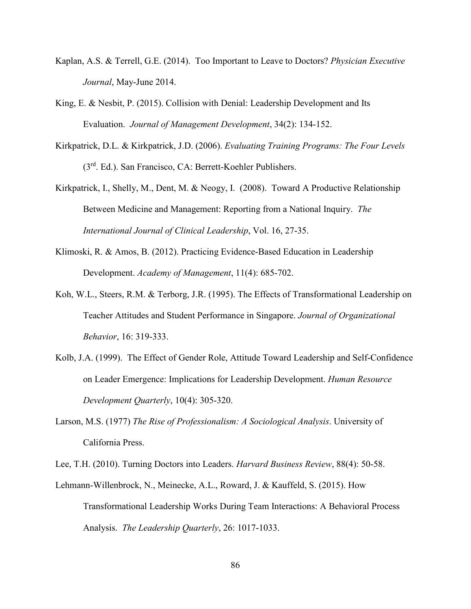- Kaplan, A.S. & Terrell, G.E. (2014). Too Important to Leave to Doctors? *Physician Executive Journal*, May-June 2014.
- King, E. & Nesbit, P. (2015). Collision with Denial: Leadership Development and Its Evaluation. *Journal of Management Development*, 34(2): 134-152.
- Kirkpatrick, D.L. & Kirkpatrick, J.D. (2006). *Evaluating Training Programs: The Four Levels* (3rd. Ed.). San Francisco, CA: Berrett-Koehler Publishers.
- Kirkpatrick, I., Shelly, M., Dent, M. & Neogy, I. (2008). Toward A Productive Relationship Between Medicine and Management: Reporting from a National Inquiry. *The International Journal of Clinical Leadership*, Vol. 16, 27-35.
- Klimoski, R. & Amos, B. (2012). Practicing Evidence-Based Education in Leadership Development. *Academy of Management*, 11(4): 685-702.
- Koh, W.L., Steers, R.M. & Terborg, J.R. (1995). The Effects of Transformational Leadership on Teacher Attitudes and Student Performance in Singapore. *Journal of Organizational Behavior*, 16: 319-333.
- Kolb, J.A. (1999). The Effect of Gender Role, Attitude Toward Leadership and Self-Confidence on Leader Emergence: Implications for Leadership Development. *Human Resource Development Quarterly*, 10(4): 305-320.
- Larson, M.S. (1977) *The Rise of Professionalism: A Sociological Analysis*. University of California Press.

Lee, T.H. (2010). Turning Doctors into Leaders. *Harvard Business Review*, 88(4): 50-58.

Lehmann-Willenbrock, N., Meinecke, A.L., Roward, J. & Kauffeld, S. (2015). How Transformational Leadership Works During Team Interactions: A Behavioral Process Analysis. *The Leadership Quarterly*, 26: 1017-1033.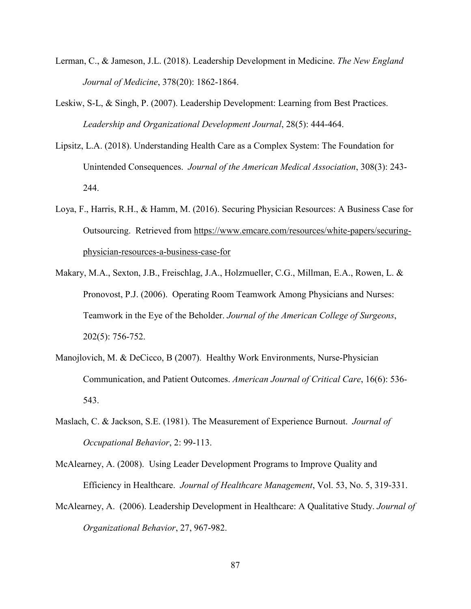- Lerman, C., & Jameson, J.L. (2018). Leadership Development in Medicine. *The New England Journal of Medicine*, 378(20): 1862-1864.
- Leskiw, S-L, & Singh, P. (2007). Leadership Development: Learning from Best Practices. *Leadership and Organizational Development Journal*, 28(5): 444-464.
- Lipsitz, L.A. (2018). Understanding Health Care as a Complex System: The Foundation for Unintended Consequences. *Journal of the American Medical Association*, 308(3): 243- 244.
- Loya, F., Harris, R.H., & Hamm, M. (2016). Securing Physician Resources: A Business Case for Outsourcing. Retrieved from [https://www.emcare.com/resources/white-papers/securing](https://www.emcare.com/resources/white-papers/securing-%20%20%20%20%20%20physician-resources-a-business-case-for)[physician-resources-a-business-case-for](https://www.emcare.com/resources/white-papers/securing-%20%20%20%20%20%20physician-resources-a-business-case-for)
- Makary, M.A., Sexton, J.B., Freischlag, J.A., Holzmueller, C.G., Millman, E.A., Rowen, L. & Pronovost, P.J. (2006). Operating Room Teamwork Among Physicians and Nurses: Teamwork in the Eye of the Beholder. *Journal of the American College of Surgeons*, 202(5): 756-752.
- Manojlovich, M. & DeCicco, B (2007). Healthy Work Environments, Nurse-Physician Communication, and Patient Outcomes. *American Journal of Critical Care*, 16(6): 536- 543.
- Maslach, C. & Jackson, S.E. (1981). The Measurement of Experience Burnout. *Journal of Occupational Behavior*, 2: 99-113.
- McAlearney, A. (2008). Using Leader Development Programs to Improve Quality and Efficiency in Healthcare. *Journal of Healthcare Management*, Vol. 53, No. 5, 319-331.
- McAlearney, A. (2006). Leadership Development in Healthcare: A Qualitative Study. *Journal of Organizational Behavior*, 27, 967-982.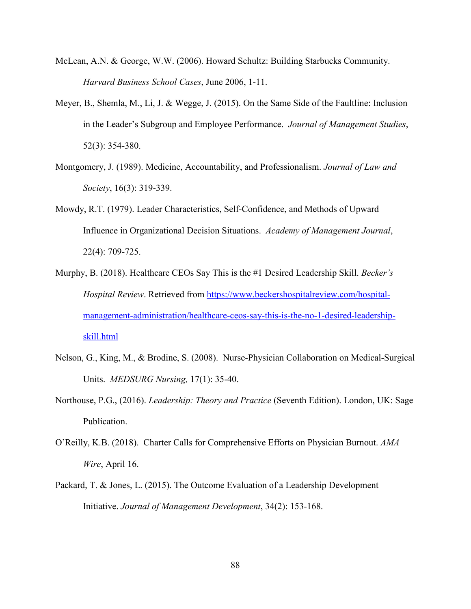- McLean, A.N. & George, W.W. (2006). Howard Schultz: Building Starbucks Community. *Harvard Business School Cases*, June 2006, 1-11.
- Meyer, B., Shemla, M., Li, J. & Wegge, J. (2015). On the Same Side of the Faultline: Inclusion in the Leader's Subgroup and Employee Performance. *Journal of Management Studies*, 52(3): 354-380.
- Montgomery, J. (1989). Medicine, Accountability, and Professionalism. *Journal of Law and Society*, 16(3): 319-339.
- Mowdy, R.T. (1979). Leader Characteristics, Self-Confidence, and Methods of Upward Influence in Organizational Decision Situations. *Academy of Management Journal*, 22(4): 709-725.
- Murphy, B. (2018). Healthcare CEOs Say This is the #1 Desired Leadership Skill. *Becker's Hospital Review*. Retrieved from [https://www.beckershospitalreview.com/hospital](https://www.beckershospitalreview.com/hospital-management-administration/healthcare-ceos-say-this-is-the-no-1-desired-leadership-skill.html)[management-administration/healthcare-ceos-say-this-is-the-no-1-desired-leadership](https://www.beckershospitalreview.com/hospital-management-administration/healthcare-ceos-say-this-is-the-no-1-desired-leadership-skill.html)[skill.html](https://www.beckershospitalreview.com/hospital-management-administration/healthcare-ceos-say-this-is-the-no-1-desired-leadership-skill.html)
- Nelson, G., King, M., & Brodine, S. (2008). Nurse-Physician Collaboration on Medical-Surgical Units. *MEDSURG Nursing,* 17(1): 35-40.
- Northouse, P.G., (2016). *Leadership: Theory and Practice* (Seventh Edition). London, UK: Sage Publication.
- O'Reilly, K.B. (2018). Charter Calls for Comprehensive Efforts on Physician Burnout. *AMA Wire*, April 16.
- Packard, T. & Jones, L. (2015). The Outcome Evaluation of a Leadership Development Initiative. *Journal of Management Development*, 34(2): 153-168.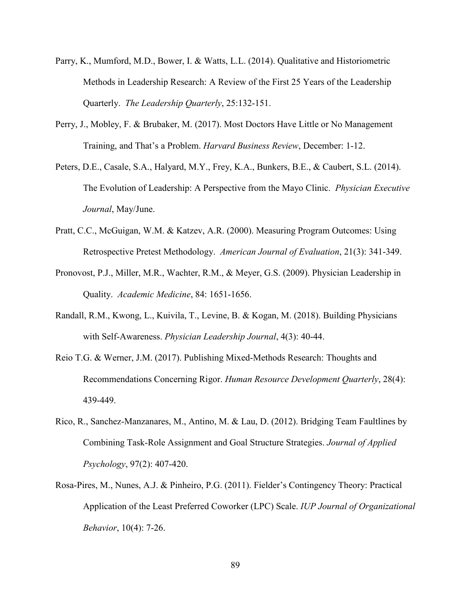- Parry, K., Mumford, M.D., Bower, I. & Watts, L.L. (2014). Qualitative and Historiometric Methods in Leadership Research: A Review of the First 25 Years of the Leadership Quarterly. *The Leadership Quarterly*, 25:132-151.
- Perry, J., Mobley, F. & Brubaker, M. (2017). Most Doctors Have Little or No Management Training, and That's a Problem. *Harvard Business Review*, December: 1-12.
- Peters, D.E., Casale, S.A., Halyard, M.Y., Frey, K.A., Bunkers, B.E., & Caubert, S.L. (2014). The Evolution of Leadership: A Perspective from the Mayo Clinic. *Physician Executive Journal*, May/June.
- Pratt, C.C., McGuigan, W.M. & Katzev, A.R. (2000). Measuring Program Outcomes: Using Retrospective Pretest Methodology. *American Journal of Evaluation*, 21(3): 341-349.
- Pronovost, P.J., Miller, M.R., Wachter, R.M., & Meyer, G.S. (2009). Physician Leadership in Quality. *Academic Medicine*, 84: 1651-1656.
- Randall, R.M., Kwong, L., Kuivila, T., Levine, B. & Kogan, M. (2018). Building Physicians with Self-Awareness. *Physician Leadership Journal*, 4(3): 40-44.
- Reio T.G. & Werner, J.M. (2017). Publishing Mixed-Methods Research: Thoughts and Recommendations Concerning Rigor. *Human Resource Development Quarterly*, 28(4): 439-449.
- Rico, R., Sanchez-Manzanares, M., Antino, M. & Lau, D. (2012). Bridging Team Faultlines by Combining Task-Role Assignment and Goal Structure Strategies. *Journal of Applied Psychology*, 97(2): 407-420.
- Rosa-Pires, M., Nunes, A.J. & Pinheiro, P.G. (2011). Fielder's Contingency Theory: Practical Application of the Least Preferred Coworker (LPC) Scale. *IUP Journal of Organizational Behavior*, 10(4): 7-26.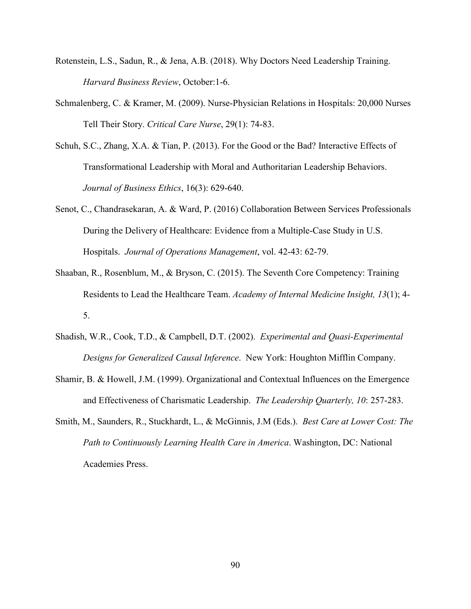- Rotenstein, L.S., Sadun, R., & Jena, A.B. (2018). Why Doctors Need Leadership Training. *Harvard Business Review*, October:1-6.
- Schmalenberg, C. & Kramer, M. (2009). Nurse-Physician Relations in Hospitals: 20,000 Nurses Tell Their Story. *Critical Care Nurse*, 29(1): 74-83.
- Schuh, S.C., Zhang, X.A. & Tian, P. (2013). For the Good or the Bad? Interactive Effects of Transformational Leadership with Moral and Authoritarian Leadership Behaviors. *Journal of Business Ethics*, 16(3): 629-640.
- Senot, C., Chandrasekaran, A. & Ward, P. (2016) Collaboration Between Services Professionals During the Delivery of Healthcare: Evidence from a Multiple-Case Study in U.S. Hospitals. *Journal of Operations Management*, vol. 42-43: 62-79.
- Shaaban, R., Rosenblum, M., & Bryson, C. (2015). The Seventh Core Competency: Training Residents to Lead the Healthcare Team. *Academy of Internal Medicine Insight, 13*(1); 4- 5.
- Shadish, W.R., Cook, T.D., & Campbell, D.T. (2002). *Experimental and Quasi-Experimental Designs for Generalized Causal Inference*. New York: Houghton Mifflin Company.
- Shamir, B. & Howell, J.M. (1999). Organizational and Contextual Influences on the Emergence and Effectiveness of Charismatic Leadership. *The Leadership Quarterly, 10*: 257-283.
- Smith, M., Saunders, R., Stuckhardt, L., & McGinnis, J.M (Eds.). *Best Care at Lower Cost: The Path to Continuously Learning Health Care in America*. Washington, DC: National Academies Press.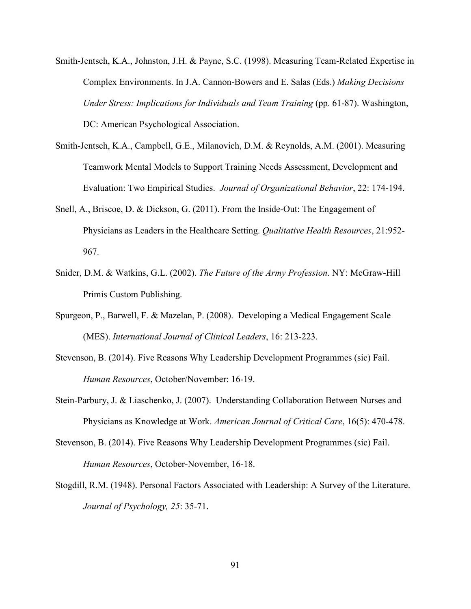- Smith-Jentsch, K.A., Johnston, J.H. & Payne, S.C. (1998). Measuring Team-Related Expertise in Complex Environments. In J.A. Cannon-Bowers and E. Salas (Eds.) *Making Decisions Under Stress: Implications for Individuals and Team Training* (pp. 61-87). Washington, DC: American Psychological Association.
- Smith-Jentsch, K.A., Campbell, G.E., Milanovich, D.M. & Reynolds, A.M. (2001). Measuring Teamwork Mental Models to Support Training Needs Assessment, Development and Evaluation: Two Empirical Studies. *Journal of Organizational Behavior*, 22: 174-194.
- Snell, A., Briscoe, D. & Dickson, G. (2011). From the Inside-Out: The Engagement of Physicians as Leaders in the Healthcare Setting. *Qualitative Health Resources*, 21:952- 967.
- Snider, D.M. & Watkins, G.L. (2002). *The Future of the Army Profession*. NY: McGraw-Hill Primis Custom Publishing.
- Spurgeon, P., Barwell, F. & Mazelan, P. (2008). Developing a Medical Engagement Scale (MES). *International Journal of Clinical Leaders*, 16: 213-223.
- Stevenson, B. (2014). Five Reasons Why Leadership Development Programmes (sic) Fail. *Human Resources*, October/November: 16-19.
- Stein-Parbury, J. & Liaschenko, J. (2007). Understanding Collaboration Between Nurses and Physicians as Knowledge at Work. *American Journal of Critical Care*, 16(5): 470-478.
- Stevenson, B. (2014). Five Reasons Why Leadership Development Programmes (sic) Fail. *Human Resources*, October-November, 16-18.
- Stogdill, R.M. (1948). Personal Factors Associated with Leadership: A Survey of the Literature. *Journal of Psychology, 25*: 35-71.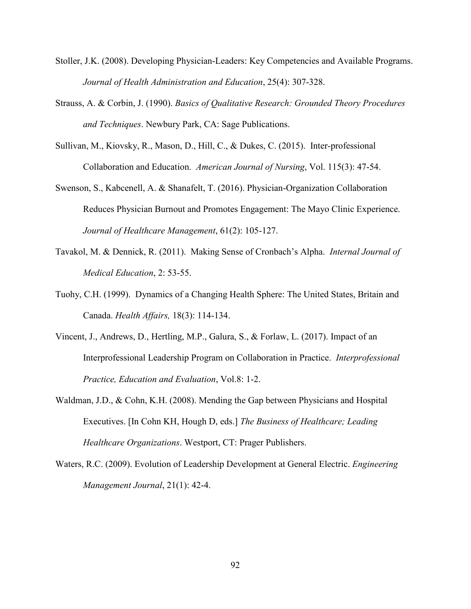- Stoller, J.K. (2008). Developing Physician-Leaders: Key Competencies and Available Programs. *Journal of Health Administration and Education*, 25(4): 307-328.
- Strauss, A. & Corbin, J. (1990). *Basics of Qualitative Research: Grounded Theory Procedures and Techniques*. Newbury Park, CA: Sage Publications.
- Sullivan, M., Kiovsky, R., Mason, D., Hill, C., & Dukes, C. (2015). Inter-professional Collaboration and Education. *American Journal of Nursing*, Vol. 115(3): 47-54.
- Swenson, S., Kabcenell, A. & Shanafelt, T. (2016). Physician-Organization Collaboration Reduces Physician Burnout and Promotes Engagement: The Mayo Clinic Experience. *Journal of Healthcare Management*, 61(2): 105-127.
- Tavakol, M. & Dennick, R. (2011). Making Sense of Cronbach's Alpha. *Internal Journal of Medical Education*, 2: 53-55.
- Tuohy, C.H. (1999). Dynamics of a Changing Health Sphere: The United States, Britain and Canada. *Health Affairs,* 18(3): 114-134.
- Vincent, J., Andrews, D., Hertling, M.P., Galura, S., & Forlaw, L. (2017). Impact of an Interprofessional Leadership Program on Collaboration in Practice. *Interprofessional Practice, Education and Evaluation*, Vol.8: 1-2.
- Waldman, J.D., & Cohn, K.H. (2008). Mending the Gap between Physicians and Hospital Executives. [In Cohn KH, Hough D, eds.] *The Business of Healthcare; Leading Healthcare Organizations*. Westport, CT: Prager Publishers.
- Waters, R.C. (2009). Evolution of Leadership Development at General Electric. *Engineering Management Journal*, 21(1): 42-4.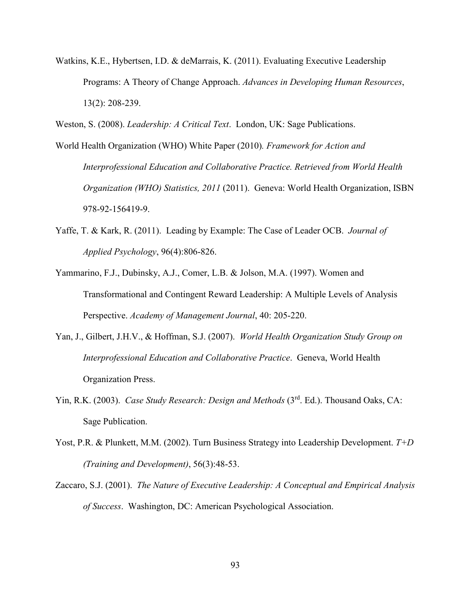- Watkins, K.E., Hybertsen, I.D. & deMarrais, K. (2011). Evaluating Executive Leadership Programs: A Theory of Change Approach. *Advances in Developing Human Resources*, 13(2): 208-239.
- Weston, S. (2008). *Leadership: A Critical Text*. London, UK: Sage Publications.
- World Health Organization (WHO) White Paper (2010)*. Framework for Action and Interprofessional Education and Collaborative Practice. Retrieved from World Health Organization (WHO) Statistics, 2011* (2011). Geneva: World Health Organization, ISBN 978-92-156419-9.
- Yaffe, T. & Kark, R. (2011). Leading by Example: The Case of Leader OCB. *Journal of Applied Psychology*, 96(4):806-826.
- Yammarino, F.J., Dubinsky, A.J., Comer, L.B. & Jolson, M.A. (1997). Women and Transformational and Contingent Reward Leadership: A Multiple Levels of Analysis Perspective. *Academy of Management Journal*, 40: 205-220.
- Yan, J., Gilbert, J.H.V., & Hoffman, S.J. (2007). *World Health Organization Study Group on Interprofessional Education and Collaborative Practice*. Geneva, World Health Organization Press.
- Yin, R.K. (2003). *Case Study Research: Design and Methods* (3<sup>rd</sup>. Ed.). Thousand Oaks, CA: Sage Publication.
- Yost, P.R. & Plunkett, M.M. (2002). Turn Business Strategy into Leadership Development. *T+D (Training and Development)*, 56(3):48-53.
- Zaccaro, S.J. (2001). *The Nature of Executive Leadership: A Conceptual and Empirical Analysis of Success*. Washington, DC: American Psychological Association.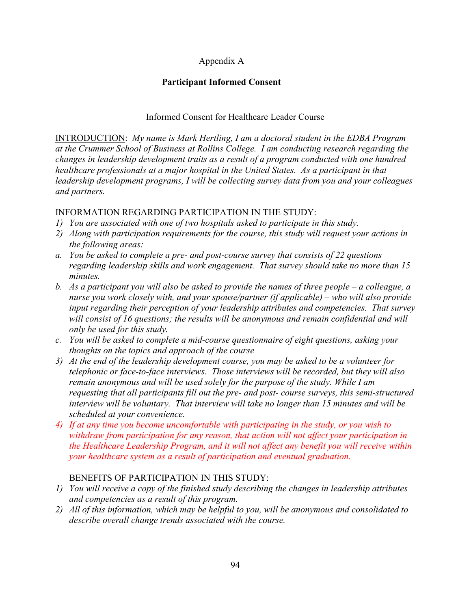# Appendix A

# **Participant Informed Consent**

### Informed Consent for Healthcare Leader Course

INTRODUCTION: *My name is Mark Hertling, I am a doctoral student in the EDBA Program at the Crummer School of Business at Rollins College. I am conducting research regarding the changes in leadership development traits as a result of a program conducted with one hundred healthcare professionals at a major hospital in the United States. As a participant in that leadership development programs, I will be collecting survey data from you and your colleagues and partners.* 

### INFORMATION REGARDING PARTICIPATION IN THE STUDY:

- *1) You are associated with one of two hospitals asked to participate in this study.*
- *2) Along with participation requirements for the course, this study will request your actions in the following areas:*
- *a. You be asked to complete a pre- and post-course survey that consists of 22 questions regarding leadership skills and work engagement. That survey should take no more than 15 minutes.*
- *b. As a participant you will also be asked to provide the names of three people – a colleague, a nurse you work closely with, and your spouse/partner (if applicable) – who will also provide input regarding their perception of your leadership attributes and competencies. That survey will consist of 16 questions; the results will be anonymous and remain confidential and will only be used for this study.*
- *c. You will be asked to complete a mid-course questionnaire of eight questions, asking your thoughts on the topics and approach of the course*
- *3) At the end of the leadership development course, you may be asked to be a volunteer for telephonic or face-to-face interviews. Those interviews will be recorded, but they will also remain anonymous and will be used solely for the purpose of the study. While I am requesting that all participants fill out the pre- and post- course surveys, this semi-structured interview will be voluntary. That interview will take no longer than 15 minutes and will be scheduled at your convenience.*
- *4) If at any time you become uncomfortable with participating in the study, or you wish to withdraw from participation for any reason, that action will not affect your participation in the Healthcare Leadership Program, and it will not affect any benefit you will receive within your healthcare system as a result of participation and eventual graduation.*

## BENEFITS OF PARTICIPATION IN THIS STUDY:

- *1) You will receive a copy of the finished study describing the changes in leadership attributes and competencies as a result of this program.*
- *2) All of this information, which may be helpful to you, will be anonymous and consolidated to describe overall change trends associated with the course.*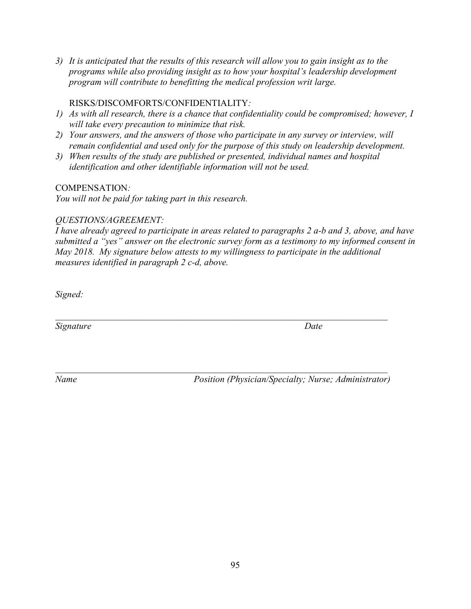*3) It is anticipated that the results of this research will allow you to gain insight as to the programs while also providing insight as to how your hospital's leadership development program will contribute to benefitting the medical profession writ large.*

### RISKS/DISCOMFORTS/CONFIDENTIALITY*:*

- *1) As with all research, there is a chance that confidentiality could be compromised; however, I will take every precaution to minimize that risk.*
- *2) Your answers, and the answers of those who participate in any survey or interview, will remain confidential and used only for the purpose of this study on leadership development.*
- *3) When results of the study are published or presented, individual names and hospital identification and other identifiable information will not be used.*

### COMPENSATION*:*

*You will not be paid for taking part in this research.*

### *QUESTIONS/AGREEMENT:*

*I have already agreed to participate in areas related to paragraphs 2 a-b and 3, above, and have submitted a "yes" answer on the electronic survey form as a testimony to my informed consent in May 2018. My signature below attests to my willingness to participate in the additional measures identified in paragraph 2 c-d, above.*

*\_\_\_\_\_\_\_\_\_\_\_\_\_\_\_\_\_\_\_\_\_\_\_\_\_\_\_\_\_\_\_\_\_\_\_\_\_\_\_\_\_\_\_\_\_\_\_\_\_\_\_\_\_\_\_\_\_\_\_\_\_\_\_\_\_\_\_\_\_\_\_\_*

*\_\_\_\_\_\_\_\_\_\_\_\_\_\_\_\_\_\_\_\_\_\_\_\_\_\_\_\_\_\_\_\_\_\_\_\_\_\_\_\_\_\_\_\_\_\_\_\_\_\_\_\_\_\_\_\_\_\_\_\_\_\_\_\_\_\_\_\_\_\_\_\_*

*Signed:*

*Signature Date*

*Name Position (Physician/Specialty; Nurse; Administrator)*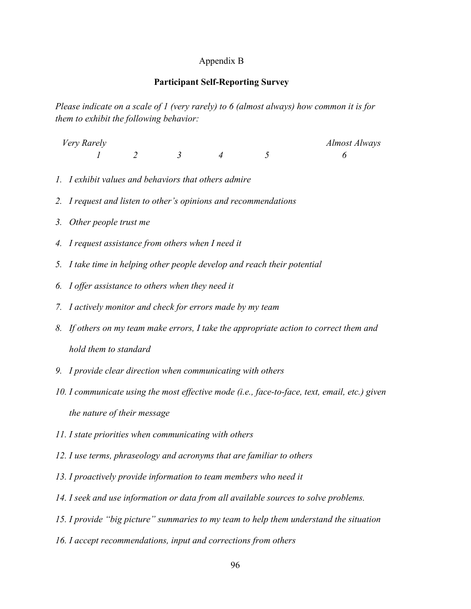#### Appendix B

#### **Participant Self-Reporting Survey**

*Please indicate on a scale of 1 (very rarely) to 6 (almost always) how common it is for them to exhibit the following behavior:* 

| Very Rarely |  |  | Almost Always |
|-------------|--|--|---------------|
|             |  |  |               |

- *1. I exhibit values and behaviors that others admire*
- *2. I request and listen to other's opinions and recommendations*
- *3. Other people trust me*
- *4. I request assistance from others when I need it*
- *5. I take time in helping other people develop and reach their potential*
- *6. I offer assistance to others when they need it*
- *7. I actively monitor and check for errors made by my team*
- *8. If others on my team make errors, I take the appropriate action to correct them and hold them to standard*
- *9. I provide clear direction when communicating with others*
- *10. I communicate using the most effective mode (i.e., face-to-face, text, email, etc.) given the nature of their message*
- *11. I state priorities when communicating with others*
- *12. I use terms, phraseology and acronyms that are familiar to others*
- *13. I proactively provide information to team members who need it*
- *14. I seek and use information or data from all available sources to solve problems.*
- *15. I provide "big picture" summaries to my team to help them understand the situation*
- *16. I accept recommendations, input and corrections from others*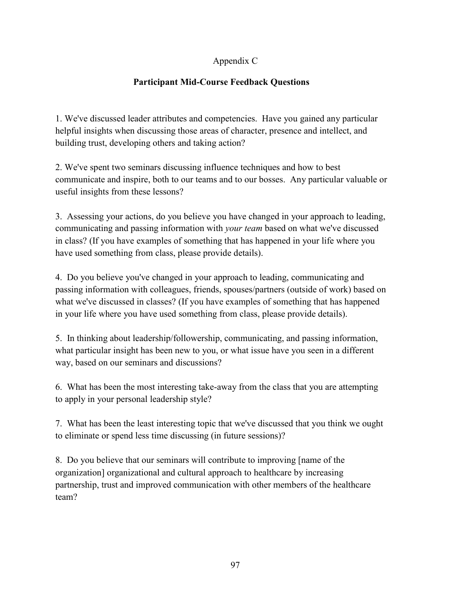# Appendix C

# **Participant Mid-Course Feedback Questions**

1. We've discussed leader attributes and competencies. Have you gained any particular helpful insights when discussing those areas of character, presence and intellect, and building trust, developing others and taking action?

2. We've spent two seminars discussing influence techniques and how to best communicate and inspire, both to our teams and to our bosses. Any particular valuable or useful insights from these lessons?

3. Assessing your actions, do you believe you have changed in your approach to leading, communicating and passing information with *your team* based on what we've discussed in class? (If you have examples of something that has happened in your life where you have used something from class, please provide details).

4. Do you believe you've changed in your approach to leading, communicating and passing information with colleagues, friends, spouses/partners (outside of work) based on what we've discussed in classes? (If you have examples of something that has happened in your life where you have used something from class, please provide details).

5. In thinking about leadership/followership, communicating, and passing information, what particular insight has been new to you, or what issue have you seen in a different way, based on our seminars and discussions?

6. What has been the most interesting take-away from the class that you are attempting to apply in your personal leadership style?

7. What has been the least interesting topic that we've discussed that you think we ought to eliminate or spend less time discussing (in future sessions)?

8. Do you believe that our seminars will contribute to improving [name of the organization] organizational and cultural approach to healthcare by increasing partnership, trust and improved communication with other members of the healthcare team?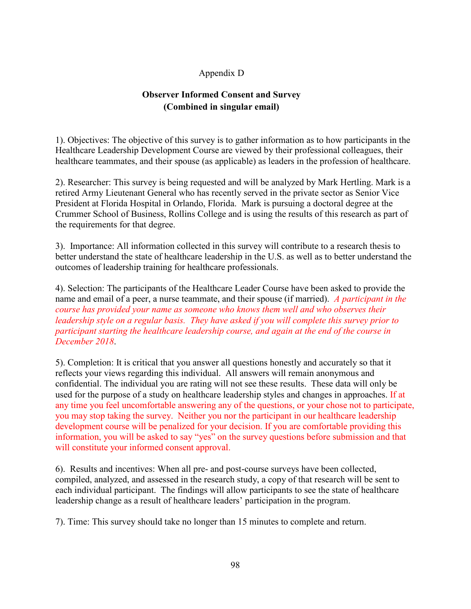# Appendix D

# **Observer Informed Consent and Survey (Combined in singular email)**

1). Objectives: The objective of this survey is to gather information as to how participants in the Healthcare Leadership Development Course are viewed by their professional colleagues, their healthcare teammates, and their spouse (as applicable) as leaders in the profession of healthcare.

2). Researcher: This survey is being requested and will be analyzed by Mark Hertling. Mark is a retired Army Lieutenant General who has recently served in the private sector as Senior Vice President at Florida Hospital in Orlando, Florida. Mark is pursuing a doctoral degree at the Crummer School of Business, Rollins College and is using the results of this research as part of the requirements for that degree.

3). Importance: All information collected in this survey will contribute to a research thesis to better understand the state of healthcare leadership in the U.S. as well as to better understand the outcomes of leadership training for healthcare professionals.

4). Selection: The participants of the Healthcare Leader Course have been asked to provide the name and email of a peer, a nurse teammate, and their spouse (if married). *A participant in the course has provided your name as someone who knows them well and who observes their leadership style on a regular basis. They have asked if you will complete this survey prior to participant starting the healthcare leadership course, and again at the end of the course in December 2018*.

5). Completion: It is critical that you answer all questions honestly and accurately so that it reflects your views regarding this individual. All answers will remain anonymous and confidential. The individual you are rating will not see these results. These data will only be used for the purpose of a study on healthcare leadership styles and changes in approaches. If at any time you feel uncomfortable answering any of the questions, or your chose not to participate, you may stop taking the survey. Neither you nor the participant in our healthcare leadership development course will be penalized for your decision. If you are comfortable providing this information, you will be asked to say "yes" on the survey questions before submission and that will constitute your informed consent approval.

6). Results and incentives: When all pre- and post-course surveys have been collected, compiled, analyzed, and assessed in the research study, a copy of that research will be sent to each individual participant. The findings will allow participants to see the state of healthcare leadership change as a result of healthcare leaders' participation in the program.

7). Time: This survey should take no longer than 15 minutes to complete and return.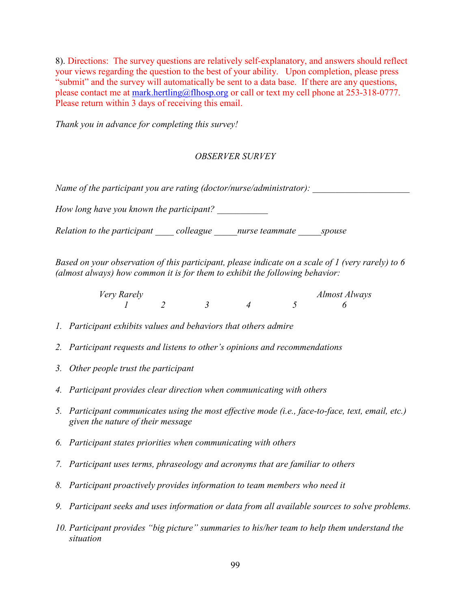8). Directions: The survey questions are relatively self-explanatory, and answers should reflect your views regarding the question to the best of your ability. Upon completion, please press "submit" and the survey will automatically be sent to a data base. If there are any questions, please contact me at [mark.hertling@flhosp.org](mailto:mark.hertling@flhosp.org) or call or text my cell phone at 253-318-0777. Please return within 3 days of receiving this email.

*Thank you in advance for completing this survey!*

## *OBSERVER SURVEY*

*Name of the participant you are rating (doctor/nurse/administrator):* 

*How long have you known the participant?* 

*Relation to the participant \_\_\_\_ colleague \_\_\_\_\_nurse teammate \_\_\_\_\_spouse*

*Based on your observation of this participant, please indicate on a scale of 1 (very rarely) to 6 (almost always) how common it is for them to exhibit the following behavior:* 

> *Very Rarely Almost Always 1 2 3 4 5 6*

- *1. Participant exhibits values and behaviors that others admire*
- *2. Participant requests and listens to other's opinions and recommendations*
- *3. Other people trust the participant*
- *4. Participant provides clear direction when communicating with others*
- *5. Participant communicates using the most effective mode (i.e., face-to-face, text, email, etc.) given the nature of their message*
- *6. Participant states priorities when communicating with others*
- *7. Participant uses terms, phraseology and acronyms that are familiar to others*
- *8. Participant proactively provides information to team members who need it*
- *9. Participant seeks and uses information or data from all available sources to solve problems.*
- *10. Participant provides "big picture" summaries to his/her team to help them understand the situation*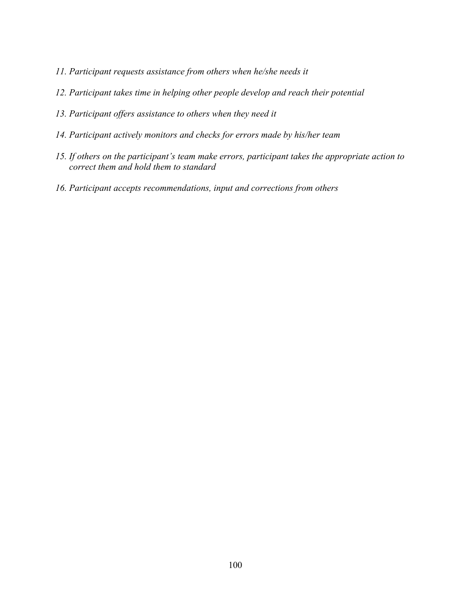- *11. Participant requests assistance from others when he/she needs it*
- *12. Participant takes time in helping other people develop and reach their potential*
- *13. Participant offers assistance to others when they need it*
- *14. Participant actively monitors and checks for errors made by his/her team*
- *15. If others on the participant's team make errors, participant takes the appropriate action to correct them and hold them to standard*
- *16. Participant accepts recommendations, input and corrections from others*